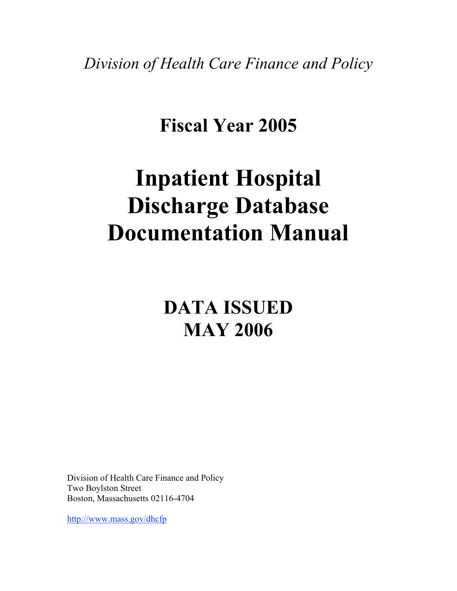*Division of Health Care Finance and Policy*

# **Fiscal Year 2005**

# **Inpatient Hospital Discharge Database Documentation Manual**

# **DATA ISSUED MAY 2006**

Division of Health Care Finance and Policy Two Boylston Street Boston, Massachusetts 02116-4704

http://www.mass.gov/dhcfp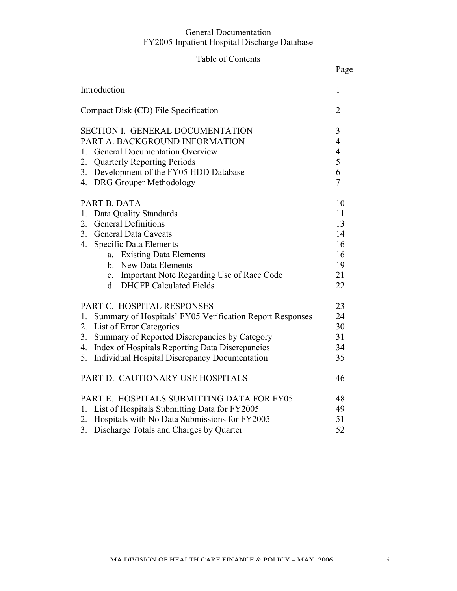# Table of Contents

|                                                                               | Page                             |
|-------------------------------------------------------------------------------|----------------------------------|
| Introduction                                                                  | 1                                |
| Compact Disk (CD) File Specification                                          | $\overline{2}$                   |
| SECTION I. GENERAL DOCUMENTATION                                              | 3                                |
| PART A. BACKGROUND INFORMATION<br><b>General Documentation Overview</b><br>1. | $\overline{4}$<br>$\overline{4}$ |
| <b>Quarterly Reporting Periods</b><br>2.                                      | 5                                |
| Development of the FY05 HDD Database<br>3.                                    | 6                                |
| 4. DRG Grouper Methodology                                                    | $\overline{7}$                   |
|                                                                               |                                  |
| PART B. DATA                                                                  | 10                               |
| Data Quality Standards<br>1.                                                  | 11                               |
| <b>General Definitions</b><br>2.                                              | 13                               |
| 3.<br><b>General Data Caveats</b>                                             | 14                               |
| 4.<br><b>Specific Data Elements</b>                                           | 16                               |
| a. Existing Data Elements                                                     | 16                               |
| b. New Data Elements                                                          | 19                               |
| c. Important Note Regarding Use of Race Code                                  | 21                               |
| d. DHCFP Calculated Fields                                                    | 22                               |
| PART C. HOSPITAL RESPONSES                                                    | 23                               |
| Summary of Hospitals' FY05 Verification Report Responses<br>1.                | 24                               |
| List of Error Categories<br>2.                                                | 30                               |
| Summary of Reported Discrepancies by Category<br>3.                           | 31                               |
| Index of Hospitals Reporting Data Discrepancies<br>4.                         | 34                               |
| Individual Hospital Discrepancy Documentation<br>5.                           | 35                               |
| PART D. CAUTIONARY USE HOSPITALS                                              | 46                               |
| PART E. HOSPITALS SUBMITTING DATA FOR FY05                                    | 48                               |
| 1. List of Hospitals Submitting Data for FY2005                               | 49                               |
| Hospitals with No Data Submissions for FY2005<br>2.                           | 51                               |
| Discharge Totals and Charges by Quarter<br>3 <sub>1</sub>                     | 52                               |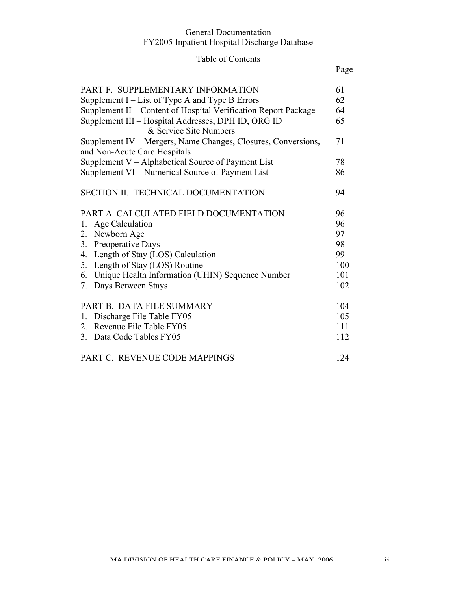# Table of Contents

# Page

| PART F. SUPPLEMENTARY INFORMATION                                                             | 61  |
|-----------------------------------------------------------------------------------------------|-----|
| Supplement $I$ – List of Type A and Type B Errors                                             | 62  |
| Supplement II – Content of Hospital Verification Report Package                               | 64  |
| Supplement III - Hospital Addresses, DPH ID, ORG ID                                           | 65  |
| & Service Site Numbers                                                                        |     |
| Supplement IV – Mergers, Name Changes, Closures, Conversions,<br>and Non-Acute Care Hospitals | 71  |
| Supplement V - Alphabetical Source of Payment List                                            | 78  |
| Supplement VI – Numerical Source of Payment List                                              | 86  |
| SECTION II. TECHNICAL DOCUMENTATION                                                           | 94  |
| PART A. CALCULATED FIELD DOCUMENTATION                                                        | 96  |
| 1. Age Calculation                                                                            | 96  |
| 2. Newborn Age                                                                                | 97  |
| 3. Preoperative Days                                                                          | 98  |
| 4. Length of Stay (LOS) Calculation                                                           | 99  |
| 5. Length of Stay (LOS) Routine                                                               | 100 |
| 6. Unique Health Information (UHIN) Sequence Number                                           | 101 |
| 7. Days Between Stays                                                                         | 102 |
| PART B. DATA FILE SUMMARY                                                                     | 104 |
| Discharge File Table FY05<br>1.                                                               | 105 |
| 2. Revenue File Table FY05                                                                    | 111 |
| 3. Data Code Tables FY05                                                                      | 112 |
| PART C. REVENUE CODE MAPPINGS                                                                 | 124 |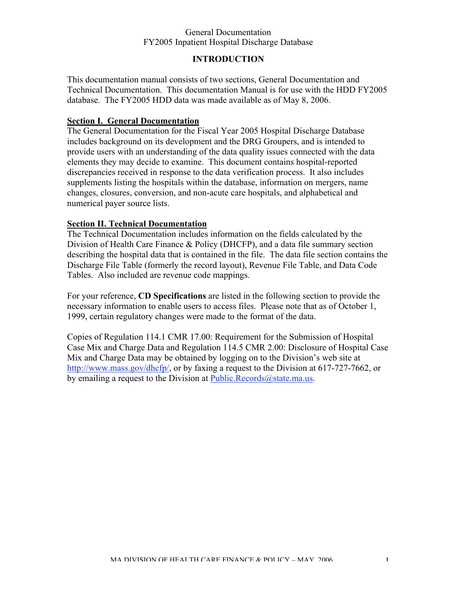# **INTRODUCTION**

This documentation manual consists of two sections, General Documentation and Technical Documentation. This documentation Manual is for use with the HDD FY2005 database. The FY2005 HDD data was made available as of May 8, 2006.

#### **Section I. General Documentation**

The General Documentation for the Fiscal Year 2005 Hospital Discharge Database includes background on its development and the DRG Groupers, and is intended to provide users with an understanding of the data quality issues connected with the data elements they may decide to examine. This document contains hospital-reported discrepancies received in response to the data verification process. It also includes supplements listing the hospitals within the database, information on mergers, name changes, closures, conversion, and non-acute care hospitals, and alphabetical and numerical payer source lists.

#### **Section II. Technical Documentation**

The Technical Documentation includes information on the fields calculated by the Division of Health Care Finance & Policy (DHCFP), and a data file summary section describing the hospital data that is contained in the file. The data file section contains the Discharge File Table (formerly the record layout), Revenue File Table, and Data Code Tables. Also included are revenue code mappings.

For your reference, **CD Specifications** are listed in the following section to provide the necessary information to enable users to access files. Please note that as of October 1, 1999, certain regulatory changes were made to the format of the data.

Copies of Regulation 114.1 CMR 17.00: Requirement for the Submission of Hospital Case Mix and Charge Data and Regulation 114.5 CMR 2.00: Disclosure of Hospital Case Mix and Charge Data may be obtained by logging on to the Division's web site at http://www.mass.gov/dhcfp/, or by faxing a request to the Division at 617-727-7662, or by emailing a request to the Division at Public.Records@state.ma.us.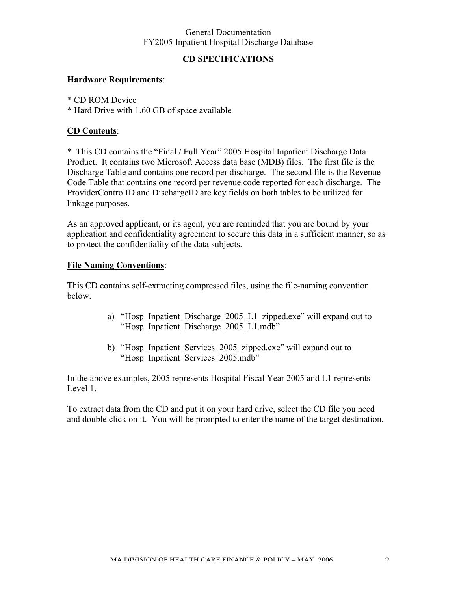# **CD SPECIFICATIONS**

# **Hardware Requirements**:

\* CD ROM Device

\* Hard Drive with 1.60 GB of space available

# **CD Contents**:

\* This CD contains the "Final / Full Year" 2005 Hospital Inpatient Discharge Data Product. It contains two Microsoft Access data base (MDB) files. The first file is the Discharge Table and contains one record per discharge. The second file is the Revenue Code Table that contains one record per revenue code reported for each discharge. The ProviderControlID and DischargeID are key fields on both tables to be utilized for linkage purposes.

As an approved applicant, or its agent, you are reminded that you are bound by your application and confidentiality agreement to secure this data in a sufficient manner, so as to protect the confidentiality of the data subjects.

# **File Naming Conventions**:

This CD contains self-extracting compressed files, using the file-naming convention below.

- a) "Hosp Inpatient Discharge 2005 L1 zipped.exe" will expand out to "Hosp\_Inpatient\_Discharge\_2005\_L1.mdb"
- b) "Hosp Inpatient Services 2005 zipped.exe" will expand out to "Hosp\_Inpatient\_Services\_2005.mdb"

In the above examples, 2005 represents Hospital Fiscal Year 2005 and L1 represents Level 1.

To extract data from the CD and put it on your hard drive, select the CD file you need and double click on it. You will be prompted to enter the name of the target destination.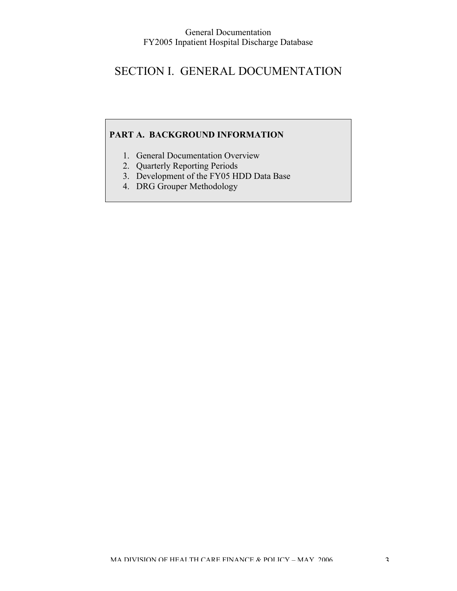# SECTION I. GENERAL DOCUMENTATION

# **PART A. BACKGROUND INFORMATION**

- 1. General Documentation Overview
- 2. Quarterly Reporting Periods
- 3. Development of the FY05 HDD Data Base
- 4. DRG Grouper Methodology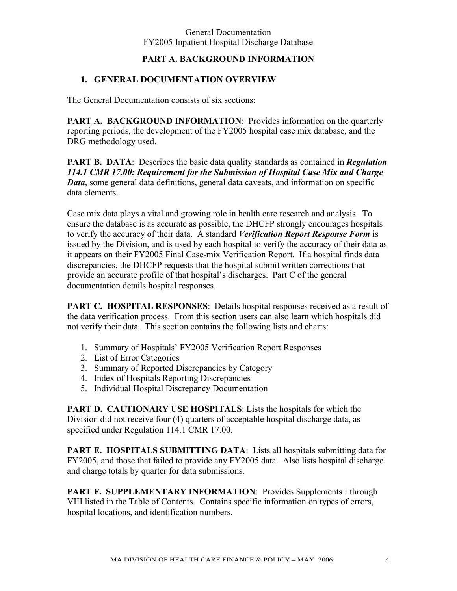# **PART A. BACKGROUND INFORMATION**

# **1. GENERAL DOCUMENTATION OVERVIEW**

The General Documentation consists of six sections:

**PART A. BACKGROUND INFORMATION:** Provides information on the quarterly reporting periods, the development of the FY2005 hospital case mix database, and the DRG methodology used.

**PART B. DATA**: Describes the basic data quality standards as contained in *Regulation 114.1 CMR 17.00: Requirement for the Submission of Hospital Case Mix and Charge Data*, some general data definitions, general data caveats, and information on specific data elements.

Case mix data plays a vital and growing role in health care research and analysis. To ensure the database is as accurate as possible, the DHCFP strongly encourages hospitals to verify the accuracy of their data. A standard *Verification Report Response Form* is issued by the Division, and is used by each hospital to verify the accuracy of their data as it appears on their FY2005 Final Case-mix Verification Report. If a hospital finds data discrepancies, the DHCFP requests that the hospital submit written corrections that provide an accurate profile of that hospital's discharges. Part C of the general documentation details hospital responses.

**PART C. HOSPITAL RESPONSES:** Details hospital responses received as a result of the data verification process. From this section users can also learn which hospitals did not verify their data. This section contains the following lists and charts:

- 1. Summary of Hospitals' FY2005 Verification Report Responses
- 2. List of Error Categories
- 3. Summary of Reported Discrepancies by Category
- 4. Index of Hospitals Reporting Discrepancies
- 5. Individual Hospital Discrepancy Documentation

**PART D. CAUTIONARY USE HOSPITALS**: Lists the hospitals for which the Division did not receive four (4) quarters of acceptable hospital discharge data, as specified under Regulation 114.1 CMR 17.00.

**PART E. HOSPITALS SUBMITTING DATA:** Lists all hospitals submitting data for FY2005, and those that failed to provide any FY2005 data. Also lists hospital discharge and charge totals by quarter for data submissions.

**PART F. SUPPLEMENTARY INFORMATION**: Provides Supplements I through VIII listed in the Table of Contents. Contains specific information on types of errors, hospital locations, and identification numbers.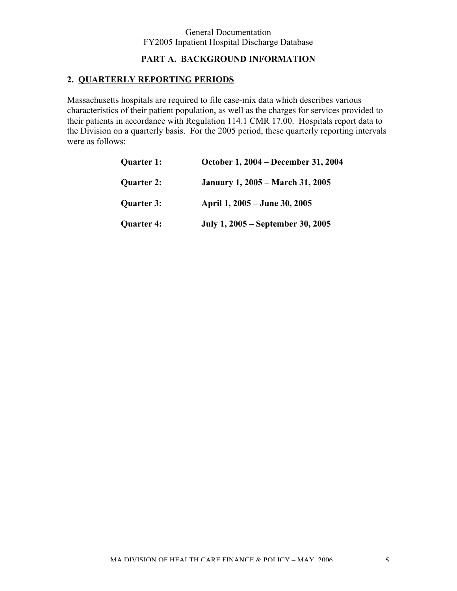## **PART A. BACKGROUND INFORMATION**

# **2. QUARTERLY REPORTING PERIODS**

Massachusetts hospitals are required to file case-mix data which describes various characteristics of their patient population, as well as the charges for services provided to their patients in accordance with Regulation 114.1 CMR 17.00. Hospitals report data to the Division on a quarterly basis. For the 2005 period, these quarterly reporting intervals were as follows:

| <b>Quarter 1:</b> | October 1, 2004 – December 31, 2004     |
|-------------------|-----------------------------------------|
| <b>Quarter 2:</b> | <b>January 1, 2005 – March 31, 2005</b> |
| <b>Quarter 3:</b> | April 1, 2005 – June 30, 2005           |
| <b>Quarter 4:</b> | July 1, 2005 – September 30, 2005       |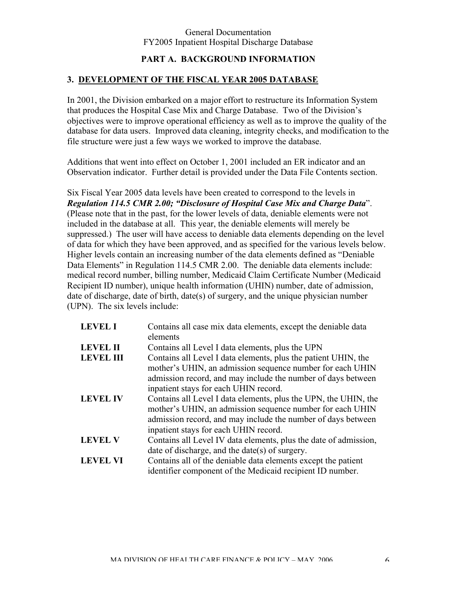# **PART A. BACKGROUND INFORMATION**

# **3. DEVELOPMENT OF THE FISCAL YEAR 2005 DATABASE**

In 2001, the Division embarked on a major effort to restructure its Information System that produces the Hospital Case Mix and Charge Database. Two of the Division's objectives were to improve operational efficiency as well as to improve the quality of the database for data users. Improved data cleaning, integrity checks, and modification to the file structure were just a few ways we worked to improve the database.

Additions that went into effect on October 1, 2001 included an ER indicator and an Observation indicator. Further detail is provided under the Data File Contents section.

Six Fiscal Year 2005 data levels have been created to correspond to the levels in *Regulation 114.5 CMR 2.00; "Disclosure of Hospital Case Mix and Charge Data*". (Please note that in the past, for the lower levels of data, deniable elements were not included in the database at all. This year, the deniable elements will merely be suppressed.) The user will have access to deniable data elements depending on the level of data for which they have been approved, and as specified for the various levels below. Higher levels contain an increasing number of the data elements defined as "Deniable Data Elements" in Regulation 114.5 CMR 2.00. The deniable data elements include: medical record number, billing number, Medicaid Claim Certificate Number (Medicaid Recipient ID number), unique health information (UHIN) number, date of admission, date of discharge, date of birth, date(s) of surgery, and the unique physician number (UPN). The six levels include:

| <b>LEVEL I</b>   | Contains all case mix data elements, except the deniable data<br>elements                                                                                                                                                             |
|------------------|---------------------------------------------------------------------------------------------------------------------------------------------------------------------------------------------------------------------------------------|
| <b>LEVEL II</b>  | Contains all Level I data elements, plus the UPN                                                                                                                                                                                      |
| <b>LEVEL III</b> | Contains all Level I data elements, plus the patient UHIN, the<br>mother's UHIN, an admission sequence number for each UHIN                                                                                                           |
|                  | admission record, and may include the number of days between<br>inpatient stays for each UHIN record.                                                                                                                                 |
| <b>LEVEL IV</b>  | Contains all Level I data elements, plus the UPN, the UHIN, the<br>mother's UHIN, an admission sequence number for each UHIN<br>admission record, and may include the number of days between<br>inpatient stays for each UHIN record. |
| <b>LEVEL V</b>   | Contains all Level IV data elements, plus the date of admission,                                                                                                                                                                      |
| <b>LEVEL VI</b>  | date of discharge, and the date(s) of surgery.<br>Contains all of the deniable data elements except the patient<br>identifier component of the Medicaid recipient ID number.                                                          |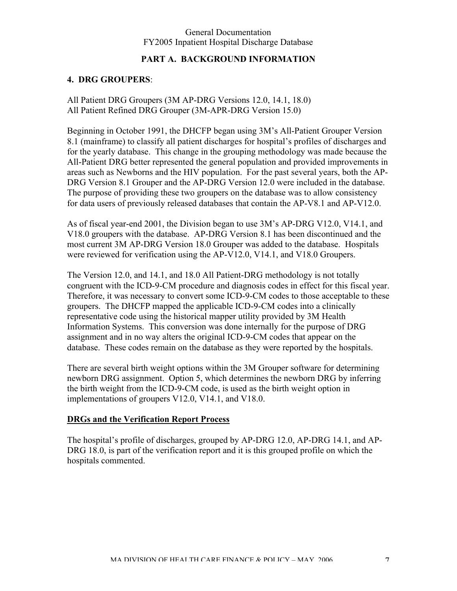## **PART A. BACKGROUND INFORMATION**

#### **4. DRG GROUPERS**:

All Patient DRG Groupers (3M AP-DRG Versions 12.0, 14.1, 18.0) All Patient Refined DRG Grouper (3M-APR-DRG Version 15.0)

Beginning in October 1991, the DHCFP began using 3M's All-Patient Grouper Version 8.1 (mainframe) to classify all patient discharges for hospital's profiles of discharges and for the yearly database. This change in the grouping methodology was made because the All-Patient DRG better represented the general population and provided improvements in areas such as Newborns and the HIV population. For the past several years, both the AP-DRG Version 8.1 Grouper and the AP-DRG Version 12.0 were included in the database. The purpose of providing these two groupers on the database was to allow consistency for data users of previously released databases that contain the AP-V8.1 and AP-V12.0.

As of fiscal year-end 2001, the Division began to use 3M's AP-DRG V12.0, V14.1, and V18.0 groupers with the database. AP-DRG Version 8.1 has been discontinued and the most current 3M AP-DRG Version 18.0 Grouper was added to the database. Hospitals were reviewed for verification using the AP-V12.0, V14.1, and V18.0 Groupers.

The Version 12.0, and 14.1, and 18.0 All Patient-DRG methodology is not totally congruent with the ICD-9-CM procedure and diagnosis codes in effect for this fiscal year. Therefore, it was necessary to convert some ICD-9-CM codes to those acceptable to these groupers. The DHCFP mapped the applicable ICD-9-CM codes into a clinically representative code using the historical mapper utility provided by 3M Health Information Systems. This conversion was done internally for the purpose of DRG assignment and in no way alters the original ICD-9-CM codes that appear on the database. These codes remain on the database as they were reported by the hospitals.

There are several birth weight options within the 3M Grouper software for determining newborn DRG assignment. Option 5, which determines the newborn DRG by inferring the birth weight from the ICD-9-CM code, is used as the birth weight option in implementations of groupers V12.0, V14.1, and V18.0.

#### **DRGs and the Verification Report Process**

The hospital's profile of discharges, grouped by AP-DRG 12.0, AP-DRG 14.1, and AP-DRG 18.0, is part of the verification report and it is this grouped profile on which the hospitals commented.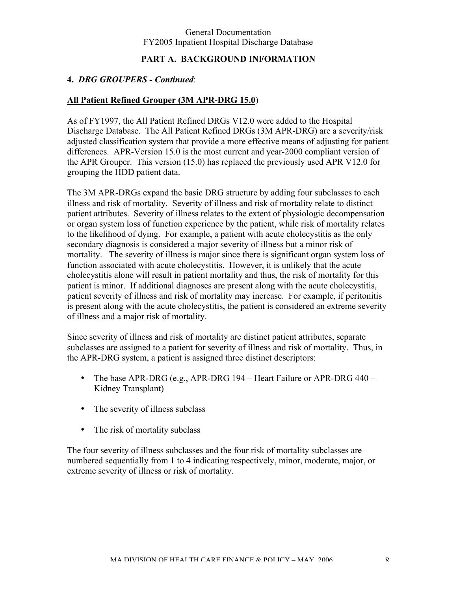## **PART A. BACKGROUND INFORMATION**

## **4.** *DRG GROUPERS - Continued*:

## **All Patient Refined Grouper (3M APR-DRG 15.0**)

As of FY1997, the All Patient Refined DRGs V12.0 were added to the Hospital Discharge Database. The All Patient Refined DRGs (3M APR-DRG) are a severity/risk adjusted classification system that provide a more effective means of adjusting for patient differences. APR-Version 15.0 is the most current and year-2000 compliant version of the APR Grouper. This version (15.0) has replaced the previously used APR V12.0 for grouping the HDD patient data.

The 3M APR-DRGs expand the basic DRG structure by adding four subclasses to each illness and risk of mortality. Severity of illness and risk of mortality relate to distinct patient attributes. Severity of illness relates to the extent of physiologic decompensation or organ system loss of function experience by the patient, while risk of mortality relates to the likelihood of dying. For example, a patient with acute cholecystitis as the only secondary diagnosis is considered a major severity of illness but a minor risk of mortality. The severity of illness is major since there is significant organ system loss of function associated with acute cholecystitis. However, it is unlikely that the acute cholecystitis alone will result in patient mortality and thus, the risk of mortality for this patient is minor. If additional diagnoses are present along with the acute cholecystitis, patient severity of illness and risk of mortality may increase. For example, if peritonitis is present along with the acute cholecystitis, the patient is considered an extreme severity of illness and a major risk of mortality.

Since severity of illness and risk of mortality are distinct patient attributes, separate subclasses are assigned to a patient for severity of illness and risk of mortality. Thus, in the APR-DRG system, a patient is assigned three distinct descriptors:

- The base APR-DRG (e.g., APR-DRG 194 Heart Failure or APR-DRG 440 Kidney Transplant)
- The severity of illness subclass
- The risk of mortality subclass

The four severity of illness subclasses and the four risk of mortality subclasses are numbered sequentially from 1 to 4 indicating respectively, minor, moderate, major, or extreme severity of illness or risk of mortality.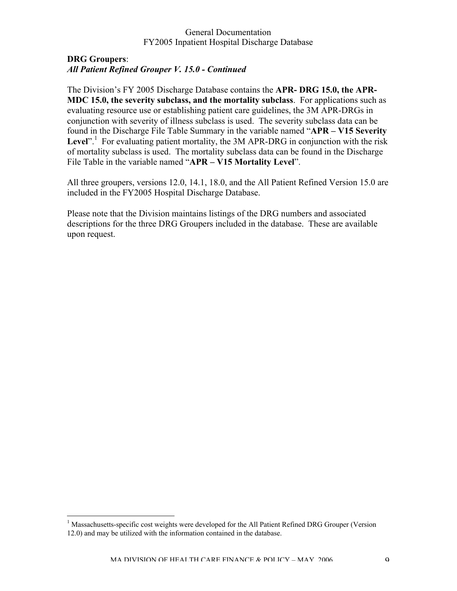#### **DRG Groupers**: *All Patient Refined Grouper V. 15.0 - Continued*

The Division's FY 2005 Discharge Database contains the **APR- DRG 15.0, the APR-MDC 15.0, the severity subclass, and the mortality subclass**. For applications such as evaluating resource use or establishing patient care guidelines, the 3M APR-DRGs in conjunction with severity of illness subclass is used. The severity subclass data can be found in the Discharge File Table Summary in the variable named "**APR – V15 Severity** Level".<sup>1</sup> For evaluating patient mortality, the 3M APR-DRG in conjunction with the risk of mortality subclass is used. The mortality subclass data can be found in the Discharge File Table in the variable named "**APR – V15 Mortality Level**".

All three groupers, versions 12.0, 14.1, 18.0, and the All Patient Refined Version 15.0 are included in the FY2005 Hospital Discharge Database.

Please note that the Division maintains listings of the DRG numbers and associated descriptions for the three DRG Groupers included in the database. These are available upon request.

 $\frac{1}{1}$ <sup>1</sup> Massachusetts-specific cost weights were developed for the All Patient Refined DRG Grouper (Version 12.0) and may be utilized with the information contained in the database.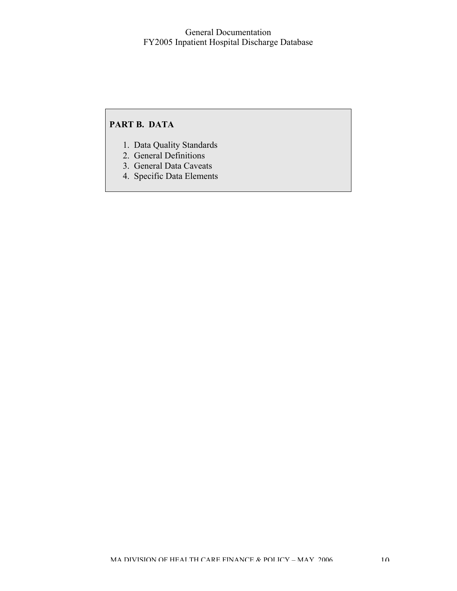# **PART B. DATA**

- 1. Data Quality Standards
- 2. General Definitions
- 3. General Data Caveats
- 4. Specific Data Elements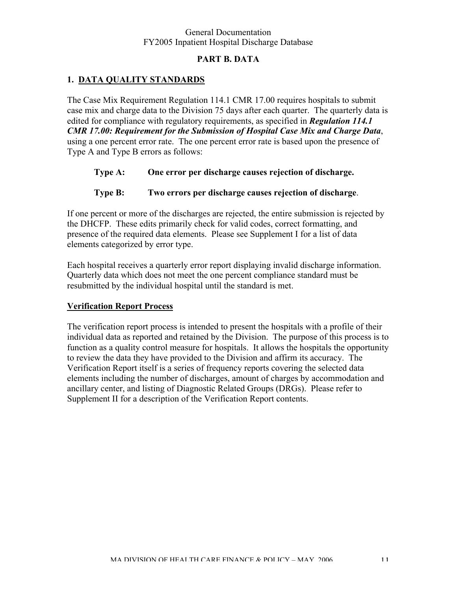# **PART B. DATA**

# **1. DATA QUALITY STANDARDS**

The Case Mix Requirement Regulation 114.1 CMR 17.00 requires hospitals to submit case mix and charge data to the Division 75 days after each quarter. The quarterly data is edited for compliance with regulatory requirements, as specified in *Regulation 114.1 CMR 17.00: Requirement for the Submission of Hospital Case Mix and Charge Data*, using a one percent error rate. The one percent error rate is based upon the presence of Type A and Type B errors as follows:

- **Type A: One error per discharge causes rejection of discharge.**
- **Type B: Two errors per discharge causes rejection of discharge**.

If one percent or more of the discharges are rejected, the entire submission is rejected by the DHCFP. These edits primarily check for valid codes, correct formatting, and presence of the required data elements. Please see Supplement I for a list of data elements categorized by error type.

Each hospital receives a quarterly error report displaying invalid discharge information. Quarterly data which does not meet the one percent compliance standard must be resubmitted by the individual hospital until the standard is met.

## **Verification Report Process**

The verification report process is intended to present the hospitals with a profile of their individual data as reported and retained by the Division. The purpose of this process is to function as a quality control measure for hospitals. It allows the hospitals the opportunity to review the data they have provided to the Division and affirm its accuracy. The Verification Report itself is a series of frequency reports covering the selected data elements including the number of discharges, amount of charges by accommodation and ancillary center, and listing of Diagnostic Related Groups (DRGs). Please refer to Supplement II for a description of the Verification Report contents.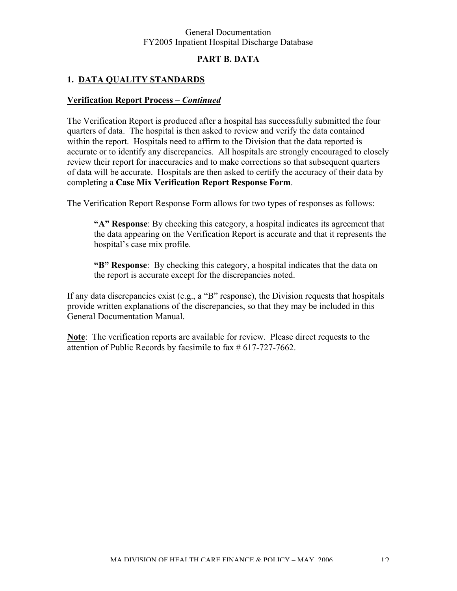# **PART B. DATA**

# **1. DATA QUALITY STANDARDS**

#### **Verification Report Process** *– Continued*

The Verification Report is produced after a hospital has successfully submitted the four quarters of data. The hospital is then asked to review and verify the data contained within the report. Hospitals need to affirm to the Division that the data reported is accurate or to identify any discrepancies. All hospitals are strongly encouraged to closely review their report for inaccuracies and to make corrections so that subsequent quarters of data will be accurate. Hospitals are then asked to certify the accuracy of their data by completing a **Case Mix Verification Report Response Form**.

The Verification Report Response Form allows for two types of responses as follows:

**"A" Response**: By checking this category, a hospital indicates its agreement that the data appearing on the Verification Report is accurate and that it represents the hospital's case mix profile.

**"B" Response**: By checking this category, a hospital indicates that the data on the report is accurate except for the discrepancies noted.

If any data discrepancies exist (e.g., a "B" response), the Division requests that hospitals provide written explanations of the discrepancies, so that they may be included in this General Documentation Manual.

**Note**: The verification reports are available for review. Please direct requests to the attention of Public Records by facsimile to fax # 617-727-7662.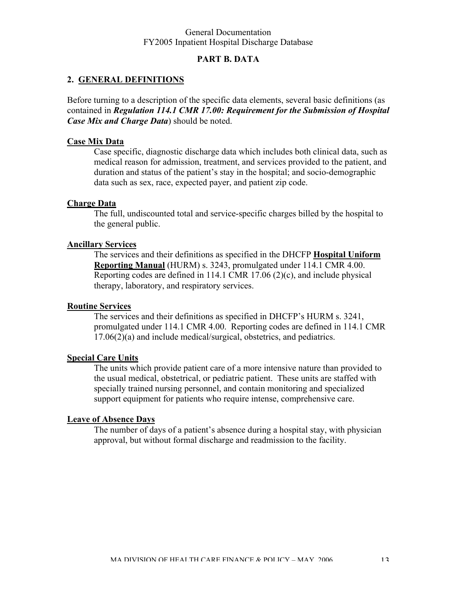## **PART B. DATA**

#### **2. GENERAL DEFINITIONS**

Before turning to a description of the specific data elements, several basic definitions (as contained in *Regulation 114.1 CMR 17.00: Requirement for the Submission of Hospital Case Mix and Charge Data*) should be noted.

#### **Case Mix Data**

Case specific, diagnostic discharge data which includes both clinical data, such as medical reason for admission, treatment, and services provided to the patient, and duration and status of the patient's stay in the hospital; and socio-demographic data such as sex, race, expected payer, and patient zip code.

#### **Charge Data**

The full, undiscounted total and service-specific charges billed by the hospital to the general public.

#### **Ancillary Services**

The services and their definitions as specified in the DHCFP **Hospital Uniform Reporting Manual** (HURM) s. 3243, promulgated under 114.1 CMR 4.00. Reporting codes are defined in 114.1 CMR 17.06 (2)(c), and include physical therapy, laboratory, and respiratory services.

#### **Routine Services**

The services and their definitions as specified in DHCFP's HURM s. 3241, promulgated under 114.1 CMR 4.00. Reporting codes are defined in 114.1 CMR 17.06(2)(a) and include medical/surgical, obstetrics, and pediatrics.

## **Special Care Units**

The units which provide patient care of a more intensive nature than provided to the usual medical, obstetrical, or pediatric patient. These units are staffed with specially trained nursing personnel, and contain monitoring and specialized support equipment for patients who require intense, comprehensive care.

#### **Leave of Absence Days**

The number of days of a patient's absence during a hospital stay, with physician approval, but without formal discharge and readmission to the facility.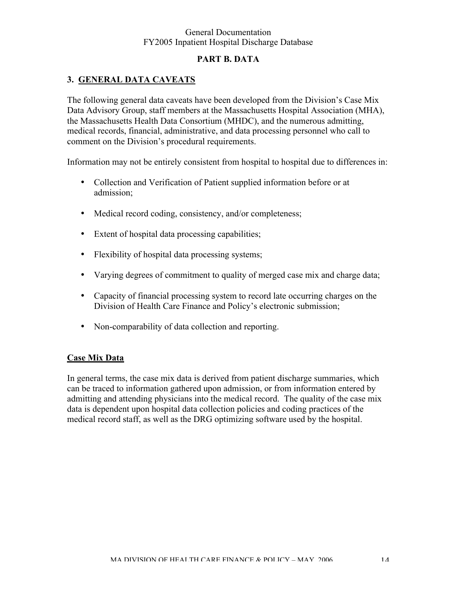# **PART B. DATA**

# **3. GENERAL DATA CAVEATS**

The following general data caveats have been developed from the Division's Case Mix Data Advisory Group, staff members at the Massachusetts Hospital Association (MHA), the Massachusetts Health Data Consortium (MHDC), and the numerous admitting, medical records, financial, administrative, and data processing personnel who call to comment on the Division's procedural requirements.

Information may not be entirely consistent from hospital to hospital due to differences in:

- Collection and Verification of Patient supplied information before or at admission;
- Medical record coding, consistency, and/or completeness;
- Extent of hospital data processing capabilities;
- Flexibility of hospital data processing systems;
- Varying degrees of commitment to quality of merged case mix and charge data;
- Capacity of financial processing system to record late occurring charges on the Division of Health Care Finance and Policy's electronic submission;
- Non-comparability of data collection and reporting.

#### **Case Mix Data**

In general terms, the case mix data is derived from patient discharge summaries, which can be traced to information gathered upon admission, or from information entered by admitting and attending physicians into the medical record. The quality of the case mix data is dependent upon hospital data collection policies and coding practices of the medical record staff, as well as the DRG optimizing software used by the hospital.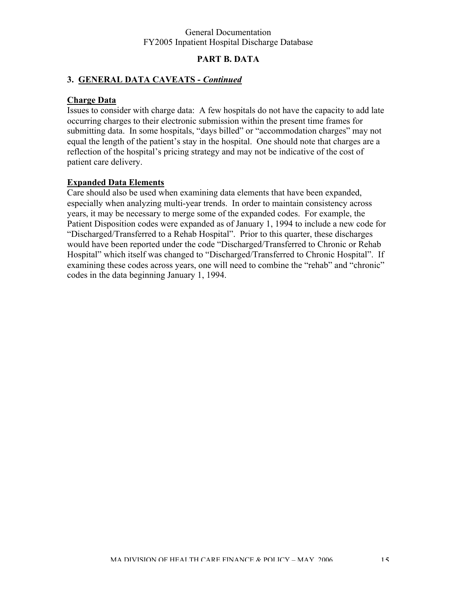## **PART B. DATA**

# **3. GENERAL DATA CAVEATS -** *Continued*

## **Charge Data**

Issues to consider with charge data: A few hospitals do not have the capacity to add late occurring charges to their electronic submission within the present time frames for submitting data. In some hospitals, "days billed" or "accommodation charges" may not equal the length of the patient's stay in the hospital. One should note that charges are a reflection of the hospital's pricing strategy and may not be indicative of the cost of patient care delivery.

#### **Expanded Data Elements**

Care should also be used when examining data elements that have been expanded, especially when analyzing multi-year trends. In order to maintain consistency across years, it may be necessary to merge some of the expanded codes. For example, the Patient Disposition codes were expanded as of January 1, 1994 to include a new code for "Discharged/Transferred to a Rehab Hospital". Prior to this quarter, these discharges would have been reported under the code "Discharged/Transferred to Chronic or Rehab Hospital" which itself was changed to "Discharged/Transferred to Chronic Hospital". If examining these codes across years, one will need to combine the "rehab" and "chronic" codes in the data beginning January 1, 1994.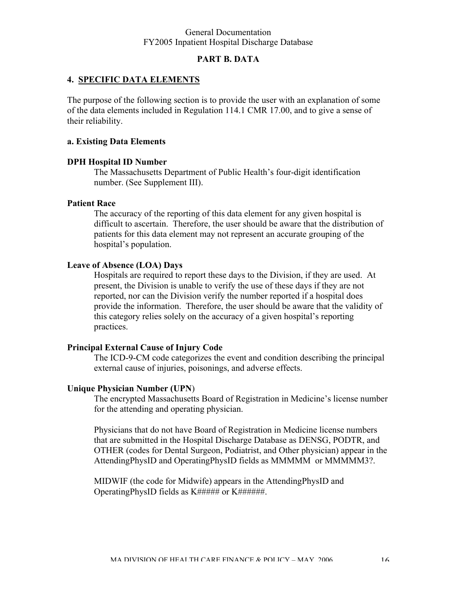## **PART B. DATA**

#### **4. SPECIFIC DATA ELEMENTS**

The purpose of the following section is to provide the user with an explanation of some of the data elements included in Regulation 114.1 CMR 17.00, and to give a sense of their reliability.

#### **a. Existing Data Elements**

#### **DPH Hospital ID Number**

The Massachusetts Department of Public Health's four-digit identification number. (See Supplement III).

#### **Patient Race**

The accuracy of the reporting of this data element for any given hospital is difficult to ascertain. Therefore, the user should be aware that the distribution of patients for this data element may not represent an accurate grouping of the hospital's population.

#### **Leave of Absence (LOA) Days**

Hospitals are required to report these days to the Division, if they are used. At present, the Division is unable to verify the use of these days if they are not reported, nor can the Division verify the number reported if a hospital does provide the information. Therefore, the user should be aware that the validity of this category relies solely on the accuracy of a given hospital's reporting practices.

#### **Principal External Cause of Injury Code**

The ICD-9-CM code categorizes the event and condition describing the principal external cause of injuries, poisonings, and adverse effects.

#### **Unique Physician Number (UPN**)

The encrypted Massachusetts Board of Registration in Medicine's license number for the attending and operating physician.

Physicians that do not have Board of Registration in Medicine license numbers that are submitted in the Hospital Discharge Database as DENSG, PODTR, and OTHER (codes for Dental Surgeon, Podiatrist, and Other physician) appear in the AttendingPhysID and OperatingPhysID fields as MMMMM or MMMMM3?.

MIDWIF (the code for Midwife) appears in the AttendingPhysID and OperatingPhysID fields as K###### or K#######.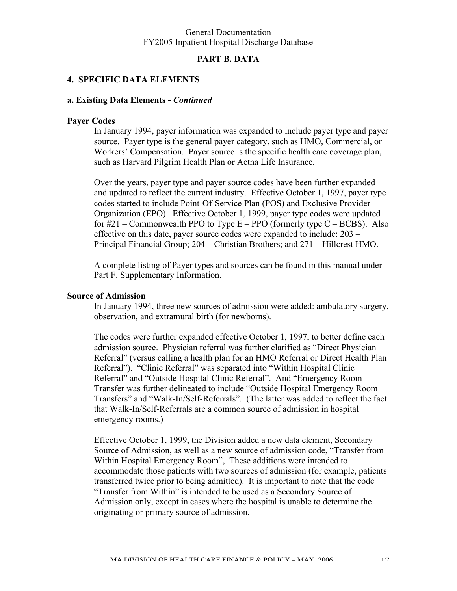#### **PART B. DATA**

#### **4. SPECIFIC DATA ELEMENTS**

#### **a. Existing Data Elements -** *Continued*

#### **Payer Codes**

In January 1994, payer information was expanded to include payer type and payer source. Payer type is the general payer category, such as HMO, Commercial, or Workers' Compensation. Payer source is the specific health care coverage plan, such as Harvard Pilgrim Health Plan or Aetna Life Insurance.

Over the years, payer type and payer source codes have been further expanded and updated to reflect the current industry. Effective October 1, 1997, payer type codes started to include Point-Of-Service Plan (POS) and Exclusive Provider Organization (EPO). Effective October 1, 1999, payer type codes were updated for  $\#21$  – Commonwealth PPO to Type E – PPO (formerly type C – BCBS). Also effective on this date, payer source codes were expanded to include: 203 – Principal Financial Group; 204 – Christian Brothers; and 271 – Hillcrest HMO.

A complete listing of Payer types and sources can be found in this manual under Part F. Supplementary Information.

#### **Source of Admission**

In January 1994, three new sources of admission were added: ambulatory surgery, observation, and extramural birth (for newborns).

The codes were further expanded effective October 1, 1997, to better define each admission source. Physician referral was further clarified as "Direct Physician Referral" (versus calling a health plan for an HMO Referral or Direct Health Plan Referral"). "Clinic Referral" was separated into "Within Hospital Clinic Referral" and "Outside Hospital Clinic Referral". And "Emergency Room Transfer was further delineated to include "Outside Hospital Emergency Room Transfers" and "Walk-In/Self-Referrals". (The latter was added to reflect the fact that Walk-In/Self-Referrals are a common source of admission in hospital emergency rooms.)

Effective October 1, 1999, the Division added a new data element, Secondary Source of Admission, as well as a new source of admission code, "Transfer from Within Hospital Emergency Room", These additions were intended to accommodate those patients with two sources of admission (for example, patients transferred twice prior to being admitted). It is important to note that the code "Transfer from Within" is intended to be used as a Secondary Source of Admission only, except in cases where the hospital is unable to determine the originating or primary source of admission.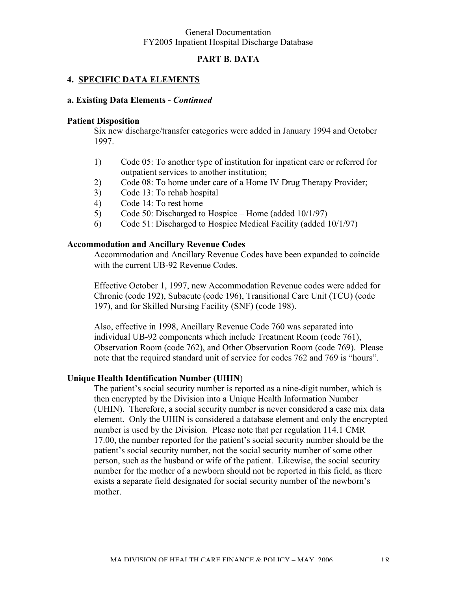## **PART B. DATA**

#### **4. SPECIFIC DATA ELEMENTS**

#### **a. Existing Data Elements -** *Continued*

#### **Patient Disposition**

Six new discharge/transfer categories were added in January 1994 and October 1997.

- 1) Code 05: To another type of institution for inpatient care or referred for outpatient services to another institution;
- 2) Code 08: To home under care of a Home IV Drug Therapy Provider;
- 3) Code 13: To rehab hospital
- 4) Code 14: To rest home
- 5) Code 50: Discharged to Hospice Home (added 10/1/97)
- 6) Code 51: Discharged to Hospice Medical Facility (added 10/1/97)

#### **Accommodation and Ancillary Revenue Codes**

Accommodation and Ancillary Revenue Codes have been expanded to coincide with the current UB-92 Revenue Codes.

Effective October 1, 1997, new Accommodation Revenue codes were added for Chronic (code 192), Subacute (code 196), Transitional Care Unit (TCU) (code 197), and for Skilled Nursing Facility (SNF) (code 198).

Also, effective in 1998, Ancillary Revenue Code 760 was separated into individual UB-92 components which include Treatment Room (code 761), Observation Room (code 762), and Other Observation Room (code 769). Please note that the required standard unit of service for codes 762 and 769 is "hours".

#### **Unique Health Identification Number (UHIN**)

The patient's social security number is reported as a nine-digit number, which is then encrypted by the Division into a Unique Health Information Number (UHIN). Therefore, a social security number is never considered a case mix data element. Only the UHIN is considered a database element and only the encrypted number is used by the Division. Please note that per regulation 114.1 CMR 17.00, the number reported for the patient's social security number should be the patient's social security number, not the social security number of some other person, such as the husband or wife of the patient. Likewise, the social security number for the mother of a newborn should not be reported in this field, as there exists a separate field designated for social security number of the newborn's mother.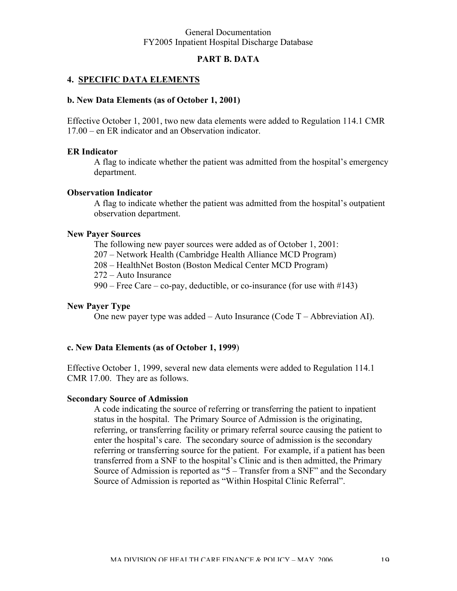#### **PART B. DATA**

#### **4. SPECIFIC DATA ELEMENTS**

#### **b. New Data Elements (as of October 1, 2001)**

Effective October 1, 2001, two new data elements were added to Regulation 114.1 CMR 17.00 – en ER indicator and an Observation indicator.

#### **ER Indicator**

A flag to indicate whether the patient was admitted from the hospital's emergency department.

#### **Observation Indicator**

A flag to indicate whether the patient was admitted from the hospital's outpatient observation department.

#### **New Payer Sources**

The following new payer sources were added as of October 1, 2001:

207 – Network Health (Cambridge Health Alliance MCD Program)

208 – HealthNet Boston (Boston Medical Center MCD Program)

272 – Auto Insurance

990 – Free Care – co-pay, deductible, or co-insurance (for use with  $\#143$ )

#### **New Payer Type**

One new payer type was added – Auto Insurance (Code T – Abbreviation AI).

#### **c. New Data Elements (as of October 1, 1999**)

Effective October 1, 1999, several new data elements were added to Regulation 114.1 CMR 17.00. They are as follows.

#### **Secondary Source of Admission**

A code indicating the source of referring or transferring the patient to inpatient status in the hospital. The Primary Source of Admission is the originating, referring, or transferring facility or primary referral source causing the patient to enter the hospital's care. The secondary source of admission is the secondary referring or transferring source for the patient. For example, if a patient has been transferred from a SNF to the hospital's Clinic and is then admitted, the Primary Source of Admission is reported as "5 – Transfer from a SNF" and the Secondary Source of Admission is reported as "Within Hospital Clinic Referral".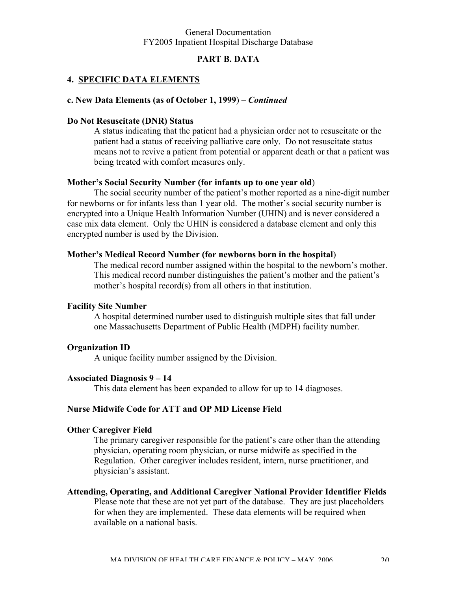## **PART B. DATA**

#### **4. SPECIFIC DATA ELEMENTS**

#### **c. New Data Elements (as of October 1, 1999**) *– Continued*

#### **Do Not Resuscitate (DNR) Status**

A status indicating that the patient had a physician order not to resuscitate or the patient had a status of receiving palliative care only. Do not resuscitate status means not to revive a patient from potential or apparent death or that a patient was being treated with comfort measures only.

#### **Mother's Social Security Number (for infants up to one year old**)

The social security number of the patient's mother reported as a nine-digit number for newborns or for infants less than 1 year old. The mother's social security number is encrypted into a Unique Health Information Number (UHIN) and is never considered a case mix data element. Only the UHIN is considered a database element and only this encrypted number is used by the Division.

#### **Mother's Medical Record Number (for newborns born in the hospital**)

The medical record number assigned within the hospital to the newborn's mother. This medical record number distinguishes the patient's mother and the patient's mother's hospital record(s) from all others in that institution.

#### **Facility Site Number**

A hospital determined number used to distinguish multiple sites that fall under one Massachusetts Department of Public Health (MDPH) facility number.

#### **Organization ID**

A unique facility number assigned by the Division.

#### **Associated Diagnosis 9 – 14**

This data element has been expanded to allow for up to 14 diagnoses.

#### **Nurse Midwife Code for ATT and OP MD License Field**

#### **Other Caregiver Field**

The primary caregiver responsible for the patient's care other than the attending physician, operating room physician, or nurse midwife as specified in the Regulation. Other caregiver includes resident, intern, nurse practitioner, and physician's assistant.

# **Attending, Operating, and Additional Caregiver National Provider Identifier Fields**

Please note that these are not yet part of the database. They are just placeholders for when they are implemented. These data elements will be required when available on a national basis.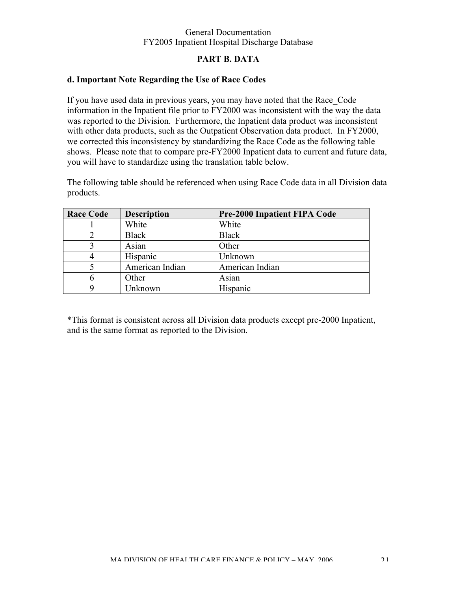# **PART B. DATA**

## **d. Important Note Regarding the Use of Race Codes**

If you have used data in previous years, you may have noted that the Race\_Code information in the Inpatient file prior to FY2000 was inconsistent with the way the data was reported to the Division. Furthermore, the Inpatient data product was inconsistent with other data products, such as the Outpatient Observation data product. In FY2000, we corrected this inconsistency by standardizing the Race Code as the following table shows. Please note that to compare pre-FY2000 Inpatient data to current and future data, you will have to standardize using the translation table below.

The following table should be referenced when using Race Code data in all Division data products.

| <b>Race Code</b> | <b>Description</b> | <b>Pre-2000 Inpatient FIPA Code</b> |
|------------------|--------------------|-------------------------------------|
|                  | White              | White                               |
|                  | <b>Black</b>       | <b>Black</b>                        |
|                  | Asian              | Other                               |
|                  | Hispanic           | Unknown                             |
|                  | American Indian    | American Indian                     |
|                  | Other              | Asian                               |
|                  | Unknown            | Hispanic                            |

\*This format is consistent across all Division data products except pre-2000 Inpatient, and is the same format as reported to the Division.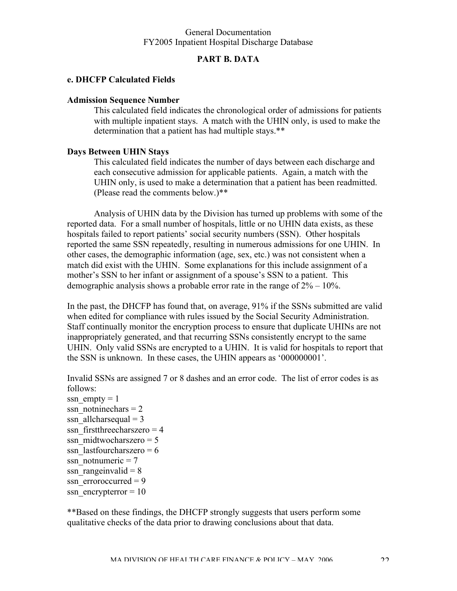#### **PART B. DATA**

#### **e. DHCFP Calculated Fields**

#### **Admission Sequence Number**

This calculated field indicates the chronological order of admissions for patients with multiple inpatient stays. A match with the UHIN only, is used to make the determination that a patient has had multiple stays.\*\*

#### **Days Between UHIN Stays**

This calculated field indicates the number of days between each discharge and each consecutive admission for applicable patients. Again, a match with the UHIN only, is used to make a determination that a patient has been readmitted. (Please read the comments below.)\*\*

Analysis of UHIN data by the Division has turned up problems with some of the reported data. For a small number of hospitals, little or no UHIN data exists, as these hospitals failed to report patients' social security numbers (SSN). Other hospitals reported the same SSN repeatedly, resulting in numerous admissions for one UHIN. In other cases, the demographic information (age, sex, etc.) was not consistent when a match did exist with the UHIN. Some explanations for this include assignment of a mother's SSN to her infant or assignment of a spouse's SSN to a patient. This demographic analysis shows a probable error rate in the range of 2% – 10%.

In the past, the DHCFP has found that, on average, 91% if the SSNs submitted are valid when edited for compliance with rules issued by the Social Security Administration. Staff continually monitor the encryption process to ensure that duplicate UHINs are not inappropriately generated, and that recurring SSNs consistently encrypt to the same UHIN. Only valid SSNs are encrypted to a UHIN. It is valid for hospitals to report that the SSN is unknown. In these cases, the UHIN appears as '000000001'.

Invalid SSNs are assigned 7 or 8 dashes and an error code. The list of error codes is as follows:

ssn  $empty = 1$ ssn\_notninechars =  $2$ ssn allcharsequal  $= 3$ ssn  $first three charges = 4$ ssn\_midtwocharszero =  $5$ ssn\_lastfourcharszero =  $6$ ssn\_notnumeric =  $7$ ssn rangeinvalid  $= 8$ ssn  $\text{error}$  = 9 ssn\_encrypterror =  $10$ 

\*\*Based on these findings, the DHCFP strongly suggests that users perform some qualitative checks of the data prior to drawing conclusions about that data.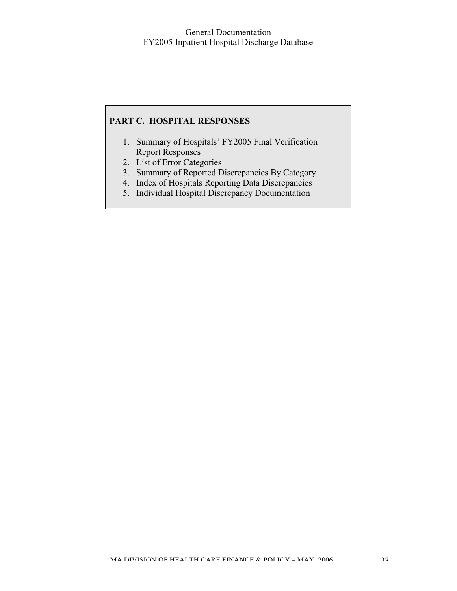## **PART C. HOSPITAL RESPONSES**

- 1. Summary of Hospitals' FY2005 Final Verification Report Responses
- 2. List of Error Categories
- 3. Summary of Reported Discrepancies By Category
- 4. Index of Hospitals Reporting Data Discrepancies
- 5. Individual Hospital Discrepancy Documentation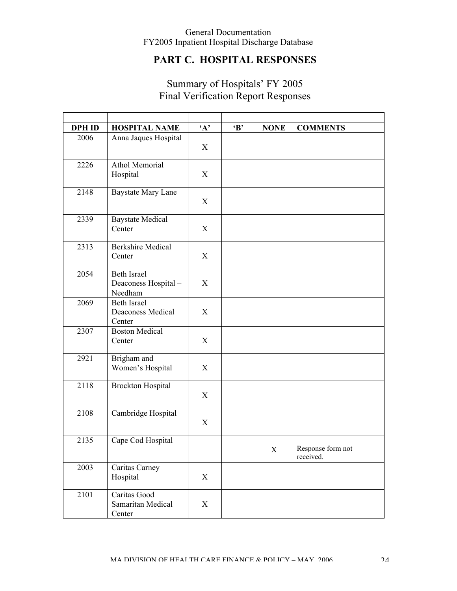# **PART C. HOSPITAL RESPONSES**

| <b>DPH ID</b> | <b>HOSPITAL NAME</b>                                 | $\mathbf{A}$ | $\bf{B}$ | <b>NONE</b> | <b>COMMENTS</b>                |
|---------------|------------------------------------------------------|--------------|----------|-------------|--------------------------------|
| 2006          | Anna Jaques Hospital                                 | X            |          |             |                                |
| 2226          | <b>Athol Memorial</b><br>Hospital                    | X            |          |             |                                |
| 2148          | <b>Baystate Mary Lane</b>                            | X            |          |             |                                |
| 2339          | <b>Baystate Medical</b><br>Center                    | X            |          |             |                                |
| 2313          | <b>Berkshire Medical</b><br>Center                   | X            |          |             |                                |
| 2054          | <b>Beth Israel</b><br>Deaconess Hospital-<br>Needham | X            |          |             |                                |
| 2069          | <b>Beth Israel</b><br>Deaconess Medical<br>Center    | X            |          |             |                                |
| 2307          | <b>Boston Medical</b><br>Center                      | X            |          |             |                                |
| 2921          | Brigham and<br>Women's Hospital                      | X            |          |             |                                |
| 2118          | <b>Brockton Hospital</b>                             | X            |          |             |                                |
| 2108          | Cambridge Hospital                                   | X            |          |             |                                |
| 2135          | Cape Cod Hospital                                    |              |          | $\mathbf X$ | Response form not<br>received. |
| 2003          | Caritas Carney<br>Hospital                           | X            |          |             |                                |
| 2101          | Caritas Good<br>Samaritan Medical<br>Center          | X            |          |             |                                |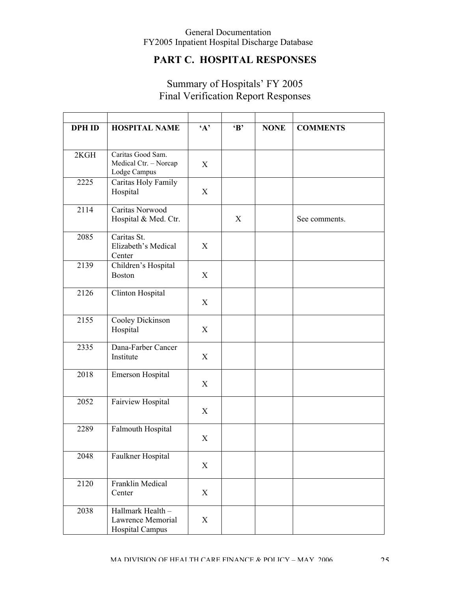# **PART C. HOSPITAL RESPONSES**

| <b>DPH ID</b> | <b>HOSPITAL NAME</b>                                             | $\mathbf{A}$ | $\bf{B}$         | <b>NONE</b> | <b>COMMENTS</b> |
|---------------|------------------------------------------------------------------|--------------|------------------|-------------|-----------------|
| 2KGH          | Caritas Good Sam.<br>Medical Ctr. - Norcap<br>Lodge Campus       | X            |                  |             |                 |
| 2225          | Caritas Holy Family<br>Hospital                                  | X            |                  |             |                 |
| 2114          | Caritas Norwood<br>Hospital & Med. Ctr.                          |              | $\boldsymbol{X}$ |             | See comments.   |
| 2085          | Caritas St.<br>Elizabeth's Medical<br>Center                     | X            |                  |             |                 |
| 2139          | Children's Hospital<br><b>Boston</b>                             | X            |                  |             |                 |
| 2126          | Clinton Hospital                                                 | X            |                  |             |                 |
| 2155          | Cooley Dickinson<br>Hospital                                     | X            |                  |             |                 |
| 2335          | Dana-Farber Cancer<br>Institute                                  | X            |                  |             |                 |
| 2018          | Emerson Hospital                                                 | X            |                  |             |                 |
| 2052          | Fairview Hospital                                                | X            |                  |             |                 |
| 2289          | Falmouth Hospital                                                | X            |                  |             |                 |
| 2048          | Faulkner Hospital                                                | X            |                  |             |                 |
| 2120          | Franklin Medical<br>Center                                       | X            |                  |             |                 |
| 2038          | Hallmark Health -<br>Lawrence Memorial<br><b>Hospital Campus</b> | X            |                  |             |                 |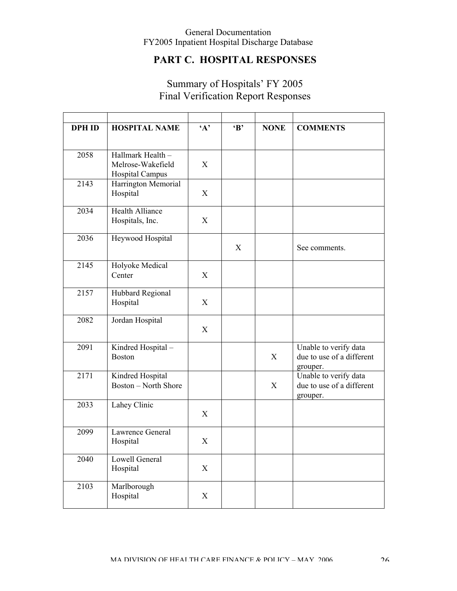# **PART C. HOSPITAL RESPONSES**

| <b>DPH ID</b> | <b>HOSPITAL NAME</b>                            | $\mathbf{A}$ | $\bf{B}$ | <b>NONE</b> | <b>COMMENTS</b>                                                |
|---------------|-------------------------------------------------|--------------|----------|-------------|----------------------------------------------------------------|
| 2058          | Hallmark Health -                               |              |          |             |                                                                |
|               | Melrose-Wakefield<br><b>Hospital Campus</b>     | X            |          |             |                                                                |
| 2143          | Harrington Memorial<br>Hospital                 | X            |          |             |                                                                |
| 2034          | Health Alliance<br>Hospitals, Inc.              | X            |          |             |                                                                |
| 2036          | Heywood Hospital                                |              | X        |             | See comments.                                                  |
| 2145          | Holyoke Medical<br>Center                       | X            |          |             |                                                                |
| 2157          | Hubbard Regional<br>Hospital                    | X            |          |             |                                                                |
| 2082          | Jordan Hospital                                 | X            |          |             |                                                                |
| 2091          | Kindred Hospital-<br><b>Boston</b>              |              |          | X           | Unable to verify data<br>due to use of a different<br>grouper. |
| 2171          | Kindred Hospital<br><b>Boston - North Shore</b> |              |          | X           | Unable to verify data<br>due to use of a different<br>grouper. |
| 2033          | Lahey Clinic                                    | X            |          |             |                                                                |
| 2099          | Lawrence General<br>Hospital                    | X            |          |             |                                                                |
| 2040          | Lowell General<br>Hospital                      | $\mathbf X$  |          |             |                                                                |
| 2103          | Marlborough<br>Hospital                         | $\mathbf X$  |          |             |                                                                |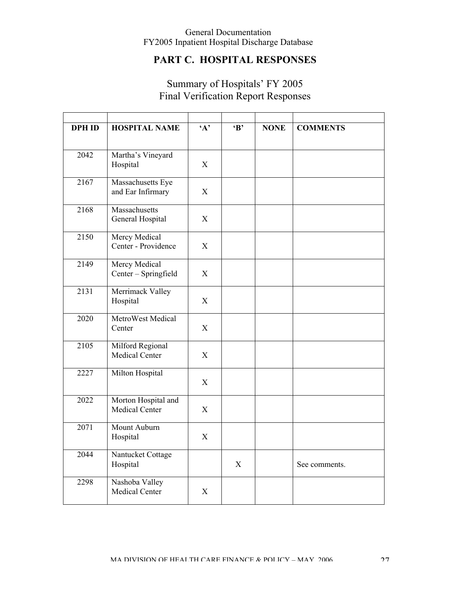# **PART C. HOSPITAL RESPONSES**

| <b>DPH ID</b> | <b>HOSPITAL NAME</b>                    | $\mathbf{A}$   | $\bf{B}$ | <b>NONE</b> | <b>COMMENTS</b> |
|---------------|-----------------------------------------|----------------|----------|-------------|-----------------|
|               |                                         |                |          |             |                 |
| 2042          | Martha's Vineyard<br>Hospital           | X              |          |             |                 |
| 2167          | Massachusetts Eye<br>and Ear Infirmary  | $\mathbf X$    |          |             |                 |
| 2168          | Massachusetts<br>General Hospital       | $\overline{X}$ |          |             |                 |
| 2150          | Mercy Medical<br>Center - Providence    | X              |          |             |                 |
| 2149          | Mercy Medical<br>Center - Springfield   | X              |          |             |                 |
| 2131          | Merrimack Valley<br>Hospital            | $\mathbf X$    |          |             |                 |
| 2020          | MetroWest Medical<br>Center             | X              |          |             |                 |
| 2105          | Milford Regional<br>Medical Center      | X              |          |             |                 |
| 2227          | Milton Hospital                         | X              |          |             |                 |
| 2022          | Morton Hospital and<br>Medical Center   | X              |          |             |                 |
| 2071          | Mount Auburn<br>Hospital                | X              |          |             |                 |
| 2044          | Nantucket Cottage<br>Hospital           |                | X        |             | See comments.   |
| 2298          | Nashoba Valley<br><b>Medical Center</b> | X              |          |             |                 |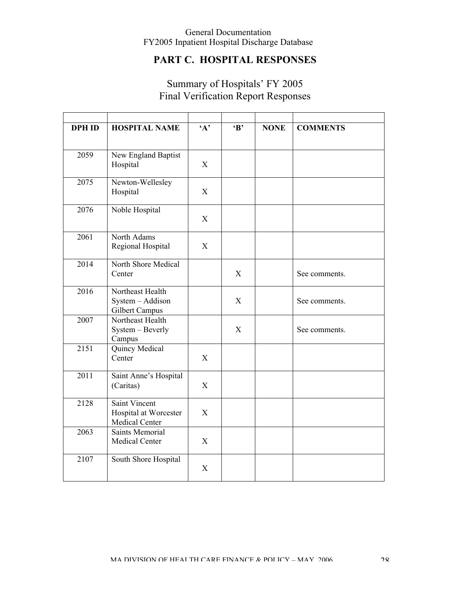# **PART C. HOSPITAL RESPONSES**

| <b>DPH ID</b> | <b>HOSPITAL NAME</b>                                            | $4^{\circ}$ | $\bf{B}$ | <b>NONE</b> | <b>COMMENTS</b> |
|---------------|-----------------------------------------------------------------|-------------|----------|-------------|-----------------|
| 2059          | New England Baptist<br>Hospital                                 | X           |          |             |                 |
| 2075          | Newton-Wellesley<br>Hospital                                    | X           |          |             |                 |
| 2076          | Noble Hospital                                                  | X           |          |             |                 |
| 2061          | North Adams<br>Regional Hospital                                | X           |          |             |                 |
| 2014          | North Shore Medical<br>Center                                   |             | X        |             | See comments.   |
| 2016          | Northeast Health<br>System - Addison<br>Gilbert Campus          |             | X        |             | See comments.   |
| 2007          | Northeast Health<br>System - Beverly<br>Campus                  |             | X        |             | See comments.   |
| 2151          | Quincy Medical<br>Center                                        | X           |          |             |                 |
| 2011          | Saint Anne's Hospital<br>(Caritas)                              | X           |          |             |                 |
| 2128          | <b>Saint Vincent</b><br>Hospital at Worcester<br>Medical Center | X           |          |             |                 |
| 2063          | <b>Saints Memorial</b><br>Medical Center                        | X           |          |             |                 |
| 2107          | South Shore Hospital                                            | X           |          |             |                 |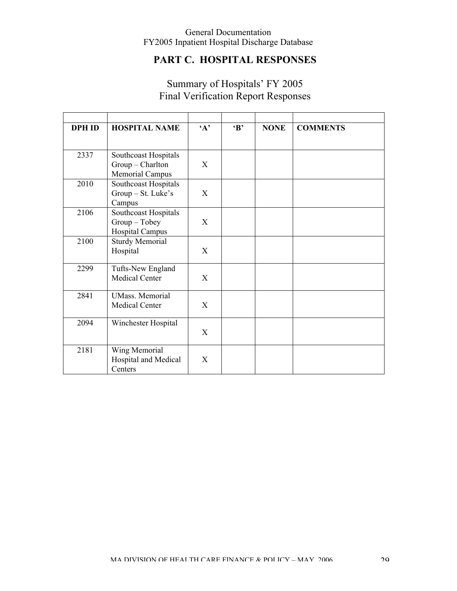# **PART C. HOSPITAL RESPONSES**

| <b>DPH ID</b> | <b>HOSPITAL NAME</b>                                              | $\mathbf{A}$ | $\bf{B}$ | <b>NONE</b> | <b>COMMENTS</b> |
|---------------|-------------------------------------------------------------------|--------------|----------|-------------|-----------------|
| 2337          | Southcoast Hospitals<br>Group - Charlton<br>Memorial Campus       | X            |          |             |                 |
| 2010          | Southcoast Hospitals<br>Group - St. Luke's<br>Campus              | X            |          |             |                 |
| 2106          | Southcoast Hospitals<br>$Group - Tobey$<br><b>Hospital Campus</b> | X            |          |             |                 |
| 2100          | <b>Sturdy Memorial</b><br>Hospital                                | X            |          |             |                 |
| 2299          | Tufts-New England<br>Medical Center                               | X            |          |             |                 |
| 2841          | <b>UMass.</b> Memorial<br>Medical Center                          | X            |          |             |                 |
| 2094          | Winchester Hospital                                               | X            |          |             |                 |
| 2181          | Wing Memorial<br>Hospital and Medical<br>Centers                  | X            |          |             |                 |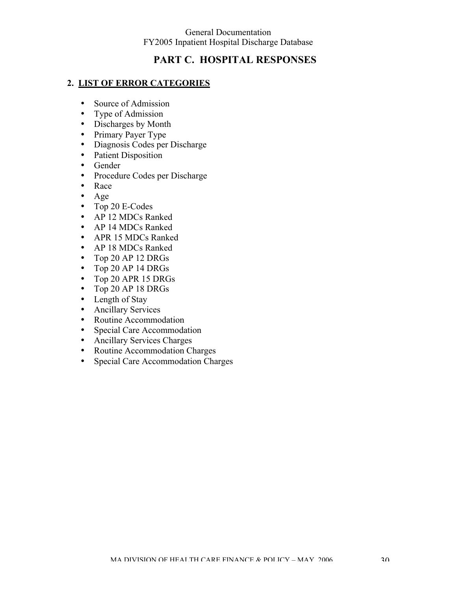# **PART C. HOSPITAL RESPONSES**

#### **2. LIST OF ERROR CATEGORIES**

- Source of Admission
- Type of Admission
- Discharges by Month
- Primary Payer Type
- Diagnosis Codes per Discharge
- Patient Disposition
- Gender
- Procedure Codes per Discharge
- Race
- Age
- Top 20 E-Codes
- AP 12 MDCs Ranked
- AP 14 MDCs Ranked
- APR 15 MDCs Ranked
- AP 18 MDCs Ranked
- Top 20 AP 12 DRGs
- Top 20 AP 14 DRGs
- Top 20 APR 15 DRGs
- Top 20 AP 18 DRGs
- Length of Stay
- Ancillary Services
- Routine Accommodation
- Special Care Accommodation
- Ancillary Services Charges
- Routine Accommodation Charges
- Special Care Accommodation Charges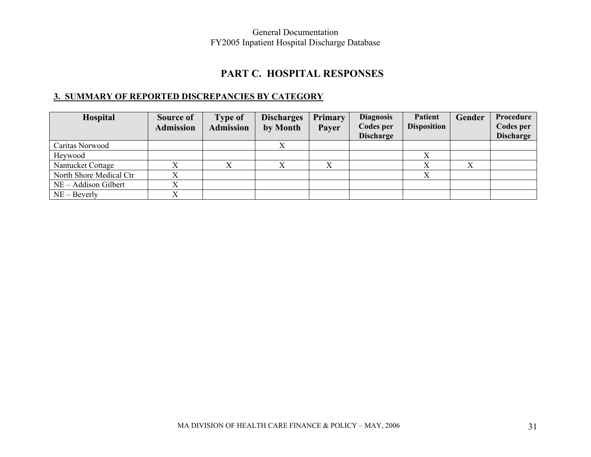# **PART C. HOSPITAL RESPONSES**

# **3. SUMMARY OF REPORTED DISCREPANCIES BY CATEGORY**

| Hospital                | Source of<br><b>Admission</b> | <b>Type of</b><br><b>Admission</b> | <b>Discharges</b><br>by Month | Primary<br>Payer | <b>Diagnosis</b><br>Codes per | <b>Patient</b><br><b>Disposition</b> | Gender    | Procedure<br>Codes per |
|-------------------------|-------------------------------|------------------------------------|-------------------------------|------------------|-------------------------------|--------------------------------------|-----------|------------------------|
|                         |                               |                                    |                               |                  | <b>Discharge</b>              |                                      |           | <b>Discharge</b>       |
| Caritas Norwood         |                               |                                    |                               |                  |                               |                                      |           |                        |
| Heywood                 |                               |                                    |                               |                  |                               |                                      |           |                        |
| Nantucket Cottage       |                               |                                    | $\mathbf{v}$                  |                  |                               |                                      | $\Lambda$ |                        |
| North Shore Medical Ctr |                               |                                    |                               |                  |                               |                                      |           |                        |
| NE – Addison Gilbert    |                               |                                    |                               |                  |                               |                                      |           |                        |
| $NE - Beverly$          |                               |                                    |                               |                  |                               |                                      |           |                        |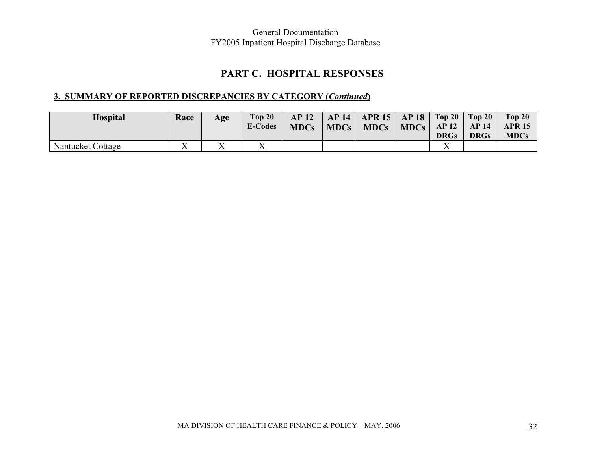# **PART C. HOSPITAL RESPONSES**

# **3. SUMMARY OF REPORTED DISCREPANCIES BY CATEGORY (***Continued***)**

| <b>Hospital</b>   | Race              | Age | Top 20<br><b>E-Codes</b> | AP <sub>12</sub><br><b>MDCs</b> | $\parallel$ MDCs $\parallel$ | AP 14   APR 15   AP 18   Top 20   Top 20  <br>$\text{MDCs}$ MDCs $AP12$ . |             | AP14        | Top 20<br><b>APR 15</b> |
|-------------------|-------------------|-----|--------------------------|---------------------------------|------------------------------|---------------------------------------------------------------------------|-------------|-------------|-------------------------|
|                   |                   |     |                          |                                 |                              |                                                                           | <b>DRGs</b> | <b>DRGs</b> | <b>MDCs</b>             |
| Nantucket Cottage | $\mathbf{x}$<br>△ |     | $\mathbf{v}$             |                                 |                              |                                                                           |             |             |                         |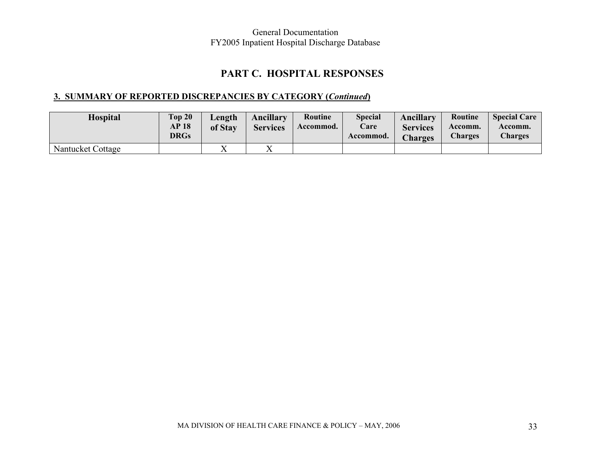# **PART C. HOSPITAL RESPONSES**

# **3. SUMMARY OF REPORTED DISCREPANCIES BY CATEGORY (***Continued***)**

| <b>Hospital</b>   | Top 20<br><b>AP 18</b><br><b>DRGs</b> | Length<br>of Stav | <b>Ancillary</b><br><b>Services</b> | Routine<br>Accommod. | <b>Special</b><br>Care<br>Accommod. | Ancillary<br><b>Services</b><br><b>Charges</b> | Routine<br>Accomm.<br><b>Charges</b> | <b>Special Care</b><br>Accomm.<br><b>Charges</b> |
|-------------------|---------------------------------------|-------------------|-------------------------------------|----------------------|-------------------------------------|------------------------------------------------|--------------------------------------|--------------------------------------------------|
| Nantucket Cottage |                                       |                   | $\mathbf{v}$<br>∡⊾                  |                      |                                     |                                                |                                      |                                                  |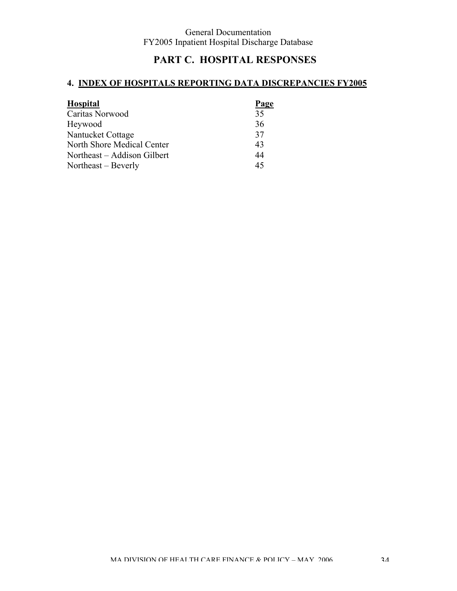# **PART C. HOSPITAL RESPONSES**

## **4. INDEX OF HOSPITALS REPORTING DATA DISCREPANCIES FY2005**

| <b>Hospital</b>             | Page |
|-----------------------------|------|
| Caritas Norwood             | 35   |
| Heywood                     | 36   |
| Nantucket Cottage           | 37   |
| North Shore Medical Center  | 43   |
| Northeast – Addison Gilbert | 44   |
| Northeast – Beverly         | 45   |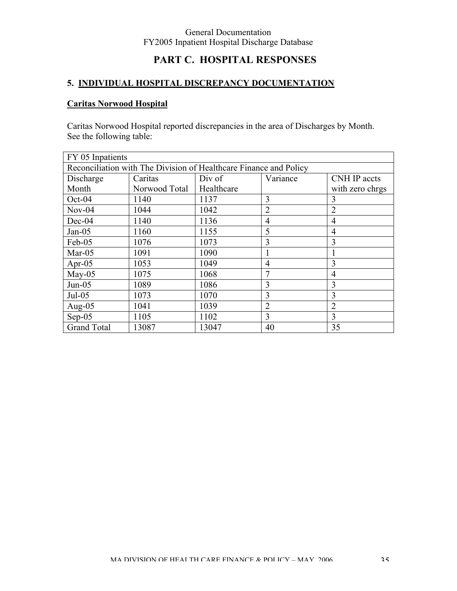## **PART C. HOSPITAL RESPONSES**

### **5. INDIVIDUAL HOSPITAL DISCREPANCY DOCUMENTATION**

### **Caritas Norwood Hospital**

Caritas Norwood Hospital reported discrepancies in the area of Discharges by Month. See the following table:

| FY 05 Inpatients   |                                                                   |            |                |                     |  |
|--------------------|-------------------------------------------------------------------|------------|----------------|---------------------|--|
|                    | Reconciliation with The Division of Healthcare Finance and Policy |            |                |                     |  |
| Discharge          | Caritas                                                           | Div of     | Variance       | <b>CNH IP accts</b> |  |
| Month              | Norwood Total                                                     | Healthcare |                | with zero chrgs     |  |
| $Oct-04$           | 1140                                                              | 1137       | 3              | 3                   |  |
| $Nov-04$           | 1044                                                              | 1042       | $\overline{2}$ | $\overline{2}$      |  |
| Dec-04             | 1140                                                              | 1136       | $\overline{4}$ | 4                   |  |
| $Jan-05$           | 1160                                                              | 1155       | 5              | 4                   |  |
| Feb-05             | 1076                                                              | 1073       | 3              | 3                   |  |
| $Mar-05$           | 1091                                                              | 1090       |                |                     |  |
| Apr-05             | 1053                                                              | 1049       | $\overline{4}$ | 3                   |  |
| $May-05$           | 1075                                                              | 1068       | 7              | 4                   |  |
| $Jun-05$           | 1089                                                              | 1086       | 3              | 3                   |  |
| $Jul-05$           | 1073                                                              | 1070       | 3              | 3                   |  |
| Aug- $05$          | 1041                                                              | 1039       | $\overline{2}$ | $\overline{2}$      |  |
| $Sep-05$           | 1105                                                              | 1102       | 3              | 3                   |  |
| <b>Grand Total</b> | 13087                                                             | 13047      | 40             | 35                  |  |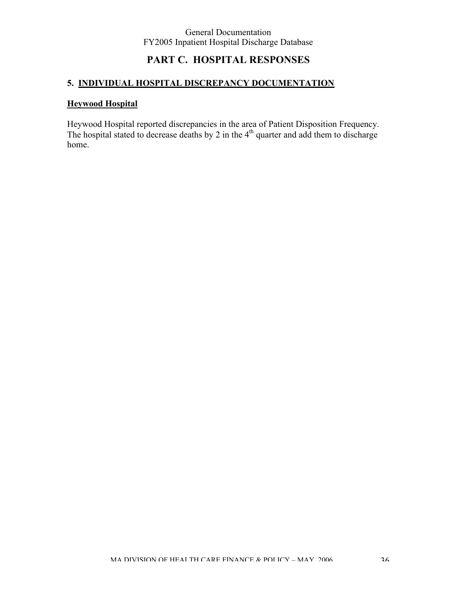## **PART C. HOSPITAL RESPONSES**

# **5. INDIVIDUAL HOSPITAL DISCREPANCY DOCUMENTATION**

### **Heywood Hospital**

Heywood Hospital reported discrepancies in the area of Patient Disposition Frequency. The hospital stated to decrease deaths by 2 in the  $4<sup>th</sup>$  quarter and add them to discharge home.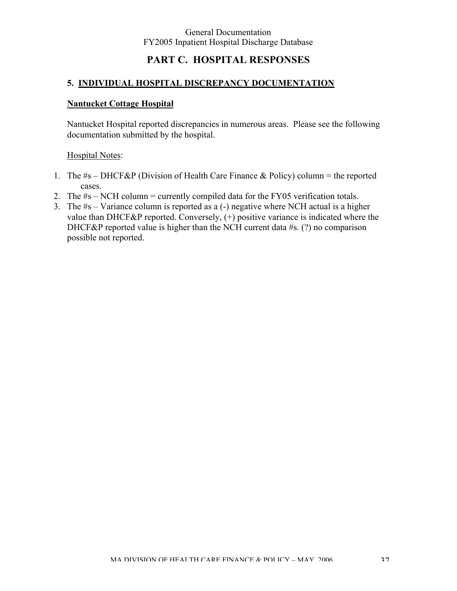## **PART C. HOSPITAL RESPONSES**

#### **5. INDIVIDUAL HOSPITAL DISCREPANCY DOCUMENTATION**

#### **Nantucket Cottage Hospital**

Nantucket Hospital reported discrepancies in numerous areas. Please see the following documentation submitted by the hospital.

#### Hospital Notes:

- 1. The  $#s DHCF\&P$  (Division of Health Care Finance  $\&$  Policy) column = the reported cases.
- 2. The #s NCH column = currently compiled data for the FY05 verification totals.
- 3. The #s Variance column is reported as a (-) negative where NCH actual is a higher value than DHCF&P reported. Conversely, (+) positive variance is indicated where the DHCF&P reported value is higher than the NCH current data #s. (?) no comparison possible not reported.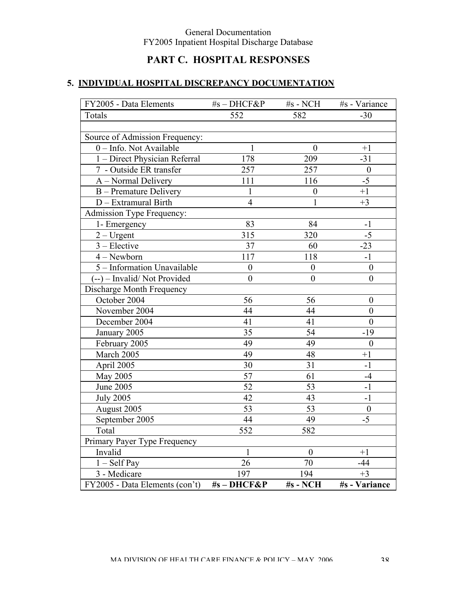# **PART C. HOSPITAL RESPONSES**

| FY2005 - Data Elements         | #s-DHCF&P        | #s - NCH         | #s - Variance    |
|--------------------------------|------------------|------------------|------------------|
| Totals                         | 552              | 582              | $-30$            |
|                                |                  |                  |                  |
| Source of Admission Frequency: |                  |                  |                  |
| 0 - Info. Not Available        |                  | $\bf{0}$         | $+1$             |
| 1 - Direct Physician Referral  | 178              | 209              | $-31$            |
| 7 - Outside ER transfer        | 257              | 257              | $\boldsymbol{0}$ |
| A - Normal Delivery            | 111              | 116              | $-5$             |
| B - Premature Delivery         | $\mathbf{1}$     | $\boldsymbol{0}$ | $+1$             |
| D - Extramural Birth           | $\overline{4}$   | 1                | $+3$             |
| Admission Type Frequency:      |                  |                  |                  |
| 1- Emergency                   | 83               | 84               | $-1$             |
| $2 - U$ rgent                  | 315              | 320              | $-5$             |
| $3 - Electric$                 | 37               | 60               | $-23$            |
| $4 -$ Newborn                  | 117              | 118              | $-1$             |
| 5 - Information Unavailable    | $\boldsymbol{0}$ | $\boldsymbol{0}$ | $\boldsymbol{0}$ |
| (--) – Invalid/Not Provided    | $\boldsymbol{0}$ | $\overline{0}$   | $\boldsymbol{0}$ |
| Discharge Month Frequency      |                  |                  |                  |
| October 2004                   | 56               | 56               | $\boldsymbol{0}$ |
| November 2004                  | 44               | 44               | $\overline{0}$   |
| December 2004                  | 41               | 41               | $\boldsymbol{0}$ |
| January 2005                   | 35               | 54               | $-19$            |
| February 2005                  | 49               | 49               | $\boldsymbol{0}$ |
| March 2005                     | 49               | 48               | $+1$             |
| April 2005                     | 30               | 31               | $-1$             |
| May 2005                       | 57               | 61               | $-4$             |
| June 2005                      | 52               | 53               | $-1$             |
| <b>July 2005</b>               | 42               | 43               | $-1$             |
| August 2005                    | 53               | 53               | $\boldsymbol{0}$ |
| September 2005                 | 44               | 49               | $-5$             |
| Total                          | 552              | 582              |                  |
| Primary Payer Type Frequency   |                  |                  |                  |
| Invalid                        | $\mathbf{I}$     | $\boldsymbol{0}$ | $+1$             |
| $1 - Self Pay$                 | 26               | 70               | -44              |
| 3 - Medicare                   | 197              | 194              | $+3$             |
| FY2005 - Data Elements (con't) | #s-DHCF&P        | #s - NCH         | #s - Variance    |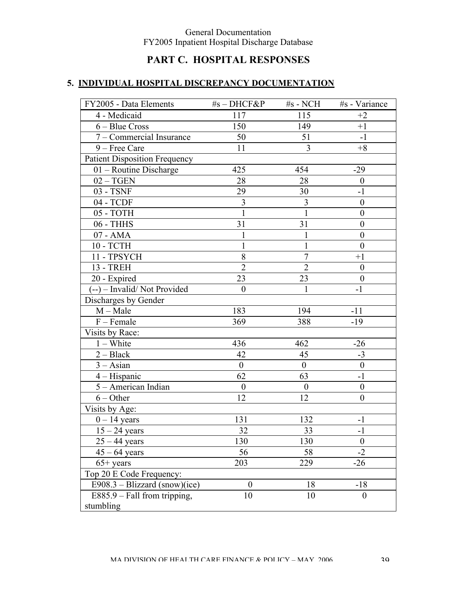# **PART C. HOSPITAL RESPONSES**

| FY2005 - Data Elements               | #s-DHCF&P        | $#s$ - NCH     | #s - Variance    |
|--------------------------------------|------------------|----------------|------------------|
| 4 - Medicaid                         | 117              | 115            | $+2$             |
| $6 - Blue Cross$                     | 150              | 149            | $+1$             |
| 7 – Commercial Insurance             | 50               | 51             | $-1$             |
| 9 - Free Care                        | 11               | 3              | $+8$             |
| <b>Patient Disposition Frequency</b> |                  |                |                  |
| 01 - Routine Discharge               | 425              | 454            | $-29$            |
| $02 - TGEN$                          | 28               | 28             | $\boldsymbol{0}$ |
| 03 - TSNF                            | 29               | 30             | $-1$             |
| 04 - TCDF                            | 3                | 3              | $\boldsymbol{0}$ |
| 05 - TOTH                            | $\mathbf{1}$     | $\mathbf{1}$   | $\boldsymbol{0}$ |
| 06 - THHS                            | 31               | 31             | $\theta$         |
| 07 - AMA                             | $\mathbf{1}$     | 1              | $\boldsymbol{0}$ |
| 10 - TCTH                            | $\mathbf{1}$     | 1              | $\boldsymbol{0}$ |
| 11 - TPSYCH                          | 8                | $\overline{7}$ | $+1$             |
| <b>13 - TREH</b>                     | $\overline{2}$   | $\overline{2}$ | $\boldsymbol{0}$ |
| 20 - Expired                         | 23               | 23             | $\theta$         |
| (--) – Invalid/Not Provided          | $\boldsymbol{0}$ | 1              | $-1$             |
| Discharges by Gender                 |                  |                |                  |
| $M - Male$                           | 183              | 194            | $-11$            |
| $F$ – Female                         | 369              | 388            | $-19$            |
| Visits by Race:                      |                  |                |                  |
| $1 - White$                          | 436              | 462            | $-26$            |
| $2 - Black$                          | 42               | 45             | $-3$             |
| $3 - Asian$                          | $\overline{0}$   | $\overline{0}$ | $\boldsymbol{0}$ |
| $4 - Hispanic$                       | 62               | 63             | $-1$             |
| 5 - American Indian                  | $\boldsymbol{0}$ | $\overline{0}$ | $\boldsymbol{0}$ |
| $6 - Other$                          | 12               | 12             | $\overline{0}$   |
| Visits by Age:                       |                  |                |                  |
| $0 - 14$ years                       | 131              | 132            | $-1$             |
| $15 - 24$ years                      | 32               | 33             | $-1$             |
| $25 - 44$ years                      | 130              | 130            | $\theta$         |
| $45 - 64$ years                      | 56               | 58             | $-2$             |
| $65+$ years                          | 203              | 229            | $-26$            |
| Top 20 E Code Frequency:             |                  |                |                  |
| $E908.3 - Blizzard (snow)(ice)$      | $\boldsymbol{0}$ | 18             | $-18$            |
| E885.9 - Fall from tripping,         | 10               | 10             | $\overline{0}$   |
| stumbling                            |                  |                |                  |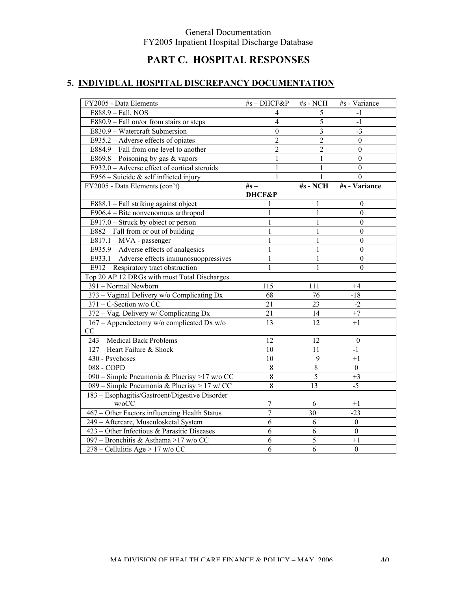# **PART C. HOSPITAL RESPONSES**

| FY2005 - Data Elements                         | #s-DHCF&P        | $\#s$ - NCH    | #s - Variance    |
|------------------------------------------------|------------------|----------------|------------------|
| E888.9 - Fall, NOS                             | 4                | 5              | $-1$             |
| $E880.9 - Fall$ on/or from stairs or steps     | $\overline{4}$   | 5              | $-1$             |
| E830.9 - Watercraft Submersion                 | $\boldsymbol{0}$ | $\overline{3}$ | $-3$             |
| E935.2 – Adverse effects of opiates            | $\overline{2}$   | $\overline{2}$ | $\boldsymbol{0}$ |
| E884.9 - Fall from one level to another        | $\overline{2}$   | $\overline{2}$ | $\theta$         |
| E869.8 – Poisoning by gas $&$ vapors           | 1                | 1              | $\boldsymbol{0}$ |
| E932.0 - Adverse effect of cortical steroids   | $\mathbf{1}$     | 1              | $\boldsymbol{0}$ |
| E956 – Suicide & self inflicted injury         | $\mathbf{1}$     | 1              | $\theta$         |
| FY2005 - Data Elements (con't)                 | $#s -$           | #s - NCH       | #s - Variance    |
|                                                | DHCF&P           |                |                  |
| E888.1 - Fall striking against object          |                  | 1              | $\boldsymbol{0}$ |
| E906.4 - Bite nonvenomous arthropod            |                  | $\mathbf{1}$   | $\theta$         |
| $E917.0$ – Struck by object or person          |                  | 1              | $\theta$         |
| E882 - Fall from or out of building            |                  | 1              | $\theta$         |
| E817.1 - MVA - passenger                       | 1                | $\mathbf{1}$   | $\boldsymbol{0}$ |
| $E935.9 - Adverse$ effects of analgesics       | 1                | $\mathbf{1}$   | $\boldsymbol{0}$ |
| E933.1 - Adverse effects immunosuoppressives   | $\mathbf{1}$     | 1              | $\boldsymbol{0}$ |
| E912 - Respiratory tract obstruction           | $\mathbf{1}$     | 1              | $\mathbf{0}$     |
| Top 20 AP 12 DRGs with most Total Discharges   |                  |                |                  |
| 391 - Normal Newborn                           | 115              | 111            | $+4$             |
| 373 - Vaginal Delivery w/o Complicating Dx     | 68               | 76             | $-18$            |
| 371 - C-Section w/o CC                         | 21               | 23             | $-2$             |
| 372 - Vag. Delivery w/ Complicating Dx         | 21               | 14             | $+7$             |
| 167 - Appendectomy w/o complicated Dx w/o      | 13               | 12             | $+1$             |
| CC                                             |                  |                |                  |
| 243 - Medical Back Problems                    | 12               | 12             | $\boldsymbol{0}$ |
| 127 - Heart Failure & Shock                    | 10               | 11             | $-1$             |
| 430 - Psychoses                                | 10               | 9              | $+1$             |
| 088 - COPD                                     | 8                | $\,8\,$        | $\boldsymbol{0}$ |
| 090 – Simple Pneumonia & Pluerisy >17 w/o CC   | 8                | 5              | $+3$             |
| 089 – Simple Pneumonia & Pluerisy > 17 w/ CC   | 8                | 13             | $-5$             |
| 183 - Esophagitis/Gastroent/Digestive Disorder |                  |                |                  |
| w/oCC                                          | 7                | 6              | $+1$             |
| 467 – Other Factors influencing Health Status  | 7                | 30             | $-23$            |
| 249 - Aftercare, Musculosketal System          | 6                | 6              | $\theta$         |
| 423 – Other Infectious & Parasitic Diseases    | 6                | 6              | $\boldsymbol{0}$ |
| 097 - Bronchitis & Asthama >17 w/o CC          | 6                | 5              | $+1$             |
| 278 – Cellulitis Age > 17 w/o CC               | 6                | 6              | $\mathbf{0}$     |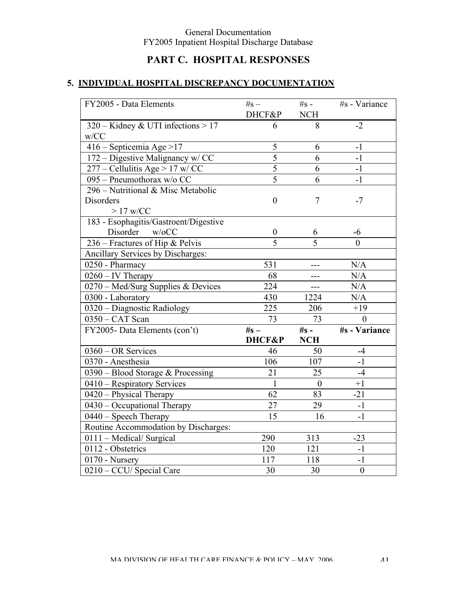# **PART C. HOSPITAL RESPONSES**

| FY2005 - Data Elements                | $#s -$           | $\#s -$          | #s - Variance        |
|---------------------------------------|------------------|------------------|----------------------|
|                                       | DHCF&P           | <b>NCH</b>       |                      |
| 320 – Kidney & UTI infections $> 17$  | 6                | 8                | $-2$                 |
| w/CC                                  |                  |                  |                      |
| 416 - Septicemia Age > 17             | 5                | 6                | $-1$                 |
| 172 – Digestive Malignancy w/ CC      | $\overline{5}$   | 6                | $-1$                 |
| $277$ – Cellulitis Age > 17 w/ CC     | 5                | 6                | $-1$                 |
| 095 - Pneumothorax w/o CC             | $\overline{5}$   | $\overline{6}$   | $-1$                 |
| 296 – Nutritional & Misc Metabolic    |                  |                  |                      |
| Disorders                             | $\boldsymbol{0}$ | 7                | $-7$                 |
| $>17$ w/CC                            |                  |                  |                      |
| 183 - Esophagitis/Gastroent/Digestive |                  |                  |                      |
| Disorder<br>w/6CC                     | $\boldsymbol{0}$ | 6                | -6                   |
| 236 – Fractures of Hip & Pelvis       | $\overline{5}$   | $\overline{5}$   | $\theta$             |
| Ancillary Services by Discharges:     |                  |                  |                      |
| 0250 - Pharmacy                       | 531              |                  | N/A                  |
| $0260 - IV$ Therapy                   | 68               | $---$            | N/A                  |
| 0270 – Med/Surg Supplies & Devices    | 224              | ---              | N/A                  |
| 0300 - Laboratory                     | 430              | 1224             | N/A                  |
| 0320 - Diagnostic Radiology           | 225              | 206              | $+19$                |
| 0350 - CAT Scan                       | 73               | 73               | $\theta$             |
| FY2005- Data Elements (con't)         | $#s -$           | $\#s -$          | <b>#s</b> - Variance |
|                                       | DHCF&P           | <b>NCH</b>       |                      |
| 0360 - OR Services                    | 46               | 50               | $-4$                 |
| 0370 - Anesthesia                     | 106              | 107              | $-1$                 |
| $0390$ – Blood Storage & Processing   | 21               | 25               | $-4$                 |
| 0410 – Respiratory Services           | $\mathbf{1}$     | $\boldsymbol{0}$ | $+1$                 |
| 0420 - Physical Therapy               | 62               | 83               | $-21$                |
| 0430 - Occupational Therapy           | $\overline{27}$  | 29               | $-1$                 |
| 0440 - Speech Therapy                 | 15               | 16               | $-1$                 |
| Routine Accommodation by Discharges:  |                  |                  |                      |
| 0111 - Medical/ Surgical              | 290              | 313              | $-23$                |
| 0112 - Obstetrics                     | 120              | 121              | $-1$                 |
| 0170 - Nursery                        | 117              | 118              | $-1$                 |
| 0210 - CCU/ Special Care              | 30               | 30               | $\boldsymbol{0}$     |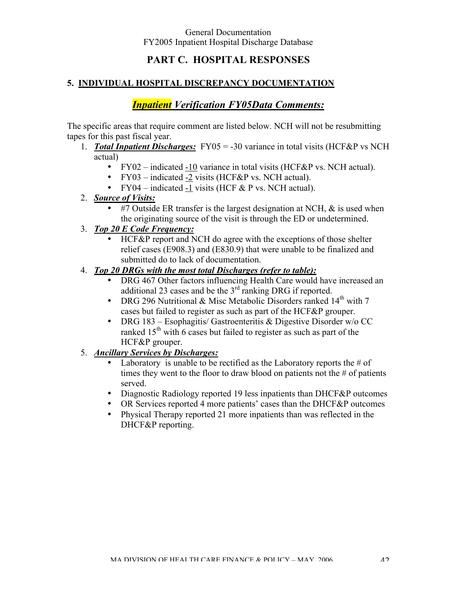## **PART C. HOSPITAL RESPONSES**

#### **5. INDIVIDUAL HOSPITAL DISCREPANCY DOCUMENTATION**

## *Inpatient Verification FY05Data Comments:*

The specific areas that require comment are listed below. NCH will not be resubmitting tapes for this past fiscal year.

- 1. *Total Inpatient Discharges:* FY05 = -30 variance in total visits (HCF&P vs NCH actual)
	- FY02 indicated -10 variance in total visits (HCF&P vs. NCH actual).
	- FY03 indicated -2 visits (HCF&P vs. NCH actual).
	- FY04 indicated -1 visits (HCF  $&$  P vs. NCH actual).
- 2. *Source of Visits:*
	- #7 Outside ER transfer is the largest designation at NCH,  $\&$  is used when the originating source of the visit is through the ED or undetermined.
- 3. *Top 20 E Code Frequency:*
	- HCF&P report and NCH do agree with the exceptions of those shelter relief cases (E908.3) and (E830.9) that were unable to be finalized and submitted do to lack of documentation.
- 4. *Top 20 DRGs with the most total Discharges (refer to table):*
	- DRG 467 Other factors influencing Health Care would have increased an additional 23 cases and be the  $3<sup>rd</sup>$  ranking DRG if reported.
	- DRG 296 Nutritional & Misc Metabolic Disorders ranked  $14<sup>th</sup>$  with 7 cases but failed to register as such as part of the HCF&P grouper.
	- DRG 183 Esophagitis/ Gastroenteritis & Digestive Disorder w/o CC ranked  $15<sup>th</sup>$  with 6 cases but failed to register as such as part of the HCF&P grouper.
- 5. *Ancillary Services by Discharges:*
	- Laboratory is unable to be rectified as the Laboratory reports the  $\#$  of times they went to the floor to draw blood on patients not the # of patients served.
	- Diagnostic Radiology reported 19 less inpatients than DHCF&P outcomes
	- OR Services reported 4 more patients' cases than the DHCF&P outcomes
	- Physical Therapy reported 21 more inpatients than was reflected in the DHCF&P reporting.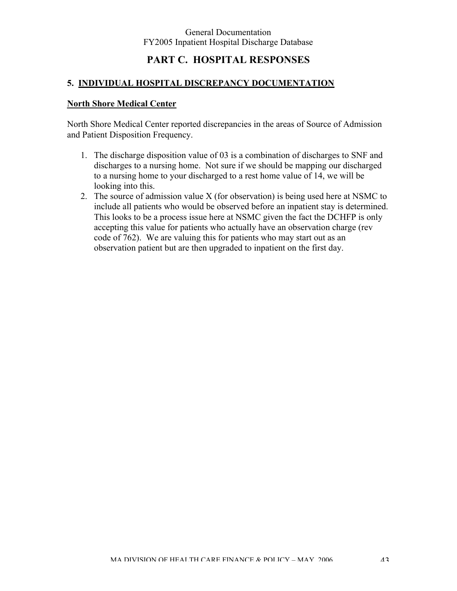## **PART C. HOSPITAL RESPONSES**

### **5. INDIVIDUAL HOSPITAL DISCREPANCY DOCUMENTATION**

#### **North Shore Medical Center**

North Shore Medical Center reported discrepancies in the areas of Source of Admission and Patient Disposition Frequency.

- 1. The discharge disposition value of 03 is a combination of discharges to SNF and discharges to a nursing home. Not sure if we should be mapping our discharged to a nursing home to your discharged to a rest home value of 14, we will be looking into this.
- 2. The source of admission value X (for observation) is being used here at NSMC to include all patients who would be observed before an inpatient stay is determined. This looks to be a process issue here at NSMC given the fact the DCHFP is only accepting this value for patients who actually have an observation charge (rev code of 762). We are valuing this for patients who may start out as an observation patient but are then upgraded to inpatient on the first day.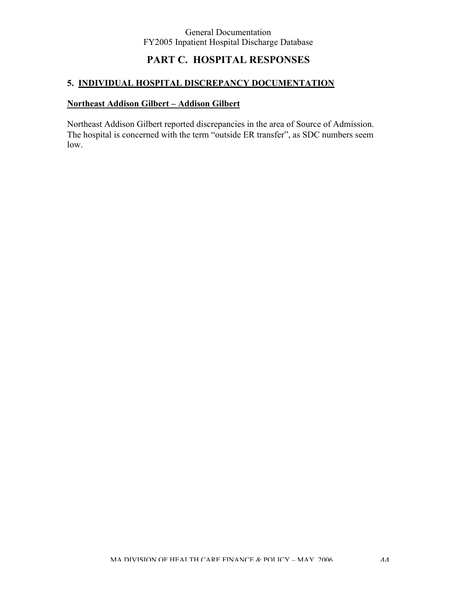# **PART C. HOSPITAL RESPONSES**

### **5. INDIVIDUAL HOSPITAL DISCREPANCY DOCUMENTATION**

#### **Northeast Addison Gilbert – Addison Gilbert**

Northeast Addison Gilbert reported discrepancies in the area of Source of Admission. The hospital is concerned with the term "outside ER transfer", as SDC numbers seem low.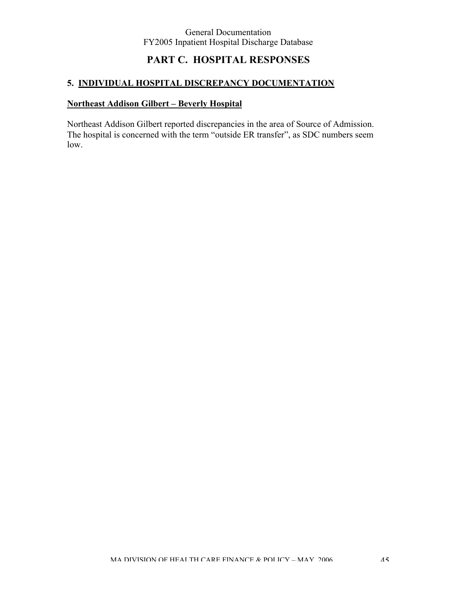# **PART C. HOSPITAL RESPONSES**

### **5. INDIVIDUAL HOSPITAL DISCREPANCY DOCUMENTATION**

#### **Northeast Addison Gilbert – Beverly Hospital**

Northeast Addison Gilbert reported discrepancies in the area of Source of Admission. The hospital is concerned with the term "outside ER transfer", as SDC numbers seem low.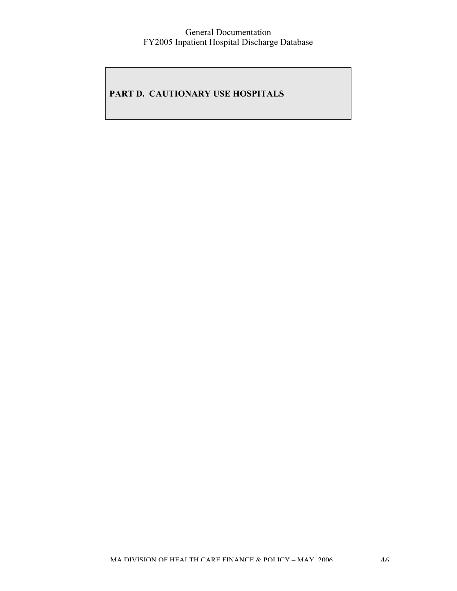## **PART D. CAUTIONARY USE HOSPITALS**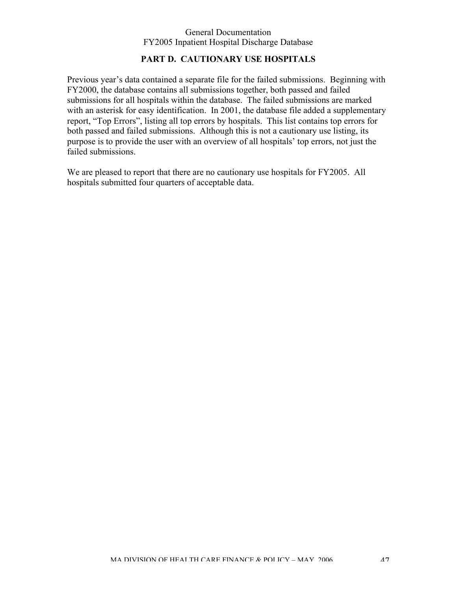### **PART D. CAUTIONARY USE HOSPITALS**

Previous year's data contained a separate file for the failed submissions. Beginning with FY2000, the database contains all submissions together, both passed and failed submissions for all hospitals within the database. The failed submissions are marked with an asterisk for easy identification. In 2001, the database file added a supplementary report, "Top Errors", listing all top errors by hospitals. This list contains top errors for both passed and failed submissions. Although this is not a cautionary use listing, its purpose is to provide the user with an overview of all hospitals' top errors, not just the failed submissions.

We are pleased to report that there are no cautionary use hospitals for FY2005. All hospitals submitted four quarters of acceptable data.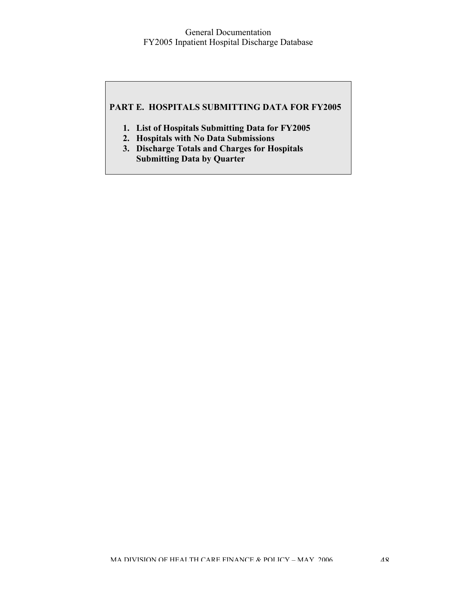### **PART E. HOSPITALS SUBMITTING DATA FOR FY2005**

- **1. List of Hospitals Submitting Data for FY2005**
- **2. Hospitals with No Data Submissions**
- **3. Discharge Totals and Charges for Hospitals Submitting Data by Quarter**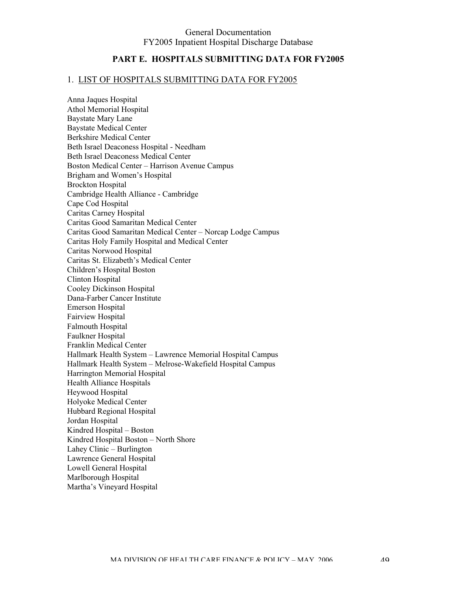#### **PART E. HOSPITALS SUBMITTING DATA FOR FY2005**

#### 1. LIST OF HOSPITALS SUBMITTING DATA FOR FY2005

Anna Jaques Hospital Athol Memorial Hospital Baystate Mary Lane Baystate Medical Center Berkshire Medical Center Beth Israel Deaconess Hospital - Needham Beth Israel Deaconess Medical Center Boston Medical Center – Harrison Avenue Campus Brigham and Women's Hospital Brockton Hospital Cambridge Health Alliance - Cambridge Cape Cod Hospital Caritas Carney Hospital Caritas Good Samaritan Medical Center Caritas Good Samaritan Medical Center – Norcap Lodge Campus Caritas Holy Family Hospital and Medical Center Caritas Norwood Hospital Caritas St. Elizabeth's Medical Center Children's Hospital Boston Clinton Hospital Cooley Dickinson Hospital Dana-Farber Cancer Institute Emerson Hospital Fairview Hospital Falmouth Hospital Faulkner Hospital Franklin Medical Center Hallmark Health System – Lawrence Memorial Hospital Campus Hallmark Health System – Melrose-Wakefield Hospital Campus Harrington Memorial Hospital Health Alliance Hospitals Heywood Hospital Holyoke Medical Center Hubbard Regional Hospital Jordan Hospital Kindred Hospital – Boston Kindred Hospital Boston – North Shore Lahey Clinic – Burlington Lawrence General Hospital Lowell General Hospital Marlborough Hospital Martha's Vineyard Hospital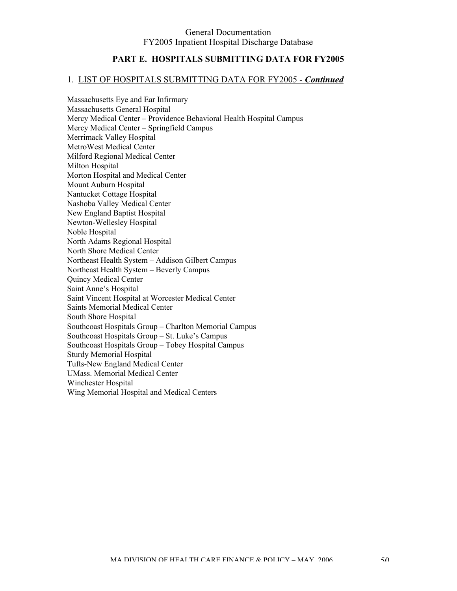### **PART E. HOSPITALS SUBMITTING DATA FOR FY2005**

#### 1. LIST OF HOSPITALS SUBMITTING DATA FOR FY2005 - *Continued*

Massachusetts Eye and Ear Infirmary Massachusetts General Hospital Mercy Medical Center – Providence Behavioral Health Hospital Campus Mercy Medical Center – Springfield Campus Merrimack Valley Hospital MetroWest Medical Center Milford Regional Medical Center Milton Hospital Morton Hospital and Medical Center Mount Auburn Hospital Nantucket Cottage Hospital Nashoba Valley Medical Center New England Baptist Hospital Newton-Wellesley Hospital Noble Hospital North Adams Regional Hospital North Shore Medical Center Northeast Health System – Addison Gilbert Campus Northeast Health System – Beverly Campus Quincy Medical Center Saint Anne's Hospital Saint Vincent Hospital at Worcester Medical Center Saints Memorial Medical Center South Shore Hospital Southcoast Hospitals Group – Charlton Memorial Campus Southcoast Hospitals Group – St. Luke's Campus Southcoast Hospitals Group – Tobey Hospital Campus Sturdy Memorial Hospital Tufts-New England Medical Center UMass. Memorial Medical Center Winchester Hospital Wing Memorial Hospital and Medical Centers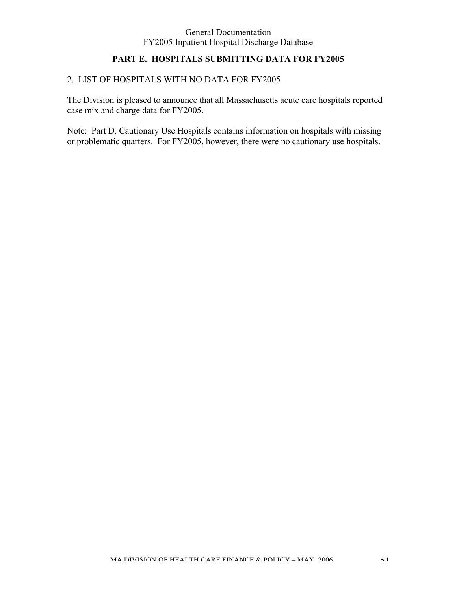## **PART E. HOSPITALS SUBMITTING DATA FOR FY2005**

### 2. LIST OF HOSPITALS WITH NO DATA FOR FY2005

The Division is pleased to announce that all Massachusetts acute care hospitals reported case mix and charge data for FY2005.

Note: Part D. Cautionary Use Hospitals contains information on hospitals with missing or problematic quarters. For FY2005, however, there were no cautionary use hospitals.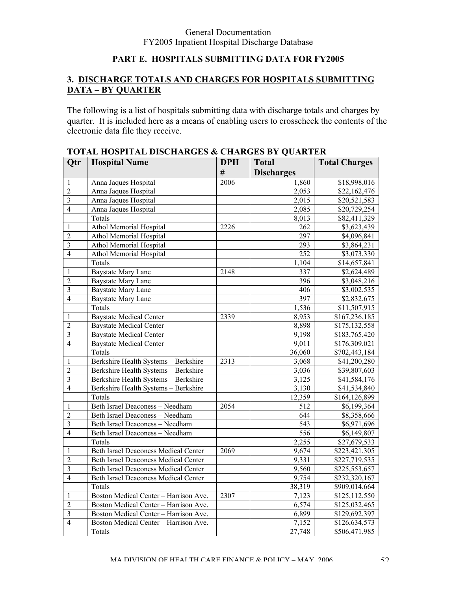## **PART E. HOSPITALS SUBMITTING DATA FOR FY2005**

### **3. DISCHARGE TOTALS AND CHARGES FOR HOSPITALS SUBMITTING DATA – BY QUARTER**

The following is a list of hospitals submitting data with discharge totals and charges by quarter. It is included here as a means of enabling users to crosscheck the contents of the electronic data file they receive.

| Qtr                     | <b>Hospital Name</b>                        | <b>DPH</b> | <b>Total</b>      | <b>Total Charges</b>      |
|-------------------------|---------------------------------------------|------------|-------------------|---------------------------|
|                         |                                             | #          | <b>Discharges</b> |                           |
| 1                       | Anna Jaques Hospital                        | 2006       | 1,860             | \$18,998,016              |
| $\overline{2}$          | Anna Jaques Hospital                        |            | 2,053             | \$22,162,476              |
| $\overline{3}$          | Anna Jaques Hospital                        |            | 2,015             | \$20,521,583              |
| $\overline{4}$          | Anna Jaques Hospital                        |            | 2,085             | \$20,729,254              |
|                         | Totals                                      |            | 8,013             | \$82,411,329              |
| 1                       | <b>Athol Memorial Hospital</b>              | 2226       | 262               | \$3,623,439               |
| $\overline{2}$          | <b>Athol Memorial Hospital</b>              |            | 297               | \$4,096,841               |
| $\mathfrak{Z}$          | Athol Memorial Hospital                     |            | 293               | \$3,864,231               |
| $\overline{4}$          | Athol Memorial Hospital                     |            | 252               | \$3,073,330               |
|                         | Totals                                      |            | 1,104             | \$14,657,841              |
| 1                       | <b>Baystate Mary Lane</b>                   | 2148       | 337               | \$2,624,489               |
| $\overline{2}$          | <b>Baystate Mary Lane</b>                   |            | 396               | \$3,048,216               |
| $\overline{3}$          | Baystate Mary Lane                          |            | 406               | \$3,002,535               |
| $\overline{4}$          | <b>Baystate Mary Lane</b>                   |            | 397               | \$2,832,675               |
|                         | Totals                                      |            | 1,536             | \$11,507,915              |
| 1                       | <b>Baystate Medical Center</b>              | 2339       | 8,953             | \$167,236,185             |
| $\overline{2}$          | <b>Baystate Medical Center</b>              |            | 8,898             | \$175,132,558             |
| $\overline{3}$          | <b>Baystate Medical Center</b>              |            | 9,198             | \$183,765,420             |
| $\overline{4}$          | <b>Baystate Medical Center</b>              |            | 9,011             | $\overline{$}176,309,021$ |
|                         | Totals                                      |            | 36,060            | \$702,443,184             |
| 1                       | Berkshire Health Systems - Berkshire        | 2313       | 3,068             | \$41,200,280              |
| $\overline{2}$          | Berkshire Health Systems - Berkshire        |            | 3,036             | \$39,807,603              |
| $\overline{3}$          | Berkshire Health Systems - Berkshire        |            | 3,125             | \$41,584,176              |
| $\overline{4}$          | Berkshire Health Systems - Berkshire        |            | 3,130             | \$41,534,840              |
|                         | Totals                                      |            | 12,359            | \$164,126,899             |
| 1                       | <b>Beth Israel Deaconess - Needham</b>      | 2054       | $\overline{512}$  | \$6,199,364               |
| $\overline{2}$          | Beth Israel Deaconess - Needham             |            | 644               | \$8,358,666               |
| $\overline{\mathbf{3}}$ | Beth Israel Deaconess - Needham             |            | 543               | \$6,971,696               |
| $\overline{4}$          | Beth Israel Deaconess - Needham             |            | 556               | \$6,149,807               |
|                         | Totals                                      |            | 2,255             | \$27,679,533              |
| $\mathbf{1}$            | <b>Beth Israel Deaconess Medical Center</b> | 2069       | 9,674             | \$223,421,305             |
| $\overline{2}$          | Beth Israel Deaconess Medical Center        |            | 9,331             | \$227,719,535             |
| $\overline{\mathbf{3}}$ | <b>Beth Israel Deaconess Medical Center</b> |            | 9,560             | \$225,553,657             |
| $\overline{4}$          | <b>Beth Israel Deaconess Medical Center</b> |            | 9,754             | \$232,320,167             |
|                         | Totals                                      |            | 38,319            | \$909,014,664             |
| 1                       | Boston Medical Center - Harrison Ave.       | 2307       | 7,123             | \$125,112,550             |
| $\overline{2}$          | Boston Medical Center - Harrison Ave.       |            | 6,574             | \$125,032,465             |
| $\overline{\mathbf{3}}$ | Boston Medical Center - Harrison Ave.       |            | 6,899             | \$129,692,397             |
| $\overline{4}$          | Boston Medical Center - Harrison Ave.       |            | 7,152             | \$126,634,573             |
|                         | Totals                                      |            | 27,748            | \$506,471,985             |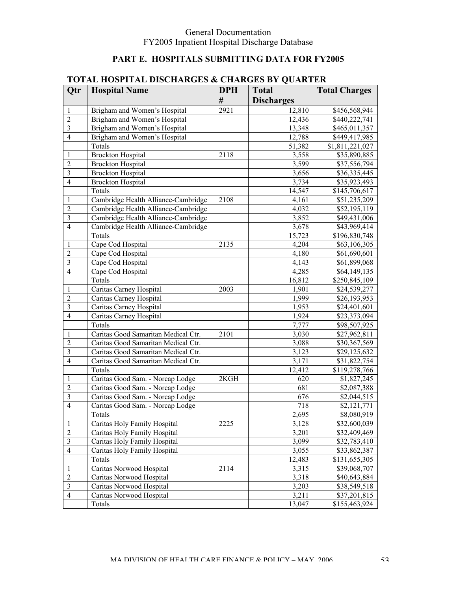## **PART E. HOSPITALS SUBMITTING DATA FOR FY2005**

|                         | 101111 HODI IIIAL DISCHIANGLIS                                       | $\mathbf{v}$ | OLD DI VUMILL     |                      |
|-------------------------|----------------------------------------------------------------------|--------------|-------------------|----------------------|
| Qtr                     | <b>Hospital Name</b>                                                 | <b>DPH</b>   | <b>Total</b>      | <b>Total Charges</b> |
|                         |                                                                      | #            | <b>Discharges</b> |                      |
| 1                       | Brigham and Women's Hospital                                         | 2921         | 12,810            | \$456,568,944        |
| $\overline{2}$          | Brigham and Women's Hospital                                         |              | 12,436            | \$440,222,741        |
| $\overline{\mathbf{3}}$ | Brigham and Women's Hospital                                         |              | 13,348            | \$465,011,357        |
| $\overline{4}$          | Brigham and Women's Hospital                                         |              | 12,788            | \$449,417,985        |
|                         | Totals                                                               |              | 51,382            | \$1,811,221,027      |
| 1                       | <b>Brockton Hospital</b>                                             | 2118         | 3,558             | \$35,890,885         |
| $\overline{2}$          | <b>Brockton Hospital</b>                                             |              | 3,599             | \$37,556,794         |
| $\overline{\mathbf{3}}$ | <b>Brockton Hospital</b>                                             |              | 3,656             | \$36,335,445         |
| $\overline{4}$          | <b>Brockton Hospital</b>                                             |              | 3,734             | \$35,923,493         |
|                         | Totals                                                               |              | 14,547            | \$145,706,617        |
| 1                       | Cambridge Health Alliance-Cambridge                                  | 2108         | 4,161             | \$51,235,209         |
| $\overline{2}$          | Cambridge Health Alliance-Cambridge                                  |              | 4,032             | \$52,195,119         |
| $\mathfrak{Z}$          | Cambridge Health Alliance-Cambridge                                  |              | 3,852             | \$49,431,006         |
| $\overline{4}$          | Cambridge Health Alliance-Cambridge                                  |              | 3,678             | \$43,969,414         |
|                         | Totals                                                               |              | 15,723            | \$196,830,748        |
| 1                       | Cape Cod Hospital                                                    | 2135         | 4,204             | \$63,106,305         |
| $\overline{2}$          | Cape Cod Hospital                                                    |              | 4,180             | \$61,690,601         |
| $\mathfrak{Z}$          | Cape Cod Hospital                                                    |              | 4,143             | \$61,899,068         |
| $\overline{4}$          | Cape Cod Hospital                                                    |              | 4,285             | \$64,149,135         |
|                         | Totals                                                               |              | 16,812            | \$250,845,109        |
| 1                       | Caritas Carney Hospital                                              | 2003         | 1,901             | \$24,539,277         |
| $\overline{2}$          | Caritas Carney Hospital                                              |              | 1,999             | \$26,193,953         |
| $\mathfrak{Z}$          | Caritas Carney Hospital                                              |              | 1,953             | \$24,401,601         |
| $\overline{4}$          | Caritas Carney Hospital                                              |              | 1,924             | \$23,373,094         |
|                         | Totals                                                               |              | 7,777             |                      |
| 1                       | Caritas Good Samaritan Medical Ctr.                                  | 2101         |                   | \$98,507,925         |
| $\overline{2}$          | Caritas Good Samaritan Medical Ctr.                                  |              | 3,030             | \$27,962,811         |
| $\mathfrak{Z}$          | Caritas Good Samaritan Medical Ctr.                                  |              | 3,088<br>3,123    | \$30,367,569         |
| $\overline{4}$          |                                                                      |              |                   | \$29,125,632         |
|                         | Caritas Good Samaritan Medical Ctr.<br>Totals                        |              | 3,171             | \$31,822,754         |
|                         |                                                                      |              | 12,412            | \$119,278,766        |
| 1                       | Caritas Good Sam. - Norcap Lodge<br>Caritas Good Sam. - Norcap Lodge | 2KGH         | 620               | \$1,827,245          |
| $\overline{2}$          |                                                                      |              | 681               | \$2,087,388          |
| $\mathfrak{Z}$          | Caritas Good Sam. - Norcap Lodge                                     |              | 676               | \$2,044,515          |
| $\overline{4}$          | Caritas Good Sam. - Norcap Lodge                                     |              | 718               | \$2,121,771          |
|                         | Totals                                                               |              | 2,695             | \$8,080,919          |
| 1                       | Caritas Holy Family Hospital                                         | 2225         | 3,128             | \$32,600,039         |
| $\overline{2}$          | Caritas Holy Family Hospital                                         |              | 3,201             | \$32,409,469         |
| $\mathfrak{Z}$          | Caritas Holy Family Hospital                                         |              | 3,099             | \$32,783,410         |
| $\overline{4}$          | Caritas Holy Family Hospital                                         |              | 3,055             | \$33,862,387         |
|                         | Totals                                                               |              | 12,483            | \$131,655,305        |
| 1                       | Caritas Norwood Hospital                                             | 2114         | 3,315             | \$39,068,707         |
| $\overline{2}$          | Caritas Norwood Hospital                                             |              | 3,318             | \$40,643,884         |
| $\mathfrak{Z}$          | Caritas Norwood Hospital                                             |              | 3,203             | \$38,549,518         |
| $\overline{4}$          | Caritas Norwood Hospital                                             |              | 3,211             | \$37,201,815         |
|                         | Totals                                                               |              | 13,047            | \$155,463,924        |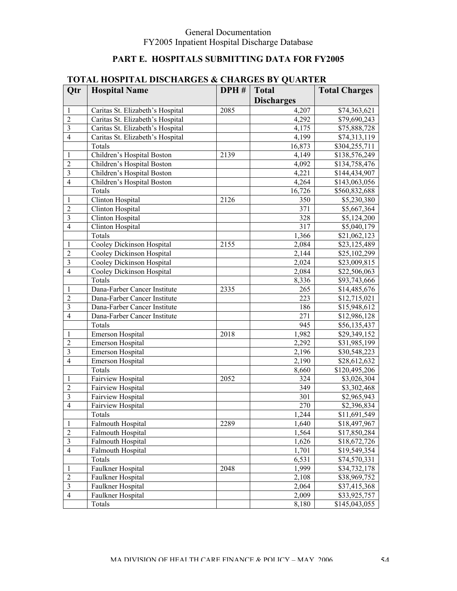## **PART E. HOSPITALS SUBMITTING DATA FOR FY2005**

|                         |                                  |      | $\epsilon$ and $\epsilon$ is a set of $\epsilon$ |                              |
|-------------------------|----------------------------------|------|--------------------------------------------------|------------------------------|
| Qtr                     | <b>Hospital Name</b>             | DPH# | <b>Total</b>                                     | <b>Total Charges</b>         |
|                         |                                  |      | <b>Discharges</b>                                |                              |
| 1                       | Caritas St. Elizabeth's Hospital | 2085 | 4,207                                            | \$74,363,621                 |
| $\overline{2}$          | Caritas St. Elizabeth's Hospital |      | 4,292                                            | \$79,690,243                 |
| $\overline{\mathbf{3}}$ | Caritas St. Elizabeth's Hospital |      | 4,175                                            | \$75,888,728                 |
| $\overline{4}$          | Caritas St. Elizabeth's Hospital |      | 4,199                                            | \$74,313,119                 |
|                         | Totals                           |      | 16,873                                           | \$304,255,711                |
| 1                       | Children's Hospital Boston       | 2139 | 4,149                                            | \$138,576,249                |
| $\overline{2}$          | Children's Hospital Boston       |      | 4,092                                            | \$134,758,476                |
| $\overline{\mathbf{3}}$ | Children's Hospital Boston       |      | 4,221                                            | \$144,434,907                |
| $\overline{4}$          | Children's Hospital Boston       |      | 4,264                                            | \$143,063,056                |
|                         | Totals                           |      | 16,726                                           | \$560,832,688                |
| 1                       | Clinton Hospital                 | 2126 | 350                                              | \$5,230,380                  |
| $\overline{2}$          | Clinton Hospital                 |      | 371                                              | \$5,667,364                  |
| $\overline{3}$          | Clinton Hospital                 |      | 328                                              | \$5,124,200                  |
| $\overline{4}$          | Clinton Hospital                 |      | 317                                              | \$5,040,179                  |
|                         | Totals                           |      | 1,366                                            | \$21,062,123                 |
| 1                       | Cooley Dickinson Hospital        | 2155 | 2,084                                            | \$23,125,489                 |
| $\overline{2}$          | Cooley Dickinson Hospital        |      | 2,144                                            | \$25,102,299                 |
| $\overline{3}$          | Cooley Dickinson Hospital        |      | 2,024                                            | \$23,009,815                 |
| $\overline{4}$          | Cooley Dickinson Hospital        |      | 2,084                                            | \$22,506,063                 |
|                         | Totals                           |      | 8,336                                            | \$93,743,666                 |
| 1                       | Dana-Farber Cancer Institute     | 2335 | 265                                              | \$14,485,676                 |
| $\overline{2}$          | Dana-Farber Cancer Institute     |      | 223                                              | \$12,715,021                 |
| $\overline{3}$          | Dana-Farber Cancer Institute     |      | 186                                              | \$15,948,612                 |
| $\overline{4}$          | Dana-Farber Cancer Institute     |      | 271                                              | \$12,986,128                 |
|                         | Totals                           |      | 945                                              | \$56,135,437                 |
| 1                       | Emerson Hospital                 | 2018 | 1,982                                            | \$29,349,152                 |
| $\overline{2}$          | Emerson Hospital                 |      | 2,292                                            | \$31,985,199                 |
| $\overline{3}$          | Emerson Hospital                 |      | 2,196                                            | \$30,548,223                 |
| $\overline{4}$          | Emerson Hospital                 |      | 2,190                                            | \$28,612,632                 |
|                         | Totals                           |      | 8,660                                            | \$120,495,206                |
| 1                       | Fairview Hospital                | 2052 | 324                                              | \$3,026,304                  |
| $\overline{2}$          | <b>Fairview Hospital</b>         |      | 349                                              | \$3,302,468                  |
| $\overline{\mathbf{3}}$ | <b>Fairview Hospital</b>         |      | 301                                              | \$2,965,943                  |
| $\overline{4}$          | Fairview Hospital                |      | 270                                              | \$2,396,834                  |
|                         | Totals                           |      | 1,244                                            | \$11,691,549                 |
| 1                       | Falmouth Hospital                | 2289 | 1,640                                            | \$18,497,967                 |
| $\sqrt{2}$              | <b>Falmouth Hospital</b>         |      | 1,564                                            |                              |
| $\mathfrak{Z}$          |                                  |      |                                                  | \$17,850,284<br>\$18,672,726 |
| $\overline{4}$          | Falmouth Hospital                |      | 1,626                                            |                              |
|                         | Falmouth Hospital                |      | 1,701                                            | \$19,549,354                 |
|                         | Totals                           |      | 6,531                                            | \$74,570,331                 |
| 1                       | Faulkner Hospital                | 2048 | 1,999                                            | \$34,732,178                 |
| $\sqrt{2}$              | Faulkner Hospital                |      | 2,108                                            | \$38,969,752                 |
| $\mathfrak{Z}$          | Faulkner Hospital                |      | 2,064                                            | \$37,415,368                 |
| $\overline{4}$          | Faulkner Hospital                |      | 2,009                                            | \$33,925,757                 |
|                         | Totals                           |      | 8,180                                            | \$145,043,055                |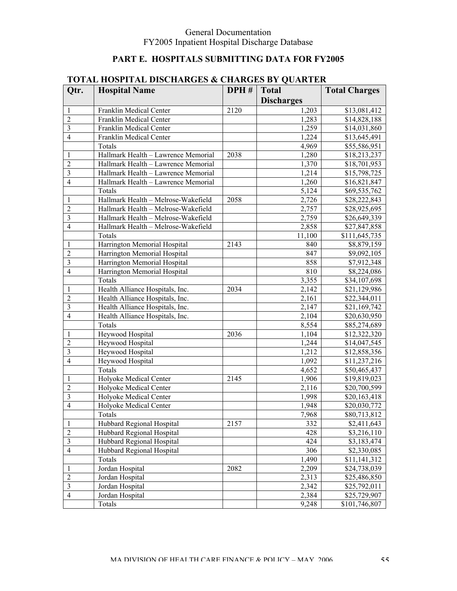## **PART E. HOSPITALS SUBMITTING DATA FOR FY2005**

|                | IUIAL HUSPIIAL DISCHARGES & CHARGES BY QUARTER |      |                   |                      |
|----------------|------------------------------------------------|------|-------------------|----------------------|
| Qtr.           | <b>Hospital Name</b>                           | DPH# | <b>Total</b>      | <b>Total Charges</b> |
|                |                                                |      | <b>Discharges</b> |                      |
| 1              | Franklin Medical Center                        | 2120 | 1,203             | \$13,081,412         |
| $\overline{2}$ | Franklin Medical Center                        |      | 1,283             | \$14,828,188         |
| $\overline{3}$ | Franklin Medical Center                        |      | 1,259             | \$14,031,860         |
| $\overline{4}$ | Franklin Medical Center                        |      | 1,224             | \$13,645,491         |
|                | Totals                                         |      | 4,969             | \$55,586,951         |
| 1              | Hallmark Health - Lawrence Memorial            | 2038 | 1,280             | \$18,213,237         |
| $\overline{2}$ | Hallmark Health - Lawrence Memorial            |      | 1,370             | \$18,701,953         |
| $\overline{3}$ | Hallmark Health - Lawrence Memorial            |      | 1,214             | \$15,798,725         |
| $\overline{4}$ | Hallmark Health - Lawrence Memorial            |      | 1,260             | \$16,821,847         |
|                | Totals                                         |      | 5,124             | \$69,535,762         |
| 1              | Hallmark Health - Melrose-Wakefield            | 2058 | 2,726             | \$28,222,843         |
| $\overline{2}$ | Hallmark Health - Melrose-Wakefield            |      | 2,757             | \$28,925,695         |
| $\overline{3}$ | Hallmark Health - Melrose-Wakefield            |      | 2,759             | \$26,649,339         |
| $\overline{4}$ | Hallmark Health - Melrose-Wakefield            |      | 2,858             | \$27,847,858         |
|                | Totals                                         |      | 11,100            | \$111,645,735        |
| 1              | Harrington Memorial Hospital                   | 2143 | 840               | \$8,879,159          |
| $\overline{2}$ | Harrington Memorial Hospital                   |      | 847               | \$9,092,105          |
| $\overline{3}$ | Harrington Memorial Hospital                   |      | 858               | \$7,912,348          |
| $\overline{4}$ | Harrington Memorial Hospital                   |      | 810               | \$8,224,086          |
|                | Totals                                         |      | 3,355             | \$34,107,698         |
| 1              | Health Alliance Hospitals, Inc.                | 2034 | 2,142             | \$21,129,986         |
| $\overline{2}$ | Health Alliance Hospitals, Inc.                |      | 2,161             | \$22,344,011         |
| $\overline{3}$ | Health Alliance Hospitals, Inc.                |      | 2,147             | \$21,169,742         |
| $\overline{4}$ | Health Alliance Hospitals, Inc.                |      | 2,104             | \$20,630,950         |
|                | Totals                                         |      | 8,554             | \$85,274,689         |
| 1              | Heywood Hospital                               | 2036 | 1,104             | \$12,322,320         |
| $\overline{2}$ | Heywood Hospital                               |      | 1,244             | \$14,047,545         |
| $\overline{3}$ | Heywood Hospital                               |      | 1,212             | \$12,858,356         |
| $\overline{4}$ | Heywood Hospital                               |      | 1,092             | \$11,237,216         |
|                | Totals                                         |      | 4,652             | \$50,465,437         |
| 1              | Holyoke Medical Center                         | 2145 | 1,906             | \$19,819,023         |
| $\overline{2}$ | Holyoke Medical Center                         |      | 2,116             | \$20,700,599         |
| 3              | Holyoke Medical Center                         |      | 1,998             | \$20,163,418         |
| $\overline{4}$ | Holyoke Medical Center                         |      | 1,948             | \$20,030,772         |
|                | Totals                                         |      | 7,968             | \$80,713,812         |
| 1              | Hubbard Regional Hospital                      | 2157 | 332               | \$2,411,643          |
| $\overline{2}$ | Hubbard Regional Hospital                      |      | 428               | \$3,216,110          |
| $\overline{3}$ | Hubbard Regional Hospital                      |      | 424               | \$3,183,474          |
| $\overline{4}$ | Hubbard Regional Hospital                      |      | 306               | \$2,330,085          |
|                | Totals                                         |      | 1,490             | \$11,141,312         |
| 1              | Jordan Hospital                                | 2082 | 2,209             | \$24,738,039         |
| $\overline{2}$ | Jordan Hospital                                |      | 2,313             | \$25,486,850         |
| $\overline{3}$ | Jordan Hospital                                |      | 2,342             | \$25,792,011         |
| $\overline{4}$ | Jordan Hospital                                |      | 2,384             | \$25,729,907         |
|                | Totals                                         |      | 9,248             | \$101,746,807        |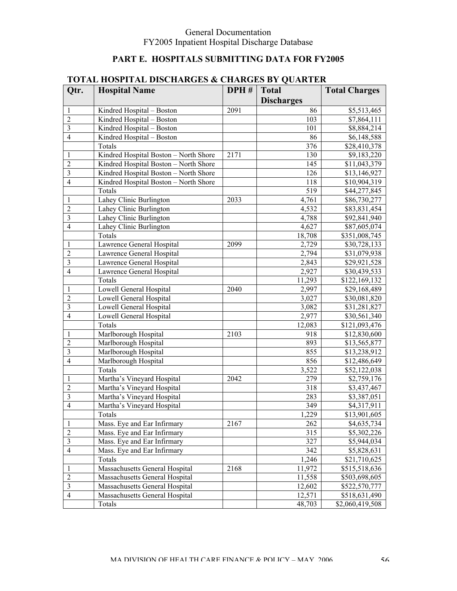## **PART E. HOSPITALS SUBMITTING DATA FOR FY2005**

|                | LOTAL HOSHTAL DISCHARGES & CHARGES DT QUARTER |      |                   |                      |
|----------------|-----------------------------------------------|------|-------------------|----------------------|
| Qtr.           | <b>Hospital Name</b>                          | DPH# | <b>Total</b>      | <b>Total Charges</b> |
|                |                                               |      | <b>Discharges</b> |                      |
| 1              | Kindred Hospital - Boston                     | 2091 | 86                | \$5,513,465          |
| $\overline{2}$ | Kindred Hospital - Boston                     |      | 103               | \$7,864,111          |
| $\overline{3}$ | Kindred Hospital - Boston                     |      | 101               | \$8,884,214          |
| $\overline{4}$ | Kindred Hospital - Boston                     |      | 86                | \$6,148,588          |
|                | Totals                                        |      | 376               | \$28,410,378         |
| 1              | Kindred Hospital Boston - North Shore         | 2171 | 130               | \$9,183,220          |
| $\overline{2}$ | Kindred Hospital Boston - North Shore         |      | 145               | \$11,043,379         |
| 3              | Kindred Hospital Boston - North Shore         |      | 126               | \$13,146,927         |
| $\overline{4}$ | Kindred Hospital Boston - North Shore         |      | 118               | \$10,904,319         |
|                | Totals                                        |      | 519               | \$44,277,845         |
| 1              | Lahey Clinic Burlington                       | 2033 | 4,761             | \$86,730,277         |
| $\overline{2}$ | Lahey Clinic Burlington                       |      | 4,532             | \$83,831,454         |
| $\overline{3}$ | Lahey Clinic Burlington                       |      | 4,788             | \$92,841,940         |
| $\overline{4}$ | Lahey Clinic Burlington                       |      | 4,627             | \$87,605,074         |
|                | Totals                                        |      | 18,708            | \$351,008,745        |
| 1              | Lawrence General Hospital                     | 2099 | 2,729             | \$30,728,133         |
| $\overline{2}$ | Lawrence General Hospital                     |      | 2,794             | \$31,079,938         |
| $\overline{3}$ | Lawrence General Hospital                     |      | 2,843             | \$29,921,528         |
| $\overline{4}$ | Lawrence General Hospital                     |      | 2,927             | \$30,439,533         |
|                | Totals                                        |      | 11,293            | \$122,169,132        |
| 1              | Lowell General Hospital                       | 2040 | 2,997             | \$29,168,489         |
| $\overline{2}$ | Lowell General Hospital                       |      | 3,027             | \$30,081,820         |
| $\overline{3}$ | Lowell General Hospital                       |      | 3,082             | \$31,281,827         |
| $\overline{4}$ | Lowell General Hospital                       |      | 2,977             | \$30,561,340         |
|                | Totals                                        |      | 12,083            | \$121,093,476        |
| 1              | Marlborough Hospital                          | 2103 | 918               | \$12,830,600         |
| $\overline{2}$ | Marlborough Hospital                          |      | 893               | \$13,565,877         |
| $\overline{3}$ | Marlborough Hospital                          |      | 855               | \$13,238,912         |
| $\overline{4}$ | Marlborough Hospital                          |      | 856               | \$12,486,649         |
|                | Totals                                        |      | 3,522             | \$52,122,038         |
| 1              | Martha's Vineyard Hospital                    | 2042 | 279               | \$2,759,176          |
| $\overline{2}$ | Martha's Vineyard Hospital                    |      | 318               | \$3,437,467          |
| $\overline{3}$ | Martha's Vineyard Hospital                    |      | 283               | \$3,387,051          |
| $\overline{4}$ | Martha's Vineyard Hospital                    |      | 349               | \$4,317,911          |
|                | Totals                                        |      | 1,229             | \$13,901,605         |
| 1              | Mass. Eye and Ear Infirmary                   | 2167 | 262               | \$4,635,734          |
| $\overline{2}$ | Mass. Eye and Ear Infirmary                   |      | 315               | \$5,302,226          |
| $\mathfrak{Z}$ | Mass. Eye and Ear Infirmary                   |      | 327               | \$5,944,034          |
| $\overline{4}$ | Mass. Eye and Ear Infirmary                   |      | 342               | \$5,828,631          |
|                | Totals                                        |      | 1,246             | \$21,710,625         |
|                | Massachusetts General Hospital                | 2168 | 11,972            | \$515,518,636        |
| $\overline{2}$ | Massachusetts General Hospital                |      | 11,558            | \$503,698,605        |
| $\mathfrak{Z}$ | Massachusetts General Hospital                |      | 12,602            | \$522,570,777        |
| $\overline{4}$ | Massachusetts General Hospital                |      | 12,571            | \$518,631,490        |
|                | Totals                                        |      | 48,703            | \$2,060,419,508      |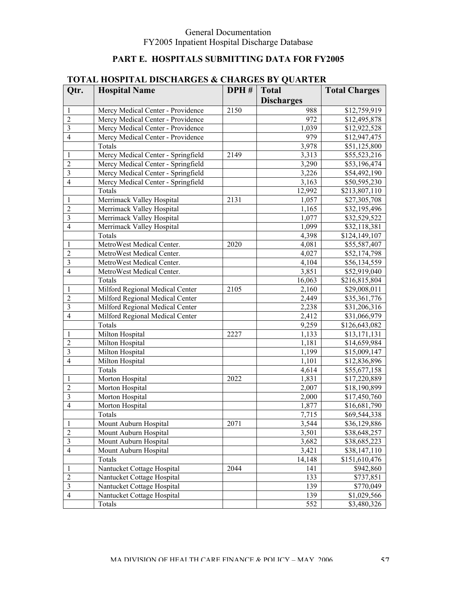## **PART E. HOSPITALS SUBMITTING DATA FOR FY2005**

|                | TO THE HOST THE DRUGHIM CHO W      |      | annon di America  |                      |
|----------------|------------------------------------|------|-------------------|----------------------|
| Qtr.           | <b>Hospital Name</b>               | DPH# | <b>Total</b>      | <b>Total Charges</b> |
|                |                                    |      | <b>Discharges</b> |                      |
| 1              | Mercy Medical Center - Providence  | 2150 | 988               | \$12,759,919         |
| $\overline{2}$ | Mercy Medical Center - Providence  |      | 972               | \$12,495,878         |
| 3              | Mercy Medical Center - Providence  |      | 1,039             | \$12,922,528         |
| $\overline{4}$ | Mercy Medical Center - Providence  |      | 979               | \$12,947,475         |
|                | Totals                             |      | 3,978             | \$51,125,800         |
| 1              | Mercy Medical Center - Springfield | 2149 | 3,313             | \$55,523,216         |
| $\overline{2}$ | Mercy Medical Center - Springfield |      | 3,290             | \$53,196,474         |
| 3              | Mercy Medical Center - Springfield |      | 3,226             | \$54,492,190         |
| $\overline{4}$ | Mercy Medical Center - Springfield |      | 3,163             | \$50,595,230         |
|                | Totals                             |      | 12,992            | \$213,807,110        |
| 1              | Merrimack Valley Hospital          | 2131 | 1,057             | \$27,305,708         |
| $\overline{2}$ | Merrimack Valley Hospital          |      | 1,165             | \$32,195,496         |
| 3              | Merrimack Valley Hospital          |      | 1,077             | \$32,529,522         |
| $\overline{4}$ | Merrimack Valley Hospital          |      | 1,099             | \$32,118,381         |
|                | Totals                             |      | 4,398             | \$124,149,107        |
| 1              | MetroWest Medical Center.          | 2020 | 4,081             | \$55,587,407         |
| $\overline{2}$ | MetroWest Medical Center.          |      | 4,027             | \$52,174,798         |
| 3              | MetroWest Medical Center.          |      | 4,104             | \$56,134,559         |
| $\overline{4}$ | MetroWest Medical Center.          |      | 3,851             | \$52,919,040         |
|                | Totals                             |      | 16,063            | \$216,815,804        |
| 1              | Milford Regional Medical Center    | 2105 | 2,160             | \$29,008,011         |
| $\overline{2}$ | Milford Regional Medical Center    |      | 2,449             | \$35,361,776         |
| 3              | Milford Regional Medical Center    |      | 2,238             | \$31,206,316         |
| $\overline{4}$ | Milford Regional Medical Center    |      | 2,412             | \$31,066,979         |
|                | Totals                             |      | 9,259             | \$126,643,082        |
| 1              | Milton Hospital                    | 2227 | 1,133             | \$13,171,131         |
| $\overline{2}$ | Milton Hospital                    |      | 1,181             | \$14,659,984         |
| 3              | Milton Hospital                    |      | 1,199             | \$15,009,147         |
| $\overline{4}$ | Milton Hospital                    |      | 1,101             | \$12,836,896         |
|                | Totals                             |      | 4,614             | \$55,677,158         |
| 1              | Morton Hospital                    | 2022 | 1,831             | \$17,220,889         |
| $\overline{2}$ | Morton Hospital                    |      | 2,007             | \$18,190,899         |
| 3              | Morton Hospital                    |      | 2,000             | \$17,450,760         |
| $\overline{4}$ | Morton Hospital                    |      | 1,877             | \$16,681,790         |
|                | <b>Totals</b>                      |      | 7.715             | \$69,544,338         |
| 1              | Mount Auburn Hospital              | 2071 | 3,544             | \$36,129,886         |
| $\overline{2}$ | Mount Auburn Hospital              |      | 3,501             | \$38,648,257         |
| $\mathfrak{Z}$ | Mount Auburn Hospital              |      | 3,682             | \$38,685,223         |
| $\overline{4}$ | Mount Auburn Hospital              |      | 3,421             | \$38,147,110         |
|                | Totals                             |      | 14,148            | \$151,610,476        |
| 1              | Nantucket Cottage Hospital         | 2044 | 141               |                      |
| $\overline{2}$ | Nantucket Cottage Hospital         |      | 133               | \$942,860            |
| $\mathfrak{Z}$ | Nantucket Cottage Hospital         |      |                   | \$737,851            |
| $\overline{4}$ | Nantucket Cottage Hospital         |      | 139               | \$770,049            |
|                |                                    |      | 139               | \$1,029,566          |
|                | Totals                             |      | 552               | \$3,480,326          |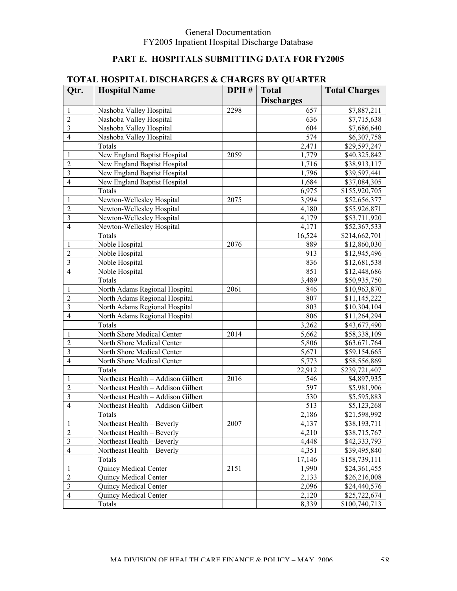## **PART E. HOSPITALS SUBMITTING DATA FOR FY2005**

|                | TOTAL HOST FLAL DISCHANGES & CHANGES DT QUANTER |      |                   |                      |
|----------------|-------------------------------------------------|------|-------------------|----------------------|
| Qtr.           | <b>Hospital Name</b>                            | DPH# | <b>Total</b>      | <b>Total Charges</b> |
|                |                                                 |      | <b>Discharges</b> |                      |
| 1              | Nashoba Valley Hospital                         | 2298 | 657               | \$7,887,211          |
| $\overline{2}$ | Nashoba Valley Hospital                         |      | 636               | \$7,715,638          |
| 3              | Nashoba Valley Hospital                         |      | 604               | \$7,686,640          |
| $\overline{4}$ | Nashoba Valley Hospital                         |      | 574               | \$6,307,758          |
|                | Totals                                          |      | 2,471             | \$29,597,247         |
| 1              | New England Baptist Hospital                    | 2059 | 1,779             | \$40,325,842         |
| $\overline{2}$ | New England Baptist Hospital                    |      | 1,716             | \$38,913,117         |
| 3              | New England Baptist Hospital                    |      | 1,796             | \$39,597,441         |
| $\overline{4}$ | New England Baptist Hospital                    |      | 1,684             | \$37,084,305         |
|                | Totals                                          |      | 6,975             | \$155,920,705        |
| 1              | Newton-Wellesley Hospital                       | 2075 | 3,994             | \$52,656,377         |
| $\overline{2}$ | Newton-Wellesley Hospital                       |      | 4,180             | \$55,926,871         |
| 3              | Newton-Wellesley Hospital                       |      | 4,179             | \$53,711,920         |
| $\overline{4}$ | Newton-Wellesley Hospital                       |      | 4,171             | \$52,367,533         |
|                | Totals                                          |      | 16,524            | \$214,662,701        |
| 1              | Noble Hospital                                  | 2076 | 889               | \$12,860,030         |
| $\overline{2}$ | Noble Hospital                                  |      | 913               | \$12,945,496         |
| 3              | Noble Hospital                                  |      | 836               | \$12,681,538         |
| $\overline{4}$ | Noble Hospital                                  |      | 851               | \$12,448,686         |
|                | Totals                                          |      | 3,489             | \$50,935,750         |
| 1              | North Adams Regional Hospital                   | 2061 | 846               | \$10,963,870         |
| $\overline{2}$ | North Adams Regional Hospital                   |      | 807               | \$11,145,222         |
| 3              | North Adams Regional Hospital                   |      | 803               | \$10,304,104         |
| $\overline{4}$ | North Adams Regional Hospital                   |      | 806               | \$11,264,294         |
|                | Totals                                          |      | 3,262             | \$43,677,490         |
| 1              | North Shore Medical Center                      | 2014 | 5,662             | \$58,338,109         |
| $\overline{c}$ | North Shore Medical Center                      |      | 5,806             | \$63,671,764         |
| 3              | North Shore Medical Center                      |      | 5,671             | \$59,154,665         |
| $\overline{4}$ | North Shore Medical Center                      |      | 5,773             | \$58,556,869         |
|                | Totals                                          |      | 22,912            | \$239,721,407        |
| 1              | Northeast Health - Addison Gilbert              | 2016 | 546               | \$4,897,935          |
| $\overline{2}$ | Northeast Health - Addison Gilbert              |      | 597               | \$5,981,906          |
| $\overline{3}$ | Northeast Health - Addison Gilbert              |      | 530               | \$5,595,883          |
| $\overline{4}$ | Northeast Health - Addison Gilbert              |      | 513               | \$5,123,268          |
|                | <b>Totals</b>                                   |      | 2,186             | \$21,598,992         |
| 1              | Northeast Health - Beverly                      | 2007 | 4,137             | \$38,193,711         |
| $\overline{2}$ | Northeast Health – Beverly                      |      | 4,210             | \$38,715,767         |
| $\mathfrak{Z}$ | Northeast Health - Beverly                      |      | 4,448             | \$42,333,793         |
| $\overline{4}$ | Northeast Health – Beverly                      |      | 4,351             | \$39,495,840         |
|                | Totals                                          |      | 17,146            | \$158,739,111        |
| 1              | Quincy Medical Center                           | 2151 | 1,990             | \$24,361,455         |
| $\overline{2}$ | Quincy Medical Center                           |      | 2,133             | \$26,216,008         |
| $\mathfrak{Z}$ | Quincy Medical Center                           |      | 2,096             | \$24,440,576         |
| $\overline{4}$ | Quincy Medical Center                           |      | 2,120             | \$25,722,674         |
|                | Totals                                          |      | 8,339             | \$100,740,713        |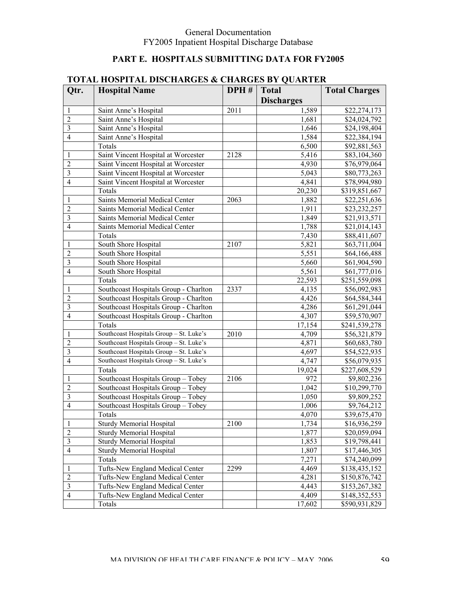## **PART E. HOSPITALS SUBMITTING DATA FOR FY2005**

|                | TUTAL HUSHTAL DISCHANGES & CHANGES DT QUANTEN |                   |                   |                      |
|----------------|-----------------------------------------------|-------------------|-------------------|----------------------|
| Qtr.           | <b>Hospital Name</b>                          | DPH#              | <b>Total</b>      | <b>Total Charges</b> |
|                |                                               |                   | <b>Discharges</b> |                      |
| 1              | Saint Anne's Hospital                         | $\overline{2011}$ | 1,589             | \$22,274,173         |
| $\overline{2}$ | Saint Anne's Hospital                         |                   | 1,681             | \$24,024,792         |
| 3              | Saint Anne's Hospital                         |                   | 1,646             | \$24,198,404         |
| $\overline{4}$ | Saint Anne's Hospital                         |                   | 1,584             | \$22,384,194         |
|                | Totals                                        |                   | 6,500             | \$92,881,563         |
| 1              | Saint Vincent Hospital at Worcester           | 2128              | 5,416             | \$83,104,360         |
| $\overline{2}$ | Saint Vincent Hospital at Worcester           |                   | 4,930             | \$76,979,064         |
| 3              | Saint Vincent Hospital at Worcester           |                   | 5,043             | \$80,773,263         |
| $\overline{4}$ | Saint Vincent Hospital at Worcester           |                   | 4,841             | \$78,994,980         |
|                | Totals                                        |                   | 20,230            | \$319,851,667        |
| 1              | Saints Memorial Medical Center                | 2063              | 1,882             | \$22,251,636         |
| $\overline{2}$ | Saints Memorial Medical Center                |                   | 1,911             | \$23,232,257         |
| 3              | Saints Memorial Medical Center                |                   | 1,849             | \$21,913,571         |
| $\overline{4}$ | Saints Memorial Medical Center                |                   | 1,788             | \$21,014,143         |
|                | Totals                                        |                   | 7,430             | \$88,411,607         |
| 1              | South Shore Hospital                          | 2107              | 5,821             | \$63,711,004         |
| $\overline{2}$ | South Shore Hospital                          |                   | 5,551             | \$64,166,488         |
| 3              | South Shore Hospital                          |                   | 5,660             | \$61,904,590         |
| $\overline{4}$ | South Shore Hospital                          |                   | 5,561             | \$61,777,016         |
|                | Totals                                        |                   | 22,593            | \$251,559,098        |
| 1              | Southcoast Hospitals Group - Charlton         | 2337              | 4,135             | \$56,092,983         |
| $\overline{2}$ | Southcoast Hospitals Group - Charlton         |                   | 4,426             | \$64,584,344         |
| 3              | Southcoast Hospitals Group - Charlton         |                   | 4,286             | \$61,291,044         |
| $\overline{4}$ | Southcoast Hospitals Group - Charlton         |                   | 4,307             | \$59,570,907         |
|                | Totals                                        |                   | 17,154            | \$241,539,278        |
| 1              | Southcoast Hospitals Group - St. Luke's       | 2010              | 4,709             | \$56,321,879         |
| $\overline{2}$ | Southcoast Hospitals Group - St. Luke's       |                   | 4,871             | \$60,683,780         |
| 3              | Southcoast Hospitals Group - St. Luke's       |                   | 4,697             | \$54,522,935         |
| $\overline{4}$ | Southcoast Hospitals Group - St. Luke's       |                   | 4,747             | \$56,079,935         |
|                | Totals                                        |                   | 19,024            | \$227,608,529        |
| 1              | Southcoast Hospitals Group - Tobey            | 2106              | 972               | \$9,802,236          |
| $\overline{c}$ | Southcoast Hospitals Group - Tobey            |                   | 1,042             | \$10,299,770         |
| $\overline{3}$ | Southcoast Hospitals Group - Tobey            |                   | 1,050             | \$9,809,252          |
| $\overline{4}$ | Southcoast Hospitals Group - Tobey            |                   | 1,006             | \$9,764,212          |
|                | Totals                                        |                   | 4,070             | \$39,675,470         |
| 1              | <b>Sturdy Memorial Hospital</b>               | 2100              | 1,734             | \$16,936,259         |
| $\overline{2}$ | <b>Sturdy Memorial Hospital</b>               |                   | 1,877             | \$20,059,094         |
| $\mathfrak{Z}$ | <b>Sturdy Memorial Hospital</b>               |                   | 1,853             | \$19,798,441         |
| $\overline{4}$ | <b>Sturdy Memorial Hospital</b>               |                   | 1,807             | \$17,446,305         |
|                | Totals                                        |                   | 7,271             | \$74,240,099         |
| 1              | Tufts-New England Medical Center              | 2299              | 4,469             | \$138,435,152        |
| $\overline{2}$ | Tufts-New England Medical Center              |                   | 4,281             | \$150,876,742        |
| $\mathfrak{Z}$ | Tufts-New England Medical Center              |                   | 4,443             | \$153,267,382        |
| $\overline{4}$ | Tufts-New England Medical Center              |                   | 4,409             | \$148,352,553        |
|                | Totals                                        |                   | 17,602            | \$590,931,829        |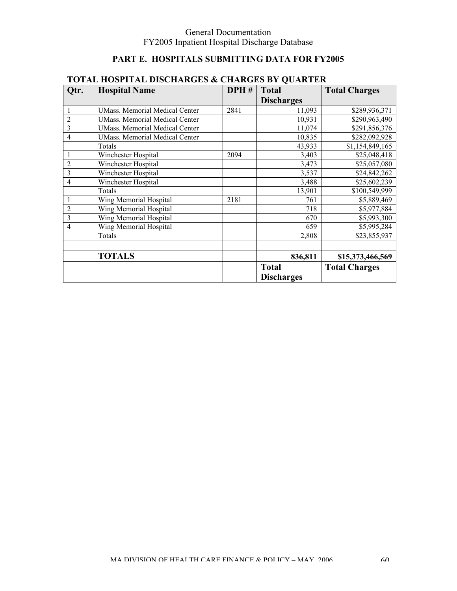## **PART E. HOSPITALS SUBMITTING DATA FOR FY2005**

| Qtr.           | <b>Hospital Name</b>                  | DPH# | <b>Total</b>      | <b>Total Charges</b> |
|----------------|---------------------------------------|------|-------------------|----------------------|
|                |                                       |      | <b>Discharges</b> |                      |
|                | <b>UMass. Memorial Medical Center</b> | 2841 | 11,093            | \$289,936,371        |
| $\overline{2}$ | <b>UMass. Memorial Medical Center</b> |      | 10,931            | \$290,963,490        |
| 3              | <b>UMass.</b> Memorial Medical Center |      | 11,074            | \$291,856,376        |
| $\overline{4}$ | <b>UMass. Memorial Medical Center</b> |      | 10,835            | \$282,092,928        |
|                | Totals                                |      | 43,933            | \$1,154,849,165      |
|                | Winchester Hospital                   | 2094 | 3,403             | \$25,048,418         |
| $\overline{2}$ | Winchester Hospital                   |      | 3,473             | \$25,057,080         |
| 3              | Winchester Hospital                   |      | 3,537             | \$24,842,262         |
| $\overline{4}$ | Winchester Hospital                   |      | 3,488             | \$25,602,239         |
|                | Totals                                |      | 13,901            | \$100,549,999        |
|                | Wing Memorial Hospital                | 2181 | 761               | \$5,889,469          |
| $\overline{2}$ | Wing Memorial Hospital                |      | 718               | \$5,977,884          |
| 3              | Wing Memorial Hospital                |      | 670               | \$5,993,300          |
| $\overline{4}$ | Wing Memorial Hospital                |      | 659               | \$5,995,284          |
|                | Totals                                |      | 2,808             | \$23,855,937         |
|                |                                       |      |                   |                      |
|                | <b>TOTALS</b>                         |      | 836,811           | \$15,373,466,569     |
|                |                                       |      | <b>Total</b>      | <b>Total Charges</b> |
|                |                                       |      | <b>Discharges</b> |                      |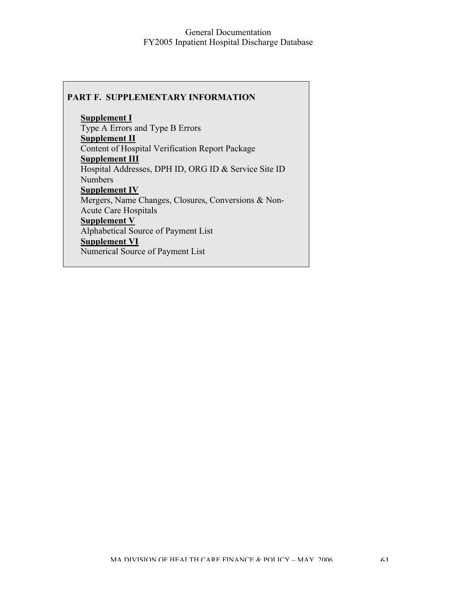#### **PART F. SUPPLEMENTARY INFORMATION**

**Supplement I** Type A Errors and Type B Errors **Supplement II** Content of Hospital Verification Report Package **Supplement III** Hospital Addresses, DPH ID, ORG ID & Service Site ID Numbers **Supplement IV** Mergers, Name Changes, Closures, Conversions & Non-Acute Care Hospitals **Supplement V** Alphabetical Source of Payment List **Supplement VI** Numerical Source of Payment List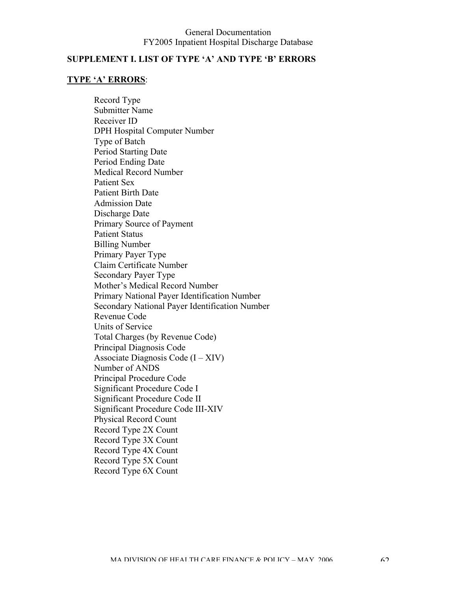### **SUPPLEMENT I. LIST OF TYPE 'A' AND TYPE 'B' ERRORS**

### **TYPE 'A' ERRORS**:

Record Type Submitter Name Receiver ID DPH Hospital Computer Number Type of Batch Period Starting Date Period Ending Date Medical Record Number Patient Sex Patient Birth Date Admission Date Discharge Date Primary Source of Payment Patient Status Billing Number Primary Payer Type Claim Certificate Number Secondary Payer Type Mother's Medical Record Number Primary National Payer Identification Number Secondary National Payer Identification Number Revenue Code Units of Service Total Charges (by Revenue Code) Principal Diagnosis Code Associate Diagnosis Code  $(I - XIV)$ Number of ANDS Principal Procedure Code Significant Procedure Code I Significant Procedure Code II Significant Procedure Code III-XIV Physical Record Count Record Type 2X Count Record Type 3X Count Record Type 4X Count Record Type 5X Count Record Type 6X Count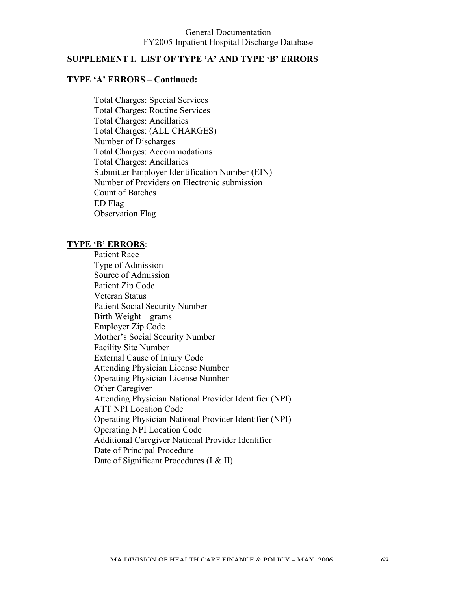### **SUPPLEMENT I. LIST OF TYPE 'A' AND TYPE 'B' ERRORS**

#### **TYPE 'A' ERRORS – Continued:**

Total Charges: Special Services Total Charges: Routine Services Total Charges: Ancillaries Total Charges: (ALL CHARGES) Number of Discharges Total Charges: Accommodations Total Charges: Ancillaries Submitter Employer Identification Number (EIN) Number of Providers on Electronic submission Count of Batches ED Flag Observation Flag

#### **TYPE 'B' ERRORS**:

Patient Race Type of Admission Source of Admission Patient Zip Code Veteran Status Patient Social Security Number Birth Weight – grams Employer Zip Code Mother's Social Security Number Facility Site Number External Cause of Injury Code Attending Physician License Number Operating Physician License Number Other Caregiver Attending Physician National Provider Identifier (NPI) ATT NPI Location Code Operating Physician National Provider Identifier (NPI) Operating NPI Location Code Additional Caregiver National Provider Identifier Date of Principal Procedure Date of Significant Procedures (I & II)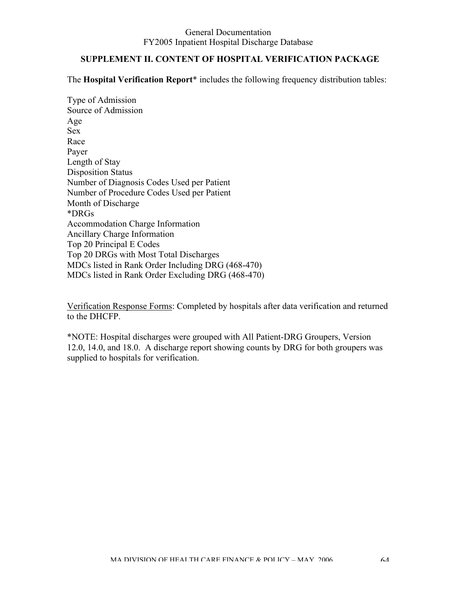### **SUPPLEMENT II. CONTENT OF HOSPITAL VERIFICATION PACKAGE**

The **Hospital Verification Report**\* includes the following frequency distribution tables:

Type of Admission Source of Admission Age Sex Race Payer Length of Stay Disposition Status Number of Diagnosis Codes Used per Patient Number of Procedure Codes Used per Patient Month of Discharge \*DRGs Accommodation Charge Information Ancillary Charge Information Top 20 Principal E Codes Top 20 DRGs with Most Total Discharges MDCs listed in Rank Order Including DRG (468-470) MDCs listed in Rank Order Excluding DRG (468-470)

Verification Response Forms: Completed by hospitals after data verification and returned to the DHCFP.

\*NOTE: Hospital discharges were grouped with All Patient-DRG Groupers, Version 12.0, 14.0, and 18.0. A discharge report showing counts by DRG for both groupers was supplied to hospitals for verification.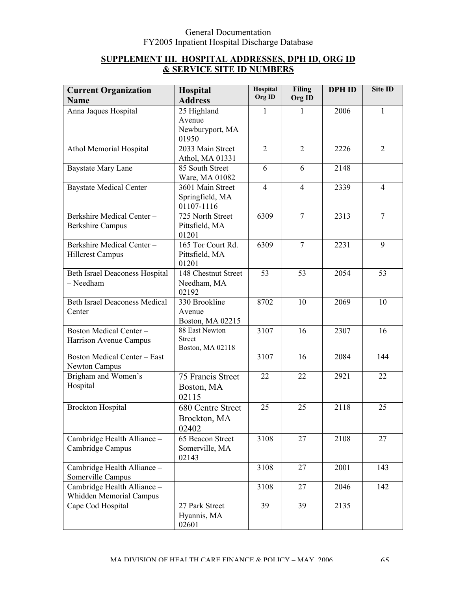### **SUPPLEMENT III. HOSPITAL ADDRESSES, DPH ID, ORG ID & SERVICE SITE ID NUMBERS**

| <b>Current Organization</b><br><b>Name</b> | Hospital<br><b>Address</b> | Hospital<br>Org ID | <b>Filing</b><br>Org ID | <b>DPH ID</b> | Site ID        |
|--------------------------------------------|----------------------------|--------------------|-------------------------|---------------|----------------|
| Anna Jaques Hospital                       | 25 Highland                | 1                  | 1                       | 2006          | 1              |
|                                            | Avenue                     |                    |                         |               |                |
|                                            | Newburyport, MA            |                    |                         |               |                |
|                                            | 01950                      |                    |                         |               |                |
| Athol Memorial Hospital                    | 2033 Main Street           | $\overline{2}$     | $\overline{2}$          | 2226          | $\overline{2}$ |
|                                            | Athol, MA 01331            |                    |                         |               |                |
| <b>Baystate Mary Lane</b>                  | 85 South Street            | 6                  | 6                       | 2148          |                |
|                                            | Ware, MA 01082             |                    |                         |               |                |
| <b>Baystate Medical Center</b>             | 3601 Main Street           | $\overline{4}$     | $\overline{4}$          | 2339          | $\overline{4}$ |
|                                            | Springfield, MA            |                    |                         |               |                |
|                                            | 01107-1116                 |                    |                         |               |                |
| Berkshire Medical Center-                  | 725 North Street           | 6309               | $\overline{7}$          | 2313          | $\overline{7}$ |
| <b>Berkshire Campus</b>                    | Pittsfield, MA             |                    |                         |               |                |
|                                            | 01201                      |                    |                         |               |                |
| Berkshire Medical Center-                  | 165 Tor Court Rd.          | 6309               | $\overline{7}$          | 2231          | 9              |
| <b>Hillcrest Campus</b>                    | Pittsfield, MA             |                    |                         |               |                |
|                                            | 01201                      |                    |                         |               |                |
| <b>Beth Israel Deaconess Hospital</b>      | 148 Chestnut Street        | 53                 | 53                      | 2054          | 53             |
| - Needham                                  | Needham, MA                |                    |                         |               |                |
|                                            | 02192                      |                    |                         |               |                |
| <b>Beth Israel Deaconess Medical</b>       | 330 Brookline              | 8702               | 10                      | 2069          | 10             |
| Center                                     | Avenue                     |                    |                         |               |                |
|                                            | Boston, MA 02215           |                    |                         |               |                |
| Boston Medical Center-                     | 88 East Newton             | 3107               | 16                      | 2307          | 16             |
| Harrison Avenue Campus                     | <b>Street</b>              |                    |                         |               |                |
| <b>Boston Medical Center - East</b>        | Boston, MA 02118           | 3107               | 16                      | 2084          | 144            |
| Newton Campus                              |                            |                    |                         |               |                |
| Brigham and Women's                        | 75 Francis Street          | 22                 | 22                      | 2921          | 22             |
| Hospital                                   |                            |                    |                         |               |                |
|                                            | Boston, MA                 |                    |                         |               |                |
|                                            | 02115                      |                    |                         |               |                |
| <b>Brockton Hospital</b>                   | 680 Centre Street          | 25                 | 25                      | 2118          | 25             |
|                                            | Brockton, MA               |                    |                         |               |                |
|                                            | 02402                      |                    |                         |               |                |
| Cambridge Health Alliance -                | 65 Beacon Street           | 3108               | 27                      | 2108          | 27             |
| Cambridge Campus                           | Somerville, MA             |                    |                         |               |                |
|                                            | 02143                      |                    |                         |               |                |
| Cambridge Health Alliance -                |                            | 3108               | 27                      | 2001          | 143            |
| Somerville Campus                          |                            |                    |                         |               |                |
| Cambridge Health Alliance -                |                            | 3108               | 27                      | 2046          | 142            |
| Whidden Memorial Campus                    |                            |                    |                         |               |                |
| Cape Cod Hospital                          | 27 Park Street             | 39                 | 39                      | 2135          |                |
|                                            | Hyannis, MA                |                    |                         |               |                |
|                                            | 02601                      |                    |                         |               |                |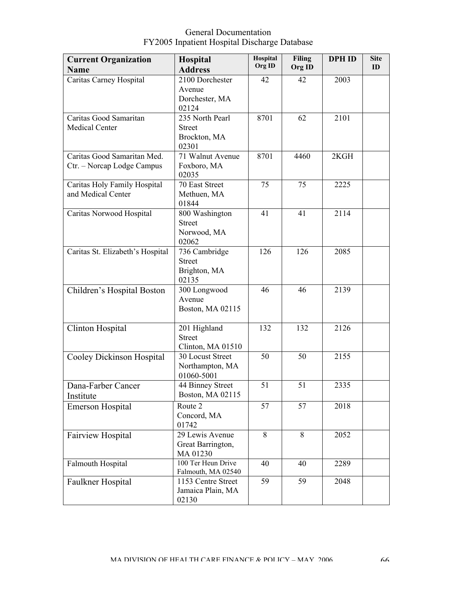| <b>Current Organization</b>              | <b>Hospital</b>                          | Hospital | <b>Filing</b> | <b>DPH ID</b> | <b>Site</b> |
|------------------------------------------|------------------------------------------|----------|---------------|---------------|-------------|
| <b>Name</b>                              | <b>Address</b>                           | Org ID   | Org ID        |               | ID          |
| Caritas Carney Hospital                  | 2100 Dorchester                          | 42       | 42            | 2003          |             |
|                                          | Avenue                                   |          |               |               |             |
|                                          | Dorchester, MA                           |          |               |               |             |
|                                          | 02124                                    |          |               |               |             |
| Caritas Good Samaritan<br>Medical Center | 235 North Pearl<br><b>Street</b>         | 8701     | 62            | 2101          |             |
|                                          | Brockton, MA                             |          |               |               |             |
|                                          | 02301                                    |          |               |               |             |
| Caritas Good Samaritan Med.              | 71 Walnut Avenue                         | 8701     | 4460          | 2KGH          |             |
| Ctr. - Norcap Lodge Campus               | Foxboro, MA                              |          |               |               |             |
|                                          | 02035                                    |          |               |               |             |
| Caritas Holy Family Hospital             | 70 East Street                           | 75       | 75            | 2225          |             |
| and Medical Center                       | Methuen, MA                              |          |               |               |             |
|                                          | 01844                                    |          |               |               |             |
| Caritas Norwood Hospital                 | 800 Washington<br><b>Street</b>          | 41       | 41            | 2114          |             |
|                                          | Norwood, MA                              |          |               |               |             |
|                                          | 02062                                    |          |               |               |             |
| Caritas St. Elizabeth's Hospital         | 736 Cambridge                            | 126      | 126           | 2085          |             |
|                                          | <b>Street</b>                            |          |               |               |             |
|                                          | Brighton, MA                             |          |               |               |             |
|                                          | 02135                                    |          |               |               |             |
| Children's Hospital Boston               | 300 Longwood                             | 46       | 46            | 2139          |             |
|                                          | Avenue                                   |          |               |               |             |
|                                          | Boston, MA 02115                         |          |               |               |             |
| Clinton Hospital                         | 201 Highland                             | 132      | 132           | 2126          |             |
|                                          | <b>Street</b>                            |          |               |               |             |
|                                          | Clinton, MA 01510                        |          |               |               |             |
| Cooley Dickinson Hospital                | 30 Locust Street                         | 50       | 50            | 2155          |             |
|                                          | Northampton, MA                          |          |               |               |             |
|                                          | 01060-5001                               | 51       | 51            | 2335          |             |
| Dana-Farber Cancer                       | 44 Binney Street<br>Boston, MA 02115     |          |               |               |             |
| Institute                                | Route 2                                  | 57       | 57            | 2018          |             |
| <b>Emerson Hospital</b>                  | Concord, MA                              |          |               |               |             |
|                                          | 01742                                    |          |               |               |             |
| Fairview Hospital                        | 29 Lewis Avenue                          | 8        | 8             | 2052          |             |
|                                          | Great Barrington,                        |          |               |               |             |
|                                          | MA 01230                                 |          |               |               |             |
| Falmouth Hospital                        | 100 Ter Heun Drive                       | 40       | 40            | 2289          |             |
|                                          | Falmouth, MA 02540<br>1153 Centre Street | 59       | 59            | 2048          |             |
| Faulkner Hospital                        | Jamaica Plain, MA                        |          |               |               |             |
|                                          | 02130                                    |          |               |               |             |
|                                          |                                          |          |               |               |             |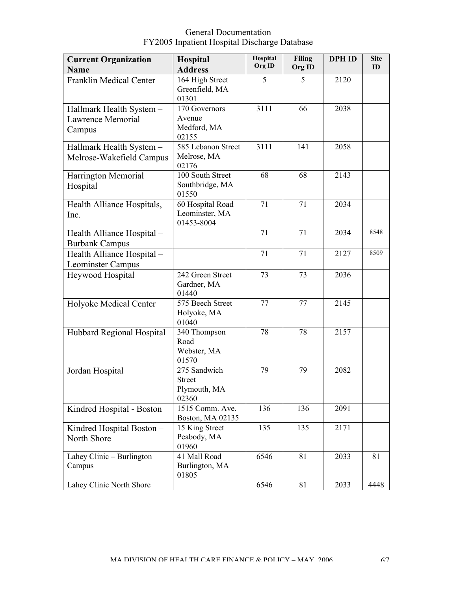| <b>Current Organization</b><br><b>Name</b>              | <b>Hospital</b><br><b>Address</b>                      | Hospital<br>Org ID | <b>Filing</b><br>Org ID | <b>DPH ID</b> | <b>Site</b><br>ID |
|---------------------------------------------------------|--------------------------------------------------------|--------------------|-------------------------|---------------|-------------------|
| <b>Franklin Medical Center</b>                          | 164 High Street<br>Greenfield, MA<br>01301             | 5                  | 5                       | 2120          |                   |
| Hallmark Health System -<br>Lawrence Memorial<br>Campus | 170 Governors<br>Avenue<br>Medford, MA<br>02155        | 3111               | 66                      | 2038          |                   |
| Hallmark Health System -<br>Melrose-Wakefield Campus    | 585 Lebanon Street<br>Melrose, MA<br>02176             | 3111               | 141                     | 2058          |                   |
| Harrington Memorial<br>Hospital                         | 100 South Street<br>Southbridge, MA<br>01550           | 68                 | 68                      | 2143          |                   |
| Health Alliance Hospitals,<br>Inc.                      | 60 Hospital Road<br>Leominster, MA<br>01453-8004       | 71                 | 71                      | 2034          |                   |
| Health Alliance Hospital -<br><b>Burbank Campus</b>     |                                                        | 71                 | 71                      | 2034          | 8548              |
| Health Alliance Hospital -<br>Leominster Campus         |                                                        | 71                 | 71                      | 2127          | 8509              |
| Heywood Hospital                                        | 242 Green Street<br>Gardner, MA<br>01440               | 73                 | 73                      | 2036          |                   |
| Holyoke Medical Center                                  | 575 Beech Street<br>Holyoke, MA<br>01040               | 77                 | 77                      | 2145          |                   |
| Hubbard Regional Hospital                               | 340 Thompson<br>Road<br>Webster, MA<br>01570           | 78                 | 78                      | 2157          |                   |
| Jordan Hospital                                         | 275 Sandwich<br><b>Street</b><br>Plymouth, MA<br>02360 | 79                 | 79                      | 2082          |                   |
| Kindred Hospital - Boston                               | 1515 Comm. Ave.<br>Boston, MA 02135                    | 136                | 136                     | 2091          |                   |
| Kindred Hospital Boston -<br>North Shore                | 15 King Street<br>Peabody, MA<br>01960                 | 135                | 135                     | 2171          |                   |
| Lahey Clinic – Burlington<br>Campus                     | 41 Mall Road<br>Burlington, MA<br>01805                | 6546               | 81                      | 2033          | 81                |
| Lahey Clinic North Shore                                |                                                        | 6546               | 81                      | 2033          | 4448              |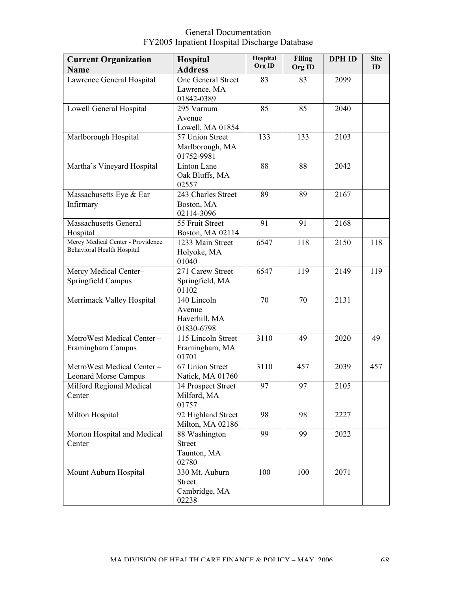| <b>Current Organization</b>       | Hospital                         | Hospital | <b>Filing</b> | <b>DPH ID</b> | <b>Site</b> |
|-----------------------------------|----------------------------------|----------|---------------|---------------|-------------|
| <b>Name</b>                       | <b>Address</b>                   | Org ID   | Org ID        |               | ID          |
| Lawrence General Hospital         | One General Street               | 83       | 83            | 2099          |             |
|                                   | Lawrence, MA                     |          |               |               |             |
|                                   | 01842-0389                       |          |               |               |             |
| Lowell General Hospital           | 295 Varnum                       | 85       | 85            | 2040          |             |
|                                   | Avenue                           |          |               |               |             |
|                                   | Lowell, MA 01854                 |          |               |               |             |
| Marlborough Hospital              | 57 Union Street                  | 133      | 133           | 2103          |             |
|                                   | Marlborough, MA                  |          |               |               |             |
|                                   | 01752-9981                       |          | 88            | 2042          |             |
| Martha's Vineyard Hospital        | Linton Lane<br>Oak Bluffs, MA    | 88       |               |               |             |
|                                   | 02557                            |          |               |               |             |
| Massachusetts Eye & Ear           | 243 Charles Street               | 89       | 89            | 2167          |             |
| Infirmary                         | Boston, MA                       |          |               |               |             |
|                                   | 02114-3096                       |          |               |               |             |
| <b>Massachusetts General</b>      | 55 Fruit Street                  | 91       | 91            | 2168          |             |
| Hospital                          | Boston, MA 02114                 |          |               |               |             |
| Mercy Medical Center - Providence | 1233 Main Street                 | 6547     | 118           | 2150          | 118         |
| Behavioral Health Hospital        | Holyoke, MA                      |          |               |               |             |
|                                   | 01040                            |          |               |               |             |
| Mercy Medical Center-             | 271 Carew Street                 | 6547     | 119           | 2149          | 119         |
| Springfield Campus                | Springfield, MA                  |          |               |               |             |
|                                   | 01102                            |          |               |               |             |
| Merrimack Valley Hospital         | 140 Lincoln                      | 70       | 70            | 2131          |             |
|                                   | Avenue                           |          |               |               |             |
|                                   | Haverhill, MA                    |          |               |               |             |
| MetroWest Medical Center-         | 01830-6798<br>115 Lincoln Street | 3110     | 49            | 2020          | 49          |
| Framingham Campus                 | Framingham, MA                   |          |               |               |             |
|                                   | 01701                            |          |               |               |             |
| MetroWest Medical Center-         | $\overline{67}$ Union Street     | 3110     | 457           | 2039          | 457         |
| <b>Leonard Morse Campus</b>       | Natick, MA 01760                 |          |               |               |             |
| Milford Regional Medical          | 14 Prospect Street               | 97       | 97            | 2105          |             |
| Center                            | Milford, MA                      |          |               |               |             |
|                                   | 01757                            |          |               |               |             |
| Milton Hospital                   | 92 Highland Street               | 98       | 98            | 2227          |             |
|                                   | Milton, MA 02186                 |          |               |               |             |
| Morton Hospital and Medical       | 88 Washington                    | 99       | 99            | 2022          |             |
| Center                            | <b>Street</b>                    |          |               |               |             |
|                                   | Taunton, MA                      |          |               |               |             |
|                                   | 02780                            |          |               |               |             |
| Mount Auburn Hospital             | 330 Mt. Auburn                   | 100      | 100           | 2071          |             |
|                                   | <b>Street</b>                    |          |               |               |             |
|                                   | Cambridge, MA<br>02238           |          |               |               |             |
|                                   |                                  |          |               |               |             |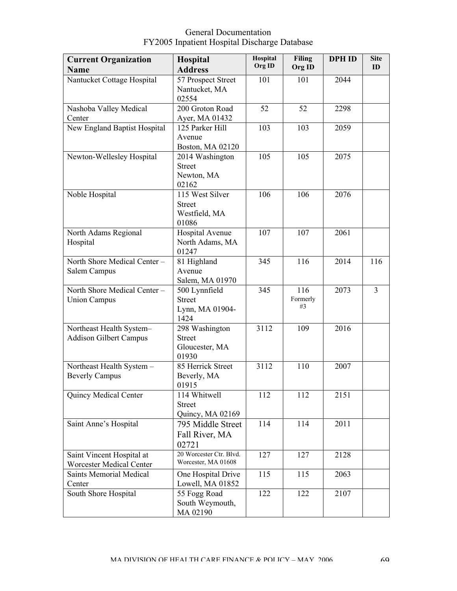| <b>Current Organization</b>   | <b>Hospital</b>                  | Hospital | <b>Filing</b> | <b>DPH ID</b> | <b>Site</b> |
|-------------------------------|----------------------------------|----------|---------------|---------------|-------------|
| <b>Name</b>                   | <b>Address</b>                   | Org ID   | Org ID        |               | ID          |
| Nantucket Cottage Hospital    | 57 Prospect Street               | 101      | 101           | 2044          |             |
|                               | Nantucket, MA                    |          |               |               |             |
|                               | 02554                            |          |               |               |             |
| Nashoba Valley Medical        | 200 Groton Road                  | 52       | 52            | 2298          |             |
| Center                        | Ayer, MA 01432                   |          |               |               |             |
| New England Baptist Hospital  | 125 Parker Hill                  | 103      | 103           | 2059          |             |
|                               | Avenue                           |          |               |               |             |
|                               | Boston, MA 02120                 |          |               |               |             |
| Newton-Wellesley Hospital     | 2014 Washington                  | 105      | 105           | 2075          |             |
|                               | <b>Street</b>                    |          |               |               |             |
|                               | Newton, MA                       |          |               |               |             |
|                               | 02162                            |          |               |               |             |
| Noble Hospital                | 115 West Silver                  | 106      | 106           | 2076          |             |
|                               | <b>Street</b>                    |          |               |               |             |
|                               | Westfield, MA                    |          |               |               |             |
|                               | 01086                            |          |               |               |             |
| North Adams Regional          | Hospital Avenue                  | 107      | 107           | 2061          |             |
| Hospital                      | North Adams, MA                  |          |               |               |             |
|                               | 01247                            |          |               |               |             |
| North Shore Medical Center -  | 81 Highland<br>Avenue            | 345      | 116           | 2014          | 116         |
| Salem Campus                  |                                  |          |               |               |             |
| North Shore Medical Center -  | Salem, MA 01970<br>500 Lynnfield | 345      | 116           | 2073          | 3           |
| <b>Union Campus</b>           | <b>Street</b>                    |          | Formerly      |               |             |
|                               | Lynn, MA 01904-                  |          | #3            |               |             |
|                               | 1424                             |          |               |               |             |
| Northeast Health System-      | 298 Washington                   | 3112     | 109           | 2016          |             |
| <b>Addison Gilbert Campus</b> | <b>Street</b>                    |          |               |               |             |
|                               | Gloucester, MA                   |          |               |               |             |
|                               | 01930                            |          |               |               |             |
| Northeast Health System -     | 85 Herrick Street                | 3112     | 110           | 2007          |             |
| <b>Beverly Campus</b>         | Beverly, MA                      |          |               |               |             |
|                               | 01915                            |          |               |               |             |
| Quincy Medical Center         | 114 Whitwell                     | 112      | 112           | 2151          |             |
|                               | <b>Street</b>                    |          |               |               |             |
|                               | Quincy, MA 02169                 |          |               |               |             |
| Saint Anne's Hospital         | 795 Middle Street                | 114      | 114           | 2011          |             |
|                               | Fall River, MA                   |          |               |               |             |
|                               | 02721                            |          |               |               |             |
| Saint Vincent Hospital at     | 20 Worcester Ctr. Blvd.          | 127      | 127           | 2128          |             |
| Worcester Medical Center      | Worcester, MA 01608              |          |               |               |             |
| Saints Memorial Medical       | One Hospital Drive               | 115      | 115           | 2063          |             |
| Center                        | Lowell, MA 01852                 |          |               |               |             |
| South Shore Hospital          | 55 Fogg Road                     | 122      | 122           | 2107          |             |
|                               | South Weymouth,                  |          |               |               |             |
|                               | MA 02190                         |          |               |               |             |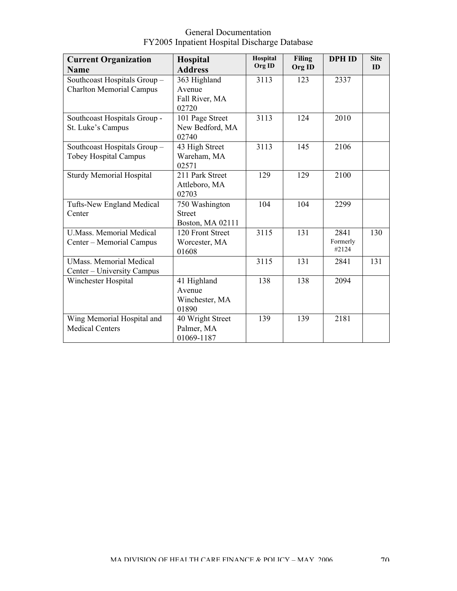| <b>Current Organization</b>      | Hospital         | Hospital | <b>Filing</b> | <b>DPH ID</b> | <b>Site</b> |
|----------------------------------|------------------|----------|---------------|---------------|-------------|
| <b>Name</b>                      | <b>Address</b>   | Org ID   | Org ID        |               | ID          |
| Southcoast Hospitals Group-      | 363 Highland     | 3113     | 123           | 2337          |             |
| <b>Charlton Memorial Campus</b>  | Avenue           |          |               |               |             |
|                                  | Fall River, MA   |          |               |               |             |
|                                  | 02720            |          |               |               |             |
| Southcoast Hospitals Group -     | 101 Page Street  | 3113     | 124           | 2010          |             |
| St. Luke's Campus                | New Bedford, MA  |          |               |               |             |
|                                  | 02740            |          |               |               |             |
| Southcoast Hospitals Group-      | 43 High Street   | 3113     | 145           | 2106          |             |
| <b>Tobey Hospital Campus</b>     | Wareham, MA      |          |               |               |             |
|                                  | 02571            |          |               |               |             |
| <b>Sturdy Memorial Hospital</b>  | 211 Park Street  | 129      | 129           | 2100          |             |
|                                  | Attleboro, MA    |          |               |               |             |
|                                  | 02703            |          |               |               |             |
| <b>Tufts-New England Medical</b> | 750 Washington   | 104      | 104           | 2299          |             |
| Center                           | <b>Street</b>    |          |               |               |             |
|                                  | Boston, MA 02111 |          |               |               |             |
| <b>U.Mass. Memorial Medical</b>  | 120 Front Street | 3115     | 131           | 2841          | 130         |
| Center - Memorial Campus         | Worcester, MA    |          |               | Formerly      |             |
|                                  | 01608            |          |               | #2124         |             |
| <b>UMass. Memorial Medical</b>   |                  | 3115     | 131           | 2841          | 131         |
| Center – University Campus       |                  |          |               |               |             |
| Winchester Hospital              | 41 Highland      | 138      | 138           | 2094          |             |
|                                  | Avenue           |          |               |               |             |
|                                  | Winchester, MA   |          |               |               |             |
|                                  | 01890            |          |               |               |             |
| Wing Memorial Hospital and       | 40 Wright Street | 139      | 139           | 2181          |             |
| <b>Medical Centers</b>           | Palmer, MA       |          |               |               |             |
|                                  | 01069-1187       |          |               |               |             |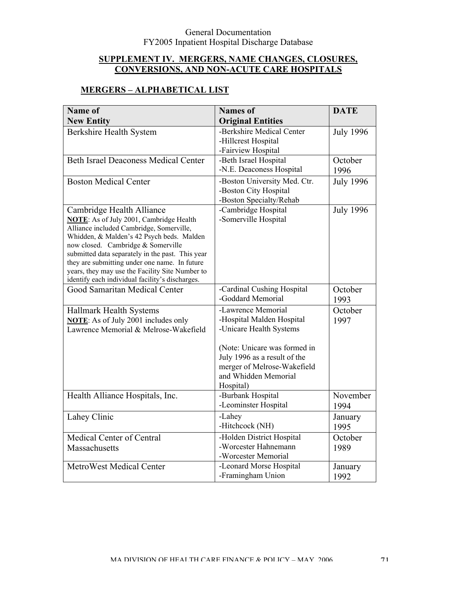### **SUPPLEMENT IV. MERGERS, NAME CHANGES, CLOSURES, CONVERSIONS, AND NON-ACUTE CARE HOSPITALS**

# **MERGERS – ALPHABETICAL LIST**

| Name of                                                                                            | <b>Names</b> of              | <b>DATE</b>      |
|----------------------------------------------------------------------------------------------------|------------------------------|------------------|
| <b>New Entity</b>                                                                                  | <b>Original Entities</b>     |                  |
| Berkshire Health System                                                                            | -Berkshire Medical Center    | <b>July 1996</b> |
|                                                                                                    | -Hillcrest Hospital          |                  |
|                                                                                                    | -Fairview Hospital           |                  |
| <b>Beth Israel Deaconess Medical Center</b>                                                        | -Beth Israel Hospital        | October          |
|                                                                                                    | -N.E. Deaconess Hospital     | 1996             |
| <b>Boston Medical Center</b>                                                                       | -Boston University Med. Ctr. | <b>July 1996</b> |
|                                                                                                    | -Boston City Hospital        |                  |
|                                                                                                    | -Boston Specialty/Rehab      |                  |
| Cambridge Health Alliance                                                                          | -Cambridge Hospital          | <b>July 1996</b> |
| <b>NOTE:</b> As of July 2001, Cambridge Health<br>Alliance included Cambridge, Somerville,         | -Somerville Hospital         |                  |
| Whidden, & Malden's 42 Psych beds. Malden                                                          |                              |                  |
| now closed. Cambridge & Somerville                                                                 |                              |                  |
| submitted data separately in the past. This year                                                   |                              |                  |
| they are submitting under one name. In future                                                      |                              |                  |
| years, they may use the Facility Site Number to<br>identify each individual facility's discharges. |                              |                  |
| Good Samaritan Medical Center                                                                      | -Cardinal Cushing Hospital   | October          |
|                                                                                                    | -Goddard Memorial            | 1993             |
|                                                                                                    | -Lawrence Memorial           | October          |
| Hallmark Health Systems<br><b>NOTE:</b> As of July 2001 includes only                              | -Hospital Malden Hospital    | 1997             |
| Lawrence Memorial & Melrose-Wakefield                                                              | -Unicare Health Systems      |                  |
|                                                                                                    |                              |                  |
|                                                                                                    | (Note: Unicare was formed in |                  |
|                                                                                                    | July 1996 as a result of the |                  |
|                                                                                                    | merger of Melrose-Wakefield  |                  |
|                                                                                                    | and Whidden Memorial         |                  |
|                                                                                                    | Hospital)                    |                  |
| Health Alliance Hospitals, Inc.                                                                    | -Burbank Hospital            | November         |
|                                                                                                    | -Leominster Hospital         | 1994             |
| Lahey Clinic                                                                                       | -Lahey                       | January          |
|                                                                                                    | -Hitchcock (NH)              | 1995             |
| Medical Center of Central                                                                          | -Holden District Hospital    | October          |
| Massachusetts                                                                                      | -Worcester Hahnemann         | 1989             |
|                                                                                                    | -Worcester Memorial          |                  |
| MetroWest Medical Center                                                                           | -Leonard Morse Hospital      | January          |
|                                                                                                    | -Framingham Union            | 1992             |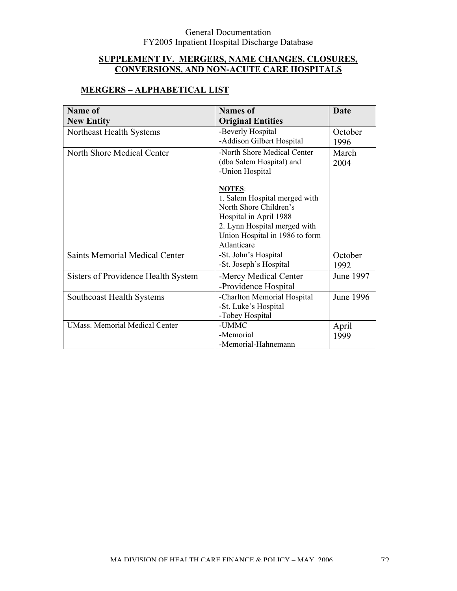# **SUPPLEMENT IV. MERGERS, NAME CHANGES, CLOSURES, CONVERSIONS, AND NON-ACUTE CARE HOSPITALS**

# **MERGERS – ALPHABETICAL LIST**

| <b>Name of</b>                        | <b>Names of</b>                                | <b>Date</b> |
|---------------------------------------|------------------------------------------------|-------------|
| <b>New Entity</b>                     | <b>Original Entities</b>                       |             |
| Northeast Health Systems              | -Beverly Hospital                              | October     |
|                                       | -Addison Gilbert Hospital                      | 1996        |
| North Shore Medical Center            | -North Shore Medical Center                    | March       |
|                                       | (dba Salem Hospital) and                       | 2004        |
|                                       | -Union Hospital                                |             |
|                                       |                                                |             |
|                                       | <b>NOTES:</b><br>1. Salem Hospital merged with |             |
|                                       | North Shore Children's                         |             |
|                                       | Hospital in April 1988                         |             |
|                                       | 2. Lynn Hospital merged with                   |             |
|                                       | Union Hospital in 1986 to form                 |             |
|                                       | Atlanticare                                    |             |
| <b>Saints Memorial Medical Center</b> | -St. John's Hospital                           | October     |
|                                       | -St. Joseph's Hospital                         | 1992        |
| Sisters of Providence Health System   | -Mercy Medical Center                          | June 1997   |
|                                       | -Providence Hospital                           |             |
| <b>Southcoast Health Systems</b>      | -Charlton Memorial Hospital                    | June 1996   |
|                                       | -St. Luke's Hospital                           |             |
|                                       | -Tobey Hospital                                |             |
| <b>UMass. Memorial Medical Center</b> | -UMMC                                          | April       |
|                                       | -Memorial                                      | 1999        |
|                                       | -Memorial-Hahnemann                            |             |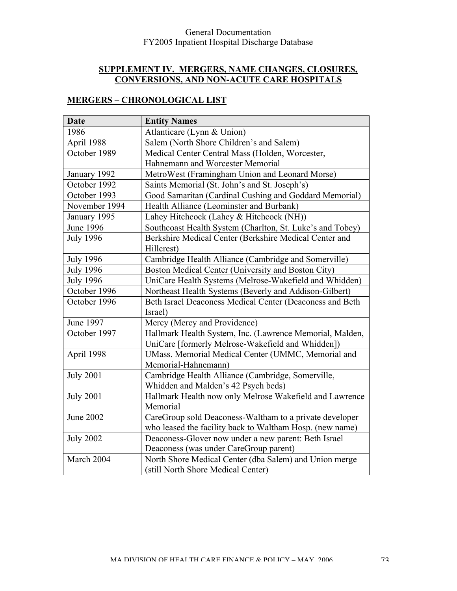# **SUPPLEMENT IV. MERGERS, NAME CHANGES, CLOSURES, CONVERSIONS, AND NON-ACUTE CARE HOSPITALS**

# **MERGERS – CHRONOLOGICAL LIST**

| <b>Date</b>      | <b>Entity Names</b>                                       |  |  |
|------------------|-----------------------------------------------------------|--|--|
| 1986             | Atlanticare (Lynn & Union)                                |  |  |
| April 1988       | Salem (North Shore Children's and Salem)                  |  |  |
| October 1989     | Medical Center Central Mass (Holden, Worcester,           |  |  |
|                  | Hahnemann and Worcester Memorial                          |  |  |
| January 1992     | MetroWest (Framingham Union and Leonard Morse)            |  |  |
| October 1992     | Saints Memorial (St. John's and St. Joseph's)             |  |  |
| October 1993     | Good Samaritan (Cardinal Cushing and Goddard Memorial)    |  |  |
| November 1994    | Health Alliance (Leominster and Burbank)                  |  |  |
| January 1995     | Lahey Hitchcock (Lahey & Hitchcock (NH))                  |  |  |
| <b>June 1996</b> | Southcoast Health System (Charlton, St. Luke's and Tobey) |  |  |
| <b>July 1996</b> | Berkshire Medical Center (Berkshire Medical Center and    |  |  |
|                  | Hillcrest)                                                |  |  |
| <b>July 1996</b> | Cambridge Health Alliance (Cambridge and Somerville)      |  |  |
| <b>July 1996</b> | Boston Medical Center (University and Boston City)        |  |  |
| <b>July 1996</b> | UniCare Health Systems (Melrose-Wakefield and Whidden)    |  |  |
| October 1996     | Northeast Health Systems (Beverly and Addison-Gilbert)    |  |  |
| October 1996     | Beth Israel Deaconess Medical Center (Deaconess and Beth  |  |  |
|                  | Israel)                                                   |  |  |
| June 1997        | Mercy (Mercy and Providence)                              |  |  |
| October 1997     | Hallmark Health System, Inc. (Lawrence Memorial, Malden,  |  |  |
|                  | UniCare [formerly Melrose-Wakefield and Whidden])         |  |  |
| April 1998       | UMass. Memorial Medical Center (UMMC, Memorial and        |  |  |
|                  | Memorial-Hahnemann)                                       |  |  |
| <b>July 2001</b> | Cambridge Health Alliance (Cambridge, Somerville,         |  |  |
|                  | Whidden and Malden's 42 Psych beds)                       |  |  |
| <b>July 2001</b> | Hallmark Health now only Melrose Wakefield and Lawrence   |  |  |
|                  | Memorial                                                  |  |  |
| <b>June 2002</b> | CareGroup sold Deaconess-Waltham to a private developer   |  |  |
|                  | who leased the facility back to Waltham Hosp. (new name)  |  |  |
| <b>July 2002</b> | Deaconess-Glover now under a new parent: Beth Israel      |  |  |
|                  | Deaconess (was under CareGroup parent)                    |  |  |
| March 2004       | North Shore Medical Center (dba Salem) and Union merge    |  |  |
|                  | (still North Shore Medical Center)                        |  |  |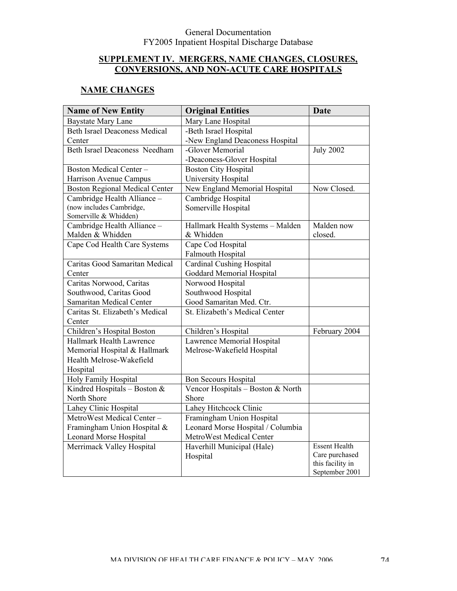# **SUPPLEMENT IV. MERGERS, NAME CHANGES, CLOSURES, CONVERSIONS, AND NON-ACUTE CARE HOSPITALS**

# **NAME CHANGES**

| <b>Name of New Entity</b>             | <b>Original Entities</b>          | <b>Date</b>                        |
|---------------------------------------|-----------------------------------|------------------------------------|
| <b>Baystate Mary Lane</b>             | Mary Lane Hospital                |                                    |
| <b>Beth Israel Deaconess Medical</b>  | -Beth Israel Hospital             |                                    |
| Center                                | -New England Deaconess Hospital   |                                    |
| <b>Beth Israel Deaconess Needham</b>  | -Glover Memorial                  | <b>July 2002</b>                   |
|                                       | -Deaconess-Glover Hospital        |                                    |
| <b>Boston Medical Center-</b>         | <b>Boston City Hospital</b>       |                                    |
| Harrison Avenue Campus                | University Hospital               |                                    |
| <b>Boston Regional Medical Center</b> | New England Memorial Hospital     | Now Closed.                        |
| Cambridge Health Alliance -           | Cambridge Hospital                |                                    |
| (now includes Cambridge,              | Somerville Hospital               |                                    |
| Somerville & Whidden)                 |                                   |                                    |
| Cambridge Health Alliance -           | Hallmark Health Systems - Malden  | Malden now                         |
| Malden & Whidden                      | & Whidden                         | closed.                            |
| Cape Cod Health Care Systems          | Cape Cod Hospital                 |                                    |
|                                       | <b>Falmouth Hospital</b>          |                                    |
| Caritas Good Samaritan Medical        | <b>Cardinal Cushing Hospital</b>  |                                    |
| Center                                | <b>Goddard Memorial Hospital</b>  |                                    |
| Caritas Norwood, Caritas              | Norwood Hospital                  |                                    |
| Southwood, Caritas Good               | Southwood Hospital                |                                    |
| Samaritan Medical Center              | Good Samaritan Med. Ctr.          |                                    |
| Caritas St. Elizabeth's Medical       | St. Elizabeth's Medical Center    |                                    |
| Center                                |                                   |                                    |
| Children's Hospital Boston            | Children's Hospital               | February 2004                      |
| Hallmark Health Lawrence              | Lawrence Memorial Hospital        |                                    |
| Memorial Hospital & Hallmark          | Melrose-Wakefield Hospital        |                                    |
| Health Melrose-Wakefield              |                                   |                                    |
| Hospital                              |                                   |                                    |
| Holy Family Hospital                  | <b>Bon Secours Hospital</b>       |                                    |
| Kindred Hospitals - Boston $&$        | Vencor Hospitals - Boston & North |                                    |
| North Shore                           | Shore                             |                                    |
| Lahey Clinic Hospital                 | Lahey Hitchcock Clinic            |                                    |
| MetroWest Medical Center-             | Framingham Union Hospital         |                                    |
| Framingham Union Hospital &           | Leonard Morse Hospital / Columbia |                                    |
| <b>Leonard Morse Hospital</b>         | MetroWest Medical Center          |                                    |
| Merrimack Valley Hospital             | Haverhill Municipal (Hale)        | <b>Essent Health</b>               |
|                                       | Hospital                          | Care purchased                     |
|                                       |                                   | this facility in<br>September 2001 |
|                                       |                                   |                                    |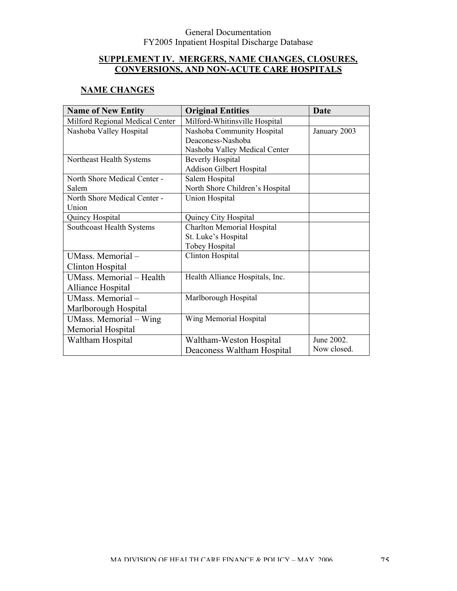# **SUPPLEMENT IV. MERGERS, NAME CHANGES, CLOSURES, CONVERSIONS, AND NON-ACUTE CARE HOSPITALS**

### **NAME CHANGES**

| <b>Name of New Entity</b>       | <b>Original Entities</b>              | <b>Date</b>  |
|---------------------------------|---------------------------------------|--------------|
| Milford Regional Medical Center | Milford-Whitinsville Hospital         |              |
| Nashoba Valley Hospital         | Nashoba Community Hospital            | January 2003 |
|                                 | Deaconess-Nashoba                     |              |
|                                 | Nashoba Valley Medical Center         |              |
| Northeast Health Systems        | <b>Beverly Hospital</b>               |              |
|                                 | <b>Addison Gilbert Hospital</b>       |              |
| North Shore Medical Center -    | Salem Hospital                        |              |
| Salem                           | North Shore Children's Hospital       |              |
| North Shore Medical Center -    | <b>Union Hospital</b>                 |              |
| Union                           |                                       |              |
| Quincy Hospital                 | Quincy City Hospital                  |              |
| Southcoast Health Systems       | <b>Charlton Memorial Hospital</b>     |              |
|                                 | St. Luke's Hospital                   |              |
|                                 | Tobey Hospital                        |              |
| UMass. Memorial-                | Clinton Hospital                      |              |
| Clinton Hospital                |                                       |              |
| UMass. Memorial - Health        | Health Alliance Hospitals, Inc.       |              |
| Alliance Hospital               |                                       |              |
| UMass. Memorial-                | Marlborough Hospital                  |              |
| Marlborough Hospital            |                                       |              |
| UMass. Memorial – Wing          | Wing Memorial Hospital                |              |
| Memorial Hospital               |                                       |              |
| Waltham Hospital                | June 2002.<br>Waltham-Weston Hospital |              |
|                                 | Deaconess Waltham Hospital            | Now closed.  |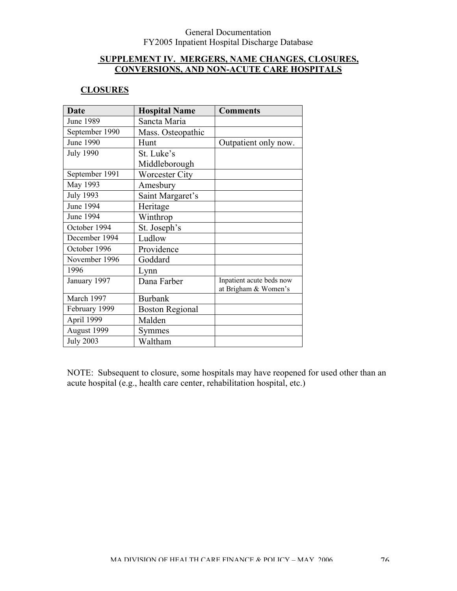### **SUPPLEMENT IV. MERGERS, NAME CHANGES, CLOSURES, CONVERSIONS, AND NON-ACUTE CARE HOSPITALS**

### **CLOSURES**

| <b>Date</b>      | <b>Hospital Name</b>   | <b>Comments</b>          |
|------------------|------------------------|--------------------------|
| <b>June 1989</b> | Sancta Maria           |                          |
| September 1990   | Mass. Osteopathic      |                          |
| <b>June 1990</b> | Hunt                   | Outpatient only now.     |
| <b>July 1990</b> | St. Luke's             |                          |
|                  | Middleborough          |                          |
| September 1991   | <b>Worcester City</b>  |                          |
| May 1993         | Amesbury               |                          |
| <b>July 1993</b> | Saint Margaret's       |                          |
| June 1994        | Heritage               |                          |
| June 1994        | Winthrop               |                          |
| October 1994     | St. Joseph's           |                          |
| December 1994    | Ludlow                 |                          |
| October 1996     | Providence             |                          |
| November 1996    | Goddard                |                          |
| 1996             | Lynn                   |                          |
| January 1997     | Dana Farber            | Inpatient acute beds now |
| March 1997       | <b>Burbank</b>         | at Brigham & Women's     |
|                  |                        |                          |
| February 1999    | <b>Boston Regional</b> |                          |
| April 1999       | Malden                 |                          |
| August 1999      | Symmes                 |                          |
| <b>July 2003</b> | Waltham                |                          |

NOTE: Subsequent to closure, some hospitals may have reopened for used other than an acute hospital (e.g., health care center, rehabilitation hospital, etc.)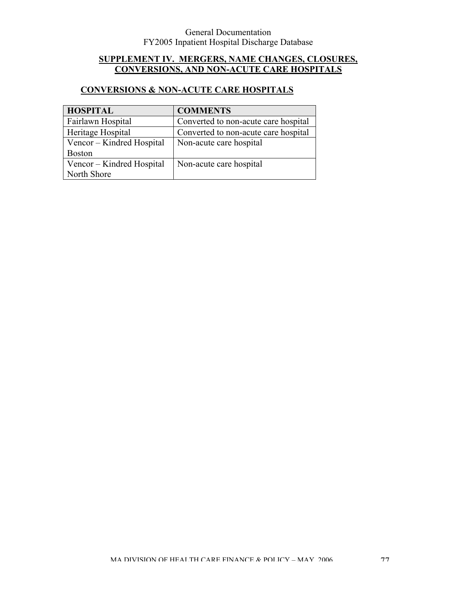# **SUPPLEMENT IV. MERGERS, NAME CHANGES, CLOSURES, CONVERSIONS, AND NON-ACUTE CARE HOSPITALS**

# **CONVERSIONS & NON-ACUTE CARE HOSPITALS**

| <b>HOSPITAL</b>           | <b>COMMENTS</b>                      |
|---------------------------|--------------------------------------|
| Fairlawn Hospital         | Converted to non-acute care hospital |
| Heritage Hospital         | Converted to non-acute care hospital |
| Vencor – Kindred Hospital | Non-acute care hospital              |
| <b>Boston</b>             |                                      |
| Vencor – Kindred Hospital | Non-acute care hospital              |
| North Shore               |                                      |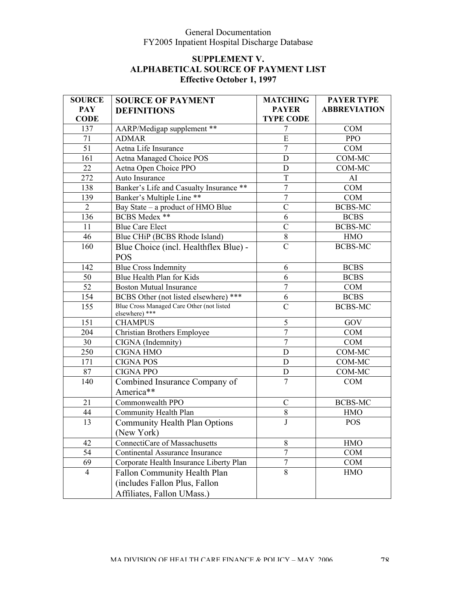| <b>SOURCE</b>  | <b>SOURCE OF PAYMENT</b>                  | <b>MATCHING</b>               | <b>PAYER TYPE</b>   |
|----------------|-------------------------------------------|-------------------------------|---------------------|
| <b>PAY</b>     | <b>DEFINITIONS</b>                        | <b>PAYER</b>                  | <b>ABBREVIATION</b> |
| <b>CODE</b>    |                                           | <b>TYPE CODE</b>              |                     |
| 137            | AARP/Medigap supplement **                | $\overline{7}$                | <b>COM</b>          |
| 71             | <b>ADMAR</b>                              | ${\bf E}$                     | <b>PPO</b>          |
| 51             | Aetna Life Insurance                      | $\overline{7}$                | <b>COM</b>          |
| 161            | Aetna Managed Choice POS                  | $\mathbf D$                   | COM-MC              |
| 22             | Aetna Open Choice PPO                     | $\mathbf D$                   | COM-MC              |
| 272            | Auto Insurance                            | $\overline{T}$                | AI                  |
| 138            | Banker's Life and Casualty Insurance **   | $\overline{7}$                | <b>COM</b>          |
| 139            | Banker's Multiple Line **                 | $\overline{7}$                | <b>COM</b>          |
| $\overline{2}$ | Bay State – a product of HMO Blue         | $\mathcal{C}$                 | <b>BCBS-MC</b>      |
| 136            | <b>BCBS</b> Medex **                      | 6                             | <b>BCBS</b>         |
| 11             | <b>Blue Care Elect</b>                    | $\overline{C}$                | <b>BCBS-MC</b>      |
| 46             | Blue CHiP (BCBS Rhode Island)             | $8\,$                         | <b>HMO</b>          |
| 160            | Blue Choice (incl. Healthflex Blue) -     | $\overline{C}$                | <b>BCBS-MC</b>      |
|                | <b>POS</b>                                |                               |                     |
| 142            | <b>Blue Cross Indemnity</b>               | 6                             | <b>BCBS</b>         |
| 50             | Blue Health Plan for Kids                 | 6                             | <b>BCBS</b>         |
| 52             | <b>Boston Mutual Insurance</b>            | $\overline{7}$                | <b>COM</b>          |
| 154            | BCBS Other (not listed elsewhere) ***     | 6                             | <b>BCBS</b>         |
| 155            | Blue Cross Managed Care Other (not listed | $\mathcal{C}$                 | <b>BCBS-MC</b>      |
| 151            | elsewhere) ***                            | 5                             | GOV                 |
| 204            | <b>CHAMPUS</b>                            | $\overline{7}$                | <b>COM</b>          |
|                | <b>Christian Brothers Employee</b>        | $\overline{7}$                |                     |
| 30             | CIGNA (Indemnity)                         |                               | <b>COM</b>          |
| 250            | <b>CIGNA HMO</b>                          | D                             | COM-MC              |
| 171            | <b>CIGNA POS</b>                          | D                             | COM-MC              |
| 87             | <b>CIGNA PPO</b>                          | $\mathbf D$<br>$\overline{7}$ | COM-MC              |
| 140            | Combined Insurance Company of             |                               | <b>COM</b>          |
|                | America**                                 |                               |                     |
| 21             | Commonwealth PPO                          | $\mathcal{C}$                 | <b>BCBS-MC</b>      |
| 44             | Community Health Plan                     | 8                             | <b>HMO</b>          |
| 13             | <b>Community Health Plan Options</b>      | J                             | <b>POS</b>          |
|                | (New York)                                |                               |                     |
| 42             | ConnectiCare of Massachusetts             | 8                             | <b>HMO</b>          |
| 54             | <b>Continental Assurance Insurance</b>    | $\overline{7}$                | <b>COM</b>          |
| 69             | Corporate Health Insurance Liberty Plan   | 7                             | <b>COM</b>          |
| $\overline{4}$ | Fallon Community Health Plan              | 8                             | <b>HMO</b>          |
|                | (includes Fallon Plus, Fallon             |                               |                     |
|                | Affiliates, Fallon UMass.)                |                               |                     |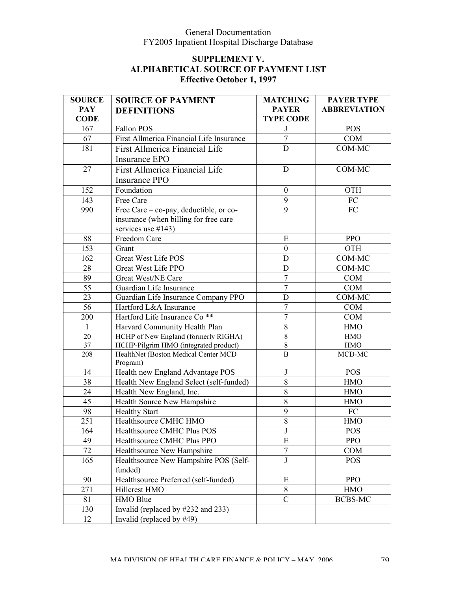| <b>SOURCE</b>   | <b>SOURCE OF PAYMENT</b>                         | <b>MATCHING</b>                | <b>PAYER TYPE</b>   |
|-----------------|--------------------------------------------------|--------------------------------|---------------------|
| <b>PAY</b>      | <b>DEFINITIONS</b>                               | <b>PAYER</b>                   | <b>ABBREVIATION</b> |
| <b>CODE</b>     |                                                  | <b>TYPE CODE</b>               |                     |
| 167             | Fallon POS                                       | J                              | <b>POS</b>          |
| 67              | First Allmerica Financial Life Insurance         | $\tau$                         | COM                 |
| 181             | First Allmerica Financial Life                   | $\mathbf D$                    | COM-MC              |
|                 | Insurance EPO                                    |                                |                     |
| 27              | First Allmerica Financial Life                   | $\mathbf D$                    | COM-MC              |
|                 | <b>Insurance PPO</b>                             |                                |                     |
| 152             | Foundation                                       | $\boldsymbol{0}$               | OTH                 |
| 143             | Free Care                                        | 9                              | ${\rm FC}$          |
| 990             | Free Care - co-pay, deductible, or co-           | 9                              | FC                  |
|                 | insurance (when billing for free care            |                                |                     |
|                 | services use $#143$ )                            |                                |                     |
| 88              | Freedom Care                                     | E                              | <b>PPO</b>          |
| 153             | Grant                                            | $\boldsymbol{0}$               | OTH                 |
| 162             | <b>Great West Life POS</b>                       | $\mathbf D$                    | COM-MC              |
| 28              | Great West Life PPO                              | D                              | COM-MC              |
| 89              | Great West/NE Care                               | $\overline{7}$                 | COM                 |
| 55              | Guardian Life Insurance                          | $\overline{7}$                 | COM                 |
| 23              | Guardian Life Insurance Company PPO              | D                              | COM-MC              |
| 56              | Hartford L&A Insurance                           | $\overline{7}$                 | <b>COM</b>          |
| 200             | Hartford Life Insurance Co <sup>**</sup>         | $\overline{7}$                 | COM                 |
| 1               | Harvard Community Health Plan                    | 8                              | <b>HMO</b>          |
| 20              | HCHP of New England (formerly RIGHA)             | $\overline{8}$                 | ${\rm HMO}$         |
| $\overline{37}$ | HCHP-Pilgrim HMO (integrated product)            | $\,$ $\,$                      | ${\rm HMO}$         |
| 208             | HealthNet (Boston Medical Center MCD             | $\overline{B}$                 | MCD-MC              |
| 14              | Program)<br>Health new England Advantage POS     | $\bf J$                        | <b>POS</b>          |
| 38              | Health New England Select (self-funded)          | $8\,$                          | <b>HMO</b>          |
| 24              | Health New England, Inc.                         | 8                              | <b>HMO</b>          |
| 45              | Health Source New Hampshire                      | 8                              | <b>HMO</b>          |
| 98              | <b>Healthy Start</b>                             | 9                              | FC                  |
| 251             | Healthsource CMHC HMO                            | 8                              | <b>HMO</b>          |
| 164             | Healthsource CMHC Plus POS                       |                                | <b>POS</b>          |
| 49              | Healthsource CMHC Plus PPO                       | $\mathsf{J}$<br>$\overline{E}$ | <b>PPO</b>          |
| 72              | Healthsource New Hampshire                       | $\boldsymbol{7}$               | COM                 |
|                 |                                                  |                                |                     |
| 165             | Healthsource New Hampshire POS (Self-<br>funded) | J                              | <b>POS</b>          |
| 90              | Healthsource Preferred (self-funded)             | ${\bf E}$                      | <b>PPO</b>          |
| 271             | Hillcrest HMO                                    | 8                              | <b>HMO</b>          |
| 81              | HMO Blue                                         | $\mathcal{C}$                  | BCBS-MC             |
| 130             | Invalid (replaced by #232 and 233)               |                                |                     |
|                 |                                                  |                                |                     |
| 12              | Invalid (replaced by #49)                        |                                |                     |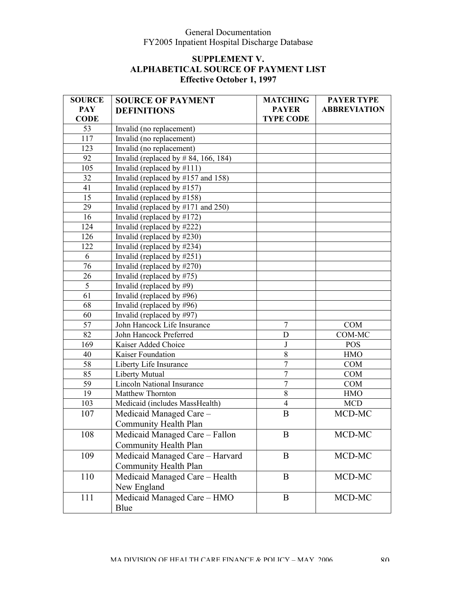| <b>SOURCE</b> | <b>SOURCE OF PAYMENT</b>                            | <b>MATCHING</b>  | <b>PAYER TYPE</b>   |
|---------------|-----------------------------------------------------|------------------|---------------------|
| <b>PAY</b>    | <b>DEFINITIONS</b>                                  | <b>PAYER</b>     | <b>ABBREVIATION</b> |
| <b>CODE</b>   |                                                     | <b>TYPE CODE</b> |                     |
| 53            | Invalid (no replacement)                            |                  |                     |
| 117           | Invalid (no replacement)                            |                  |                     |
| 123           | Invalid (no replacement)                            |                  |                     |
| 92            | Invalid (replaced by $\#$ 84, 166, 184)             |                  |                     |
| 105           | Invalid (replaced by #111)                          |                  |                     |
| 32            | Invalid (replaced by $\#157$ and $\overline{158}$ ) |                  |                     |
| 41            | Invalid (replaced by $\#157$ )                      |                  |                     |
| 15            | Invalid (replaced by $\#158$ )                      |                  |                     |
| 29            | Invalid (replaced by $\#171$ and 250)               |                  |                     |
| 16            | Invalid (replaced by $\#172$ )                      |                  |                     |
| 124           | Invalid (replaced by #222)                          |                  |                     |
| 126           | Invalid (replaced by #230)                          |                  |                     |
| 122           | Invalid (replaced by $\#234$ )                      |                  |                     |
| 6             | Invalid (replaced by $\#251$ )                      |                  |                     |
| 76            | Invalid (replaced by #270)                          |                  |                     |
| 26            | Invalid (replaced by $\#75$ )                       |                  |                     |
| 5             | Invalid (replaced by $#9$ )                         |                  |                     |
| 61            | Invalid (replaced by #96)                           |                  |                     |
| 68            | Invalid (replaced by $\#96$ )                       |                  |                     |
| 60            | Invalid (replaced by #97)                           |                  |                     |
| 57            | John Hancock Life Insurance                         | $\overline{7}$   | COM                 |
| 82            | John Hancock Preferred                              | $\mathbf D$      | COM-MC              |
| 169           | Kaiser Added Choice                                 | $\bf J$          | <b>POS</b>          |
| 40            | Kaiser Foundation                                   | $8\,$            | <b>HMO</b>          |
| 58            | Liberty Life Insurance                              | $\boldsymbol{7}$ | <b>COM</b>          |
| 85            | Liberty Mutual                                      | $\overline{7}$   | <b>COM</b>          |
| 59            | <b>Lincoln National Insurance</b>                   | $\overline{7}$   | <b>COM</b>          |
| 19            | Matthew Thornton                                    | $\overline{8}$   | <b>HMO</b>          |
| 103           | Medicaid (includes MassHealth)                      | $\overline{4}$   | <b>MCD</b>          |
| 107           | Medicaid Managed Care -                             | $\bf{B}$         | MCD-MC              |
|               | Community Health Plan                               |                  |                     |
| 108           | Medicaid Managed Care – Fallon                      | B                | MCD-MC              |
|               | Community Health Plan                               |                  |                     |
| 109           | Medicaid Managed Care - Harvard                     | B                | MCD-MC              |
|               | Community Health Plan                               |                  |                     |
| 110           | Medicaid Managed Care - Health                      | B                | MCD-MC              |
|               | New England                                         |                  |                     |
| 111           | Medicaid Managed Care - HMO                         | B                | MCD-MC              |
|               |                                                     |                  |                     |
|               | Blue                                                |                  |                     |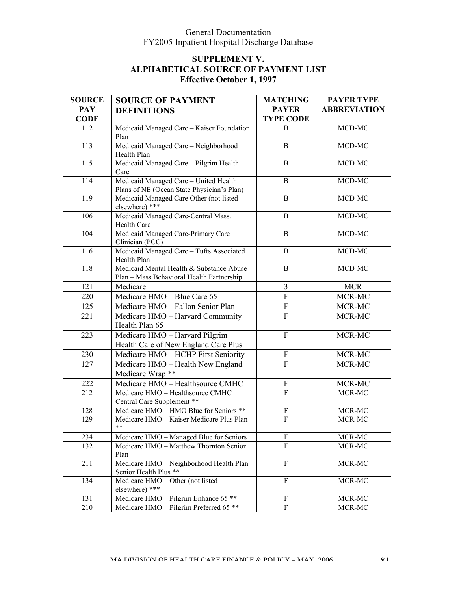| <b>PAY</b><br><b>PAYER</b><br><b>ABBREVIATION</b><br><b>DEFINITIONS</b><br><b>CODE</b><br><b>TYPE CODE</b><br>MCD-MC<br>112<br>Medicaid Managed Care - Kaiser Foundation<br>B<br>Plan<br>Medicaid Managed Care - Neighborhood<br>MCD-MC<br>113<br>$\, {\bf B}$<br>Health Plan<br>Medicaid Managed Care - Pilgrim Health<br>115<br>MCD-MC<br>B<br>Care<br>Medicaid Managed Care - United Health<br>MCD-MC<br>114<br>B<br>Plans of NE (Ocean State Physician's Plan)<br>Medicaid Managed Care Other (not listed<br>MCD-MC<br>119<br>$\, {\bf B}$<br>elsewhere) ***<br>Medicaid Managed Care-Central Mass.<br>MCD-MC<br>106<br>B<br>Health Care<br>Medicaid Managed Care-Primary Care<br>MCD-MC<br>104<br>$\, {\bf B}$<br>Clinician (PCC)<br>Medicaid Managed Care - Tufts Associated<br>MCD-MC<br>116<br>$\, {\bf B}$<br>Health Plan<br>Medicaid Mental Health & Substance Abuse<br>MCD-MC<br>118<br>$\, {\bf B}$<br>Plan - Mass Behavioral Health Partnership<br>121<br>Medicare<br>$\overline{3}$<br><b>MCR</b><br>$\overline{F}$<br>220<br>MCR-MC<br>Medicare HMO - Blue Care 65<br>Medicare HMO - Fallon Senior Plan<br>${\bf F}$<br>125<br>MCR-MC<br>$\mathbf F$<br>221<br>Medicare HMO - Harvard Community<br>MCR-MC<br>Health Plan 65<br>223<br>Medicare HMO - Harvard Pilgrim<br>$\mathbf F$<br>MCR-MC<br>Health Care of New England Care Plus<br>${\bf F}$<br>230<br>Medicare HMO - HCHP First Seniority<br>MCR-MC<br>$\mathbf F$<br>Medicare HMO - Health New England<br>MCR-MC<br>127<br>Medicare Wrap **<br>222<br>Medicare HMO - Healthsource CMHC<br>MCR-MC<br>$\boldsymbol{\mathrm{F}}$<br>Medicare HMO - Healthsource CMHC<br>$\overline{F}$<br>212<br>MCR-MC<br>Central Care Supplement **<br>Medicare HMO - HMO Blue for Seniors **<br>128<br>$MCR-MC$<br>$\boldsymbol{F}$<br>$\overline{F}$<br>Medicare HMO - Kaiser Medicare Plus Plan<br>MCR-MC<br>129<br>$***$<br>Medicare HMO - Managed Blue for Seniors<br>MCR-MC<br>234<br>F<br>Medicare HMO - Matthew Thornton Senior<br>F<br>MCR-MC<br>132<br>Plan<br>Medicare HMO - Neighborhood Health Plan<br>F<br>MCR-MC<br>211<br>Senior Health Plus **<br>Medicare HMO - Other (not listed<br>F<br>134<br>MCR-MC<br>elsewhere) ***<br>Medicare HMO - Pilgrim Enhance 65 **<br>131<br>$\boldsymbol{\mathrm{F}}$<br>MCR-MC | <b>SOURCE</b> | <b>SOURCE OF PAYMENT</b>                          | <b>MATCHING</b> | <b>PAYER TYPE</b> |
|-----------------------------------------------------------------------------------------------------------------------------------------------------------------------------------------------------------------------------------------------------------------------------------------------------------------------------------------------------------------------------------------------------------------------------------------------------------------------------------------------------------------------------------------------------------------------------------------------------------------------------------------------------------------------------------------------------------------------------------------------------------------------------------------------------------------------------------------------------------------------------------------------------------------------------------------------------------------------------------------------------------------------------------------------------------------------------------------------------------------------------------------------------------------------------------------------------------------------------------------------------------------------------------------------------------------------------------------------------------------------------------------------------------------------------------------------------------------------------------------------------------------------------------------------------------------------------------------------------------------------------------------------------------------------------------------------------------------------------------------------------------------------------------------------------------------------------------------------------------------------------------------------------------------------------------------------------------------------------------------------------------------------------------------------------------------------------------------------------------------------------------------------------------------------------------------------------------------------------------------------------------------------------------------|---------------|---------------------------------------------------|-----------------|-------------------|
|                                                                                                                                                                                                                                                                                                                                                                                                                                                                                                                                                                                                                                                                                                                                                                                                                                                                                                                                                                                                                                                                                                                                                                                                                                                                                                                                                                                                                                                                                                                                                                                                                                                                                                                                                                                                                                                                                                                                                                                                                                                                                                                                                                                                                                                                                         |               |                                                   |                 |                   |
|                                                                                                                                                                                                                                                                                                                                                                                                                                                                                                                                                                                                                                                                                                                                                                                                                                                                                                                                                                                                                                                                                                                                                                                                                                                                                                                                                                                                                                                                                                                                                                                                                                                                                                                                                                                                                                                                                                                                                                                                                                                                                                                                                                                                                                                                                         |               |                                                   |                 |                   |
|                                                                                                                                                                                                                                                                                                                                                                                                                                                                                                                                                                                                                                                                                                                                                                                                                                                                                                                                                                                                                                                                                                                                                                                                                                                                                                                                                                                                                                                                                                                                                                                                                                                                                                                                                                                                                                                                                                                                                                                                                                                                                                                                                                                                                                                                                         |               |                                                   |                 |                   |
|                                                                                                                                                                                                                                                                                                                                                                                                                                                                                                                                                                                                                                                                                                                                                                                                                                                                                                                                                                                                                                                                                                                                                                                                                                                                                                                                                                                                                                                                                                                                                                                                                                                                                                                                                                                                                                                                                                                                                                                                                                                                                                                                                                                                                                                                                         |               |                                                   |                 |                   |
|                                                                                                                                                                                                                                                                                                                                                                                                                                                                                                                                                                                                                                                                                                                                                                                                                                                                                                                                                                                                                                                                                                                                                                                                                                                                                                                                                                                                                                                                                                                                                                                                                                                                                                                                                                                                                                                                                                                                                                                                                                                                                                                                                                                                                                                                                         |               |                                                   |                 |                   |
|                                                                                                                                                                                                                                                                                                                                                                                                                                                                                                                                                                                                                                                                                                                                                                                                                                                                                                                                                                                                                                                                                                                                                                                                                                                                                                                                                                                                                                                                                                                                                                                                                                                                                                                                                                                                                                                                                                                                                                                                                                                                                                                                                                                                                                                                                         |               |                                                   |                 |                   |
|                                                                                                                                                                                                                                                                                                                                                                                                                                                                                                                                                                                                                                                                                                                                                                                                                                                                                                                                                                                                                                                                                                                                                                                                                                                                                                                                                                                                                                                                                                                                                                                                                                                                                                                                                                                                                                                                                                                                                                                                                                                                                                                                                                                                                                                                                         |               |                                                   |                 |                   |
|                                                                                                                                                                                                                                                                                                                                                                                                                                                                                                                                                                                                                                                                                                                                                                                                                                                                                                                                                                                                                                                                                                                                                                                                                                                                                                                                                                                                                                                                                                                                                                                                                                                                                                                                                                                                                                                                                                                                                                                                                                                                                                                                                                                                                                                                                         |               |                                                   |                 |                   |
|                                                                                                                                                                                                                                                                                                                                                                                                                                                                                                                                                                                                                                                                                                                                                                                                                                                                                                                                                                                                                                                                                                                                                                                                                                                                                                                                                                                                                                                                                                                                                                                                                                                                                                                                                                                                                                                                                                                                                                                                                                                                                                                                                                                                                                                                                         |               |                                                   |                 |                   |
|                                                                                                                                                                                                                                                                                                                                                                                                                                                                                                                                                                                                                                                                                                                                                                                                                                                                                                                                                                                                                                                                                                                                                                                                                                                                                                                                                                                                                                                                                                                                                                                                                                                                                                                                                                                                                                                                                                                                                                                                                                                                                                                                                                                                                                                                                         |               |                                                   |                 |                   |
|                                                                                                                                                                                                                                                                                                                                                                                                                                                                                                                                                                                                                                                                                                                                                                                                                                                                                                                                                                                                                                                                                                                                                                                                                                                                                                                                                                                                                                                                                                                                                                                                                                                                                                                                                                                                                                                                                                                                                                                                                                                                                                                                                                                                                                                                                         |               |                                                   |                 |                   |
|                                                                                                                                                                                                                                                                                                                                                                                                                                                                                                                                                                                                                                                                                                                                                                                                                                                                                                                                                                                                                                                                                                                                                                                                                                                                                                                                                                                                                                                                                                                                                                                                                                                                                                                                                                                                                                                                                                                                                                                                                                                                                                                                                                                                                                                                                         |               |                                                   |                 |                   |
|                                                                                                                                                                                                                                                                                                                                                                                                                                                                                                                                                                                                                                                                                                                                                                                                                                                                                                                                                                                                                                                                                                                                                                                                                                                                                                                                                                                                                                                                                                                                                                                                                                                                                                                                                                                                                                                                                                                                                                                                                                                                                                                                                                                                                                                                                         |               |                                                   |                 |                   |
|                                                                                                                                                                                                                                                                                                                                                                                                                                                                                                                                                                                                                                                                                                                                                                                                                                                                                                                                                                                                                                                                                                                                                                                                                                                                                                                                                                                                                                                                                                                                                                                                                                                                                                                                                                                                                                                                                                                                                                                                                                                                                                                                                                                                                                                                                         |               |                                                   |                 |                   |
|                                                                                                                                                                                                                                                                                                                                                                                                                                                                                                                                                                                                                                                                                                                                                                                                                                                                                                                                                                                                                                                                                                                                                                                                                                                                                                                                                                                                                                                                                                                                                                                                                                                                                                                                                                                                                                                                                                                                                                                                                                                                                                                                                                                                                                                                                         |               |                                                   |                 |                   |
|                                                                                                                                                                                                                                                                                                                                                                                                                                                                                                                                                                                                                                                                                                                                                                                                                                                                                                                                                                                                                                                                                                                                                                                                                                                                                                                                                                                                                                                                                                                                                                                                                                                                                                                                                                                                                                                                                                                                                                                                                                                                                                                                                                                                                                                                                         |               |                                                   |                 |                   |
|                                                                                                                                                                                                                                                                                                                                                                                                                                                                                                                                                                                                                                                                                                                                                                                                                                                                                                                                                                                                                                                                                                                                                                                                                                                                                                                                                                                                                                                                                                                                                                                                                                                                                                                                                                                                                                                                                                                                                                                                                                                                                                                                                                                                                                                                                         |               |                                                   |                 |                   |
|                                                                                                                                                                                                                                                                                                                                                                                                                                                                                                                                                                                                                                                                                                                                                                                                                                                                                                                                                                                                                                                                                                                                                                                                                                                                                                                                                                                                                                                                                                                                                                                                                                                                                                                                                                                                                                                                                                                                                                                                                                                                                                                                                                                                                                                                                         |               |                                                   |                 |                   |
|                                                                                                                                                                                                                                                                                                                                                                                                                                                                                                                                                                                                                                                                                                                                                                                                                                                                                                                                                                                                                                                                                                                                                                                                                                                                                                                                                                                                                                                                                                                                                                                                                                                                                                                                                                                                                                                                                                                                                                                                                                                                                                                                                                                                                                                                                         |               |                                                   |                 |                   |
|                                                                                                                                                                                                                                                                                                                                                                                                                                                                                                                                                                                                                                                                                                                                                                                                                                                                                                                                                                                                                                                                                                                                                                                                                                                                                                                                                                                                                                                                                                                                                                                                                                                                                                                                                                                                                                                                                                                                                                                                                                                                                                                                                                                                                                                                                         |               |                                                   |                 |                   |
|                                                                                                                                                                                                                                                                                                                                                                                                                                                                                                                                                                                                                                                                                                                                                                                                                                                                                                                                                                                                                                                                                                                                                                                                                                                                                                                                                                                                                                                                                                                                                                                                                                                                                                                                                                                                                                                                                                                                                                                                                                                                                                                                                                                                                                                                                         |               |                                                   |                 |                   |
|                                                                                                                                                                                                                                                                                                                                                                                                                                                                                                                                                                                                                                                                                                                                                                                                                                                                                                                                                                                                                                                                                                                                                                                                                                                                                                                                                                                                                                                                                                                                                                                                                                                                                                                                                                                                                                                                                                                                                                                                                                                                                                                                                                                                                                                                                         |               |                                                   |                 |                   |
|                                                                                                                                                                                                                                                                                                                                                                                                                                                                                                                                                                                                                                                                                                                                                                                                                                                                                                                                                                                                                                                                                                                                                                                                                                                                                                                                                                                                                                                                                                                                                                                                                                                                                                                                                                                                                                                                                                                                                                                                                                                                                                                                                                                                                                                                                         |               |                                                   |                 |                   |
|                                                                                                                                                                                                                                                                                                                                                                                                                                                                                                                                                                                                                                                                                                                                                                                                                                                                                                                                                                                                                                                                                                                                                                                                                                                                                                                                                                                                                                                                                                                                                                                                                                                                                                                                                                                                                                                                                                                                                                                                                                                                                                                                                                                                                                                                                         |               |                                                   |                 |                   |
|                                                                                                                                                                                                                                                                                                                                                                                                                                                                                                                                                                                                                                                                                                                                                                                                                                                                                                                                                                                                                                                                                                                                                                                                                                                                                                                                                                                                                                                                                                                                                                                                                                                                                                                                                                                                                                                                                                                                                                                                                                                                                                                                                                                                                                                                                         |               |                                                   |                 |                   |
|                                                                                                                                                                                                                                                                                                                                                                                                                                                                                                                                                                                                                                                                                                                                                                                                                                                                                                                                                                                                                                                                                                                                                                                                                                                                                                                                                                                                                                                                                                                                                                                                                                                                                                                                                                                                                                                                                                                                                                                                                                                                                                                                                                                                                                                                                         |               |                                                   |                 |                   |
|                                                                                                                                                                                                                                                                                                                                                                                                                                                                                                                                                                                                                                                                                                                                                                                                                                                                                                                                                                                                                                                                                                                                                                                                                                                                                                                                                                                                                                                                                                                                                                                                                                                                                                                                                                                                                                                                                                                                                                                                                                                                                                                                                                                                                                                                                         |               |                                                   |                 |                   |
|                                                                                                                                                                                                                                                                                                                                                                                                                                                                                                                                                                                                                                                                                                                                                                                                                                                                                                                                                                                                                                                                                                                                                                                                                                                                                                                                                                                                                                                                                                                                                                                                                                                                                                                                                                                                                                                                                                                                                                                                                                                                                                                                                                                                                                                                                         |               |                                                   |                 |                   |
|                                                                                                                                                                                                                                                                                                                                                                                                                                                                                                                                                                                                                                                                                                                                                                                                                                                                                                                                                                                                                                                                                                                                                                                                                                                                                                                                                                                                                                                                                                                                                                                                                                                                                                                                                                                                                                                                                                                                                                                                                                                                                                                                                                                                                                                                                         |               |                                                   |                 |                   |
|                                                                                                                                                                                                                                                                                                                                                                                                                                                                                                                                                                                                                                                                                                                                                                                                                                                                                                                                                                                                                                                                                                                                                                                                                                                                                                                                                                                                                                                                                                                                                                                                                                                                                                                                                                                                                                                                                                                                                                                                                                                                                                                                                                                                                                                                                         |               |                                                   |                 |                   |
|                                                                                                                                                                                                                                                                                                                                                                                                                                                                                                                                                                                                                                                                                                                                                                                                                                                                                                                                                                                                                                                                                                                                                                                                                                                                                                                                                                                                                                                                                                                                                                                                                                                                                                                                                                                                                                                                                                                                                                                                                                                                                                                                                                                                                                                                                         |               |                                                   |                 |                   |
|                                                                                                                                                                                                                                                                                                                                                                                                                                                                                                                                                                                                                                                                                                                                                                                                                                                                                                                                                                                                                                                                                                                                                                                                                                                                                                                                                                                                                                                                                                                                                                                                                                                                                                                                                                                                                                                                                                                                                                                                                                                                                                                                                                                                                                                                                         |               |                                                   |                 |                   |
|                                                                                                                                                                                                                                                                                                                                                                                                                                                                                                                                                                                                                                                                                                                                                                                                                                                                                                                                                                                                                                                                                                                                                                                                                                                                                                                                                                                                                                                                                                                                                                                                                                                                                                                                                                                                                                                                                                                                                                                                                                                                                                                                                                                                                                                                                         |               |                                                   |                 |                   |
|                                                                                                                                                                                                                                                                                                                                                                                                                                                                                                                                                                                                                                                                                                                                                                                                                                                                                                                                                                                                                                                                                                                                                                                                                                                                                                                                                                                                                                                                                                                                                                                                                                                                                                                                                                                                                                                                                                                                                                                                                                                                                                                                                                                                                                                                                         |               |                                                   |                 |                   |
|                                                                                                                                                                                                                                                                                                                                                                                                                                                                                                                                                                                                                                                                                                                                                                                                                                                                                                                                                                                                                                                                                                                                                                                                                                                                                                                                                                                                                                                                                                                                                                                                                                                                                                                                                                                                                                                                                                                                                                                                                                                                                                                                                                                                                                                                                         |               |                                                   |                 |                   |
|                                                                                                                                                                                                                                                                                                                                                                                                                                                                                                                                                                                                                                                                                                                                                                                                                                                                                                                                                                                                                                                                                                                                                                                                                                                                                                                                                                                                                                                                                                                                                                                                                                                                                                                                                                                                                                                                                                                                                                                                                                                                                                                                                                                                                                                                                         |               |                                                   |                 |                   |
|                                                                                                                                                                                                                                                                                                                                                                                                                                                                                                                                                                                                                                                                                                                                                                                                                                                                                                                                                                                                                                                                                                                                                                                                                                                                                                                                                                                                                                                                                                                                                                                                                                                                                                                                                                                                                                                                                                                                                                                                                                                                                                                                                                                                                                                                                         |               |                                                   |                 |                   |
|                                                                                                                                                                                                                                                                                                                                                                                                                                                                                                                                                                                                                                                                                                                                                                                                                                                                                                                                                                                                                                                                                                                                                                                                                                                                                                                                                                                                                                                                                                                                                                                                                                                                                                                                                                                                                                                                                                                                                                                                                                                                                                                                                                                                                                                                                         |               |                                                   |                 |                   |
|                                                                                                                                                                                                                                                                                                                                                                                                                                                                                                                                                                                                                                                                                                                                                                                                                                                                                                                                                                                                                                                                                                                                                                                                                                                                                                                                                                                                                                                                                                                                                                                                                                                                                                                                                                                                                                                                                                                                                                                                                                                                                                                                                                                                                                                                                         |               |                                                   |                 |                   |
|                                                                                                                                                                                                                                                                                                                                                                                                                                                                                                                                                                                                                                                                                                                                                                                                                                                                                                                                                                                                                                                                                                                                                                                                                                                                                                                                                                                                                                                                                                                                                                                                                                                                                                                                                                                                                                                                                                                                                                                                                                                                                                                                                                                                                                                                                         |               |                                                   |                 |                   |
|                                                                                                                                                                                                                                                                                                                                                                                                                                                                                                                                                                                                                                                                                                                                                                                                                                                                                                                                                                                                                                                                                                                                                                                                                                                                                                                                                                                                                                                                                                                                                                                                                                                                                                                                                                                                                                                                                                                                                                                                                                                                                                                                                                                                                                                                                         |               |                                                   |                 |                   |
|                                                                                                                                                                                                                                                                                                                                                                                                                                                                                                                                                                                                                                                                                                                                                                                                                                                                                                                                                                                                                                                                                                                                                                                                                                                                                                                                                                                                                                                                                                                                                                                                                                                                                                                                                                                                                                                                                                                                                                                                                                                                                                                                                                                                                                                                                         |               |                                                   |                 |                   |
|                                                                                                                                                                                                                                                                                                                                                                                                                                                                                                                                                                                                                                                                                                                                                                                                                                                                                                                                                                                                                                                                                                                                                                                                                                                                                                                                                                                                                                                                                                                                                                                                                                                                                                                                                                                                                                                                                                                                                                                                                                                                                                                                                                                                                                                                                         | 210           | Medicare HMO - Pilgrim Preferred 65 <sup>**</sup> | $\rm F$         | MCR-MC            |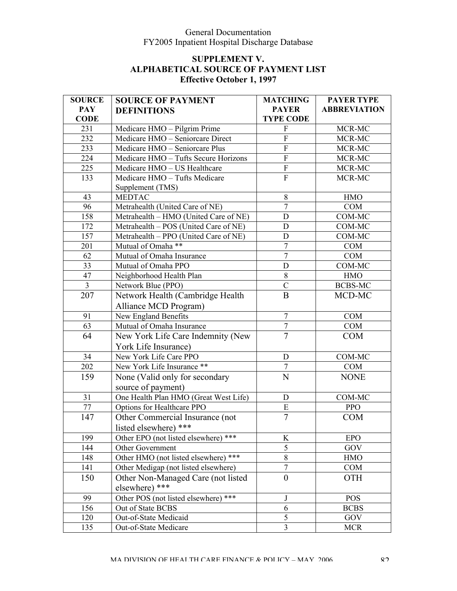| <b>SOURCE</b>  | <b>SOURCE OF PAYMENT</b>                  | <b>MATCHING</b>           | <b>PAYER TYPE</b>   |
|----------------|-------------------------------------------|---------------------------|---------------------|
| <b>PAY</b>     | <b>DEFINITIONS</b>                        | <b>PAYER</b>              | <b>ABBREVIATION</b> |
| <b>CODE</b>    |                                           | <b>TYPE CODE</b>          |                     |
| 231            | Medicare HMO - Pilgrim Prime              | $\overline{F}$            | MCR-MC              |
| 232            | Medicare HMO - Seniorcare Direct          | $\overline{F}$            | MCR-MC              |
| 233            | Medicare HMO - Seniorcare Plus            | ${\bf F}$                 | MCR-MC              |
| 224            | Medicare HMO - Tufts Secure Horizons      | ${\bf F}$                 | MCR-MC              |
| 225            | Medicare HMO - US Healthcare              | $\boldsymbol{\mathrm{F}}$ | MCR-MC              |
| 133            | Medicare HMO - Tufts Medicare             | $\overline{F}$            | MCR-MC              |
|                | Supplement (TMS)                          |                           |                     |
| 43             | <b>MEDTAC</b>                             | $8\,$                     | <b>HMO</b>          |
| 96             | Metrahealth (United Care of NE)           | $\tau$                    | COM                 |
| 158            | Metrahealth - HMO (United Care of NE)     | $\mathbf D$               | COM-MC              |
| 172            | Metrahealth - POS (United Care of NE)     | $\mathbf D$               | COM-MC              |
| 157            | Metrahealth - PPO (United Care of NE)     | D                         | COM-MC              |
| 201            | Mutual of Omaha **                        | $\overline{7}$            | <b>COM</b>          |
| 62             | Mutual of Omaha Insurance                 | $\overline{7}$            | COM                 |
| 33             | Mutual of Omaha PPO                       | $\mathbf D$               | COM-MC              |
| 47             | Neighborhood Health Plan                  | 8                         | <b>HMO</b>          |
| $\overline{3}$ | Network Blue (PPO)                        | $\overline{C}$            | <b>BCBS-MC</b>      |
| 207            | Network Health (Cambridge Health)         | $\bf{B}$                  | MCD-MC              |
|                | Alliance MCD Program)                     |                           |                     |
| 91             | New England Benefits                      | $\overline{7}$            | <b>COM</b>          |
| 63             | Mutual of Omaha Insurance                 | $\tau$                    | COM                 |
| 64             | New York Life Care Indemnity (New         | $\overline{7}$            | <b>COM</b>          |
|                | York Life Insurance)                      |                           |                     |
| 34             | New York Life Care PPO                    | $\mathbf D$               | COM-MC              |
| 202            | New York Life Insurance **                | $\overline{7}$            | COM                 |
| 159            | None (Valid only for secondary            | $\overline{N}$            | <b>NONE</b>         |
|                | source of payment)                        |                           |                     |
| 31             | One Health Plan HMO (Great West Life)     | D                         | COM-MC              |
| $77\,$         | Options for Healthcare PPO                | ${\bf E}$                 | <b>PPO</b>          |
| 147            | Other Commercial Insurance (not           | $\overline{7}$            | <b>COM</b>          |
|                | listed elsewhere) ***                     |                           |                     |
| 199            | Other EPO (not listed elsewhere) ***      | K                         | <b>EPO</b>          |
| 144            | Other Government                          | $\overline{5}$            | GOV                 |
| 148            | Other HMO (not listed elsewhere) ***      | 8                         | <b>HMO</b>          |
| 141            | Other Medigap (not listed elsewhere)      | $\overline{7}$            | <b>COM</b>          |
| 150            | Other Non-Managed Care (not listed        | $\boldsymbol{0}$          | <b>OTH</b>          |
|                | elsewhere) ***                            |                           |                     |
| 99             | Other POS (not listed elsewhere)<br>$***$ | J                         | <b>POS</b>          |
| 156            | Out of State BCBS                         | 6                         | <b>BCBS</b>         |
| 120            | Out-of-State Medicaid                     | 5                         | GOV                 |
| 135            | Out-of-State Medicare                     | $\overline{3}$            | <b>MCR</b>          |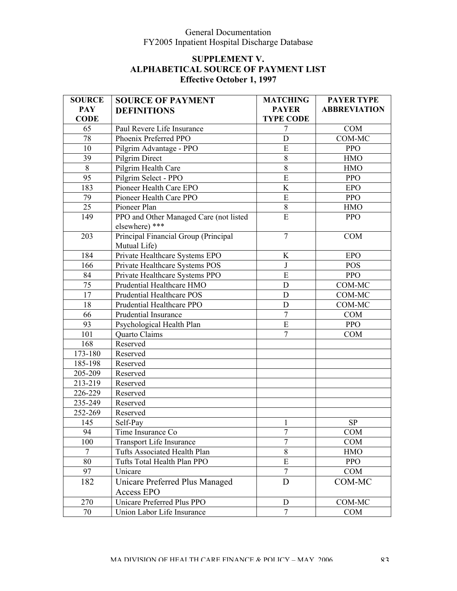| <b>SOURCE</b>   | <b>SOURCE OF PAYMENT</b>               | <b>MATCHING</b>  | <b>PAYER TYPE</b>   |
|-----------------|----------------------------------------|------------------|---------------------|
| <b>PAY</b>      | <b>DEFINITIONS</b>                     | <b>PAYER</b>     | <b>ABBREVIATION</b> |
| <b>CODE</b>     |                                        | <b>TYPE CODE</b> |                     |
| 65              | Paul Revere Life Insurance             | 7                | <b>COM</b>          |
| 78              | Phoenix Preferred PPO                  | $\mathbf D$      | COM-MC              |
| 10              | Pilgrim Advantage - PPO                | E                | <b>PPO</b>          |
| 39              | Pilgrim Direct                         | 8                | <b>HMO</b>          |
| 8               | Pilgrim Health Care                    | $8\,$            | <b>HMO</b>          |
| $\overline{95}$ | Pilgrim Select - PPO                   | $\overline{E}$   | <b>PPO</b>          |
| 183             | Pioneer Health Care EPO                | K                | <b>EPO</b>          |
| 79              | Pioneer Health Care PPO                | E                | <b>PPO</b>          |
| 25              | Pioneer Plan                           | $8\,$            | <b>HMO</b>          |
| 149             | PPO and Other Managed Care (not listed | $\overline{E}$   | <b>PPO</b>          |
|                 | elsewhere) ***                         |                  |                     |
| 203             | Principal Financial Group (Principal   | $\overline{7}$   | <b>COM</b>          |
|                 | Mutual Life)                           |                  |                     |
| 184             | Private Healthcare Systems EPO         | K                | <b>EPO</b>          |
| 166             | Private Healthcare Systems POS         | J                | <b>POS</b>          |
| 84              | Private Healthcare Systems PPO         | $\overline{E}$   | <b>PPO</b>          |
| 75              | Prudential Healthcare HMO              | $\mathbf D$      | COM-MC              |
| 17              | Prudential Healthcare POS              | $\mathbf D$      | COM-MC              |
| 18              | Prudential Healthcare PPO              | $\mathbf D$      | COM-MC              |
| 66              | <b>Prudential Insurance</b>            | $\overline{7}$   | <b>COM</b>          |
| 93              | Psychological Health Plan              | $\mathbf E$      | <b>PPO</b>          |
| 101             | Quarto Claims                          | $\overline{7}$   | <b>COM</b>          |
| 168             | Reserved                               |                  |                     |
| 173-180         | Reserved                               |                  |                     |
| 185-198         | Reserved                               |                  |                     |
| 205-209         | Reserved                               |                  |                     |
| 213-219         | Reserved                               |                  |                     |
| 226-229         | Reserved                               |                  |                     |
| 235-249         | Reserved                               |                  |                     |
| 252-269         | Reserved                               |                  |                     |
| 145             | Self-Pay                               | 1                | <b>SP</b>           |
| 94              | Time Insurance Co                      | 7                | <b>COM</b>          |
| 100             | <b>Transport Life Insurance</b>        | $\overline{7}$   | <b>COM</b>          |
| $\tau$          | Tufts Associated Health Plan           | 8                | <b>HMO</b>          |
| 80              | Tufts Total Health Plan PPO            | E                | <b>PPO</b>          |
| 97              | Unicare                                | 7                | <b>COM</b>          |
| 182             | Unicare Preferred Plus Managed         | D                | COM-MC              |
|                 | Access EPO                             |                  |                     |
| 270             | Unicare Preferred Plus PPO             | D                | COM-MC              |
| 70              | Union Labor Life Insurance             | $\overline{7}$   | <b>COM</b>          |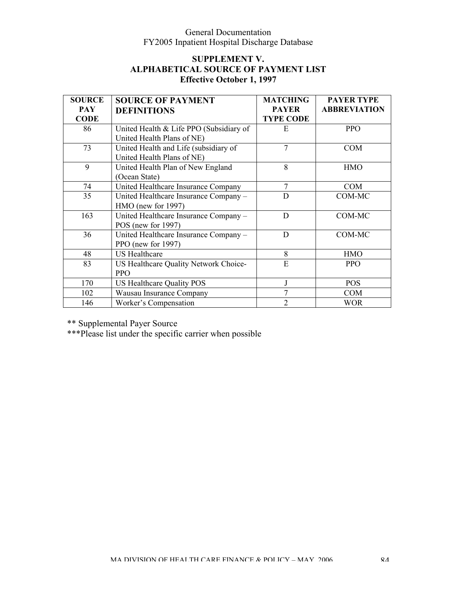# **SUPPLEMENT V. ALPHABETICAL SOURCE OF PAYMENT LIST Effective October 1, 1997**

| <b>SOURCE</b><br><b>PAY</b><br><b>CODE</b> | <b>SOURCE OF PAYMENT</b><br><b>DEFINITIONS</b>                        | <b>MATCHING</b><br><b>PAYER</b><br><b>TYPE CODE</b> | <b>PAYER TYPE</b><br><b>ABBREVIATION</b> |
|--------------------------------------------|-----------------------------------------------------------------------|-----------------------------------------------------|------------------------------------------|
| 86                                         | United Health & Life PPO (Subsidiary of<br>United Health Plans of NE) | E                                                   | <b>PPO</b>                               |
| 73                                         | United Health and Life (subsidiary of<br>United Health Plans of NE)   | 7                                                   | <b>COM</b>                               |
| 9                                          | United Health Plan of New England<br>(Ocean State)                    | 8                                                   | <b>HMO</b>                               |
| 74                                         | United Healthcare Insurance Company                                   | $\tau$                                              | <b>COM</b>                               |
| 35                                         | United Healthcare Insurance Company -<br>HMO (new for 1997)           | D                                                   | COM-MC                                   |
| 163                                        | United Healthcare Insurance Company -<br>POS (new for $1997$ )        | D                                                   | COM-MC                                   |
| 36                                         | United Healthcare Insurance Company -<br>PPO (new for 1997)           | D                                                   | COM-MC                                   |
| 48                                         | <b>US Healthcare</b>                                                  | 8                                                   | <b>HMO</b>                               |
| 83                                         | US Healthcare Quality Network Choice-<br><b>PPO</b>                   | E                                                   | <b>PPO</b>                               |
| 170                                        | US Healthcare Quality POS                                             |                                                     | <b>POS</b>                               |
| 102                                        | Wausau Insurance Company                                              | 7                                                   | <b>COM</b>                               |
| 146                                        | Worker's Compensation                                                 | $\overline{2}$                                      | <b>WOR</b>                               |

\*\* Supplemental Payer Source

\*\*\*Please list under the specific carrier when possible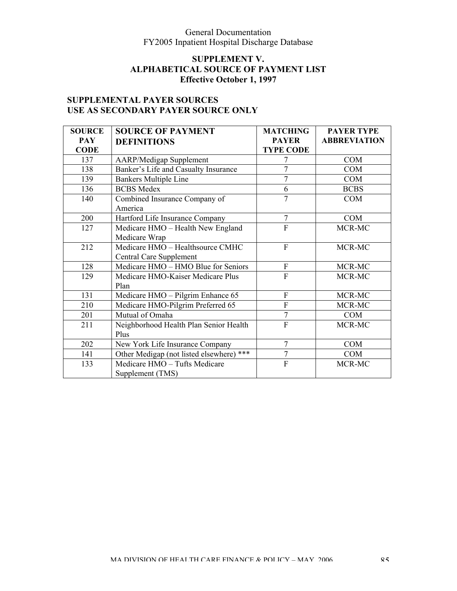# **SUPPLEMENT V. ALPHABETICAL SOURCE OF PAYMENT LIST Effective October 1, 1997**

# **SUPPLEMENTAL PAYER SOURCES USE AS SECONDARY PAYER SOURCE ONLY**

| <b>SOURCE</b> | <b>SOURCE OF PAYMENT</b>                 | <b>MATCHING</b>  | <b>PAYER TYPE</b>   |
|---------------|------------------------------------------|------------------|---------------------|
| <b>PAY</b>    | <b>DEFINITIONS</b>                       | <b>PAYER</b>     | <b>ABBREVIATION</b> |
| <b>CODE</b>   |                                          | <b>TYPE CODE</b> |                     |
| 137           | <b>AARP/Medigap Supplement</b>           |                  | <b>COM</b>          |
| 138           | Banker's Life and Casualty Insurance     | 7                | <b>COM</b>          |
| 139           | <b>Bankers Multiple Line</b>             | 7                | <b>COM</b>          |
| 136           | <b>BCBS</b> Medex                        | 6                | <b>BCBS</b>         |
| 140           | Combined Insurance Company of            | $\overline{7}$   | <b>COM</b>          |
|               | America                                  |                  |                     |
| 200           | Hartford Life Insurance Company          | $\overline{7}$   | <b>COM</b>          |
| 127           | Medicare HMO - Health New England        | $\overline{F}$   | MCR-MC              |
|               | Medicare Wrap                            |                  |                     |
| 212           | Medicare HMO - Healthsource CMHC         | $\overline{F}$   | MCR-MC              |
|               | Central Care Supplement                  |                  |                     |
| 128           | Medicare HMO - HMO Blue for Seniors      | $\mathbf F$      | MCR-MC              |
| 129           | Medicare HMO-Kaiser Medicare Plus        | $\overline{F}$   | MCR-MC              |
|               | Plan                                     |                  |                     |
| 131           | Medicare HMO - Pilgrim Enhance 65        | $\mathbf F$      | MCR-MC              |
| 210           | Medicare HMO-Pilgrim Preferred 65        | $\overline{F}$   | MCR-MC              |
| 201           | Mutual of Omaha                          | $\overline{7}$   | <b>COM</b>          |
| 211           | Neighborhood Health Plan Senior Health   | $\overline{F}$   | MCR-MC              |
|               | Plus                                     |                  |                     |
| 202           | New York Life Insurance Company          | $\overline{7}$   | <b>COM</b>          |
| 141           | Other Medigap (not listed elsewhere) *** | $\overline{7}$   | <b>COM</b>          |
| 133           | Medicare HMO - Tufts Medicare            | $\overline{F}$   | MCR-MC              |
|               | Supplement (TMS)                         |                  |                     |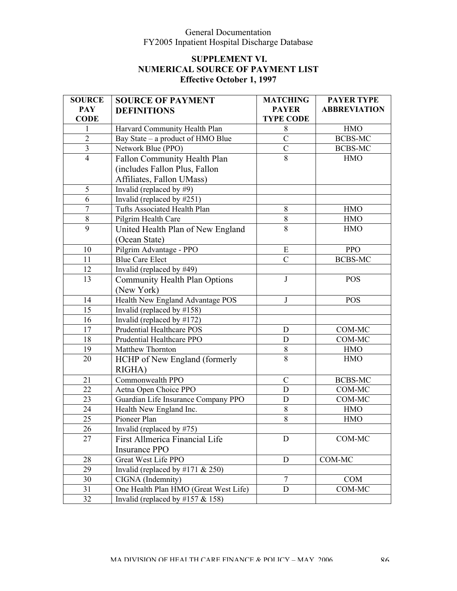| <b>SOURCE</b>  | <b>SOURCE OF PAYMENT</b>              | <b>MATCHING</b>  | <b>PAYER TYPE</b>   |
|----------------|---------------------------------------|------------------|---------------------|
| <b>PAY</b>     | <b>DEFINITIONS</b>                    | <b>PAYER</b>     | <b>ABBREVIATION</b> |
| <b>CODE</b>    |                                       | <b>TYPE CODE</b> |                     |
| 1              | Harvard Community Health Plan         | 8                | <b>HMO</b>          |
| $\overline{2}$ | Bay State – a product of HMO Blue     | $\overline{C}$   | <b>BCBS-MC</b>      |
| $\mathfrak{Z}$ | Network Blue (PPO)                    | $\mathcal{C}$    | BCBS-MC             |
| $\overline{4}$ | Fallon Community Health Plan          | $\overline{8}$   | <b>HMO</b>          |
|                | (includes Fallon Plus, Fallon         |                  |                     |
|                | Affiliates, Fallon UMass)             |                  |                     |
| 5              | Invalid (replaced by $#9$ )           |                  |                     |
| 6              | Invalid (replaced by #251)            |                  |                     |
| $\overline{7}$ | Tufts Associated Health Plan          | 8                | <b>HMO</b>          |
| $\,8\,$        | Pilgrim Health Care                   | 8                | <b>HMO</b>          |
| 9              | United Health Plan of New England     | 8                | <b>HMO</b>          |
|                | (Ocean State)                         |                  |                     |
| 10             | Pilgrim Advantage - PPO               | E                | <b>PPO</b>          |
| 11             | <b>Blue Care Elect</b>                | $\mathcal{C}$    | <b>BCBS-MC</b>      |
| 12             | Invalid (replaced by $\#49)$          |                  |                     |
| 13             | <b>Community Health Plan Options</b>  | $\mathbf{J}$     | <b>POS</b>          |
|                | (New York)                            |                  |                     |
| 14             | Health New England Advantage POS      | J                | <b>POS</b>          |
| 15             | Invalid (replaced by $\#158$ )        |                  |                     |
| 16             | Invalid (replaced by #172)            |                  |                     |
| 17             | Prudential Healthcare POS             | $\mathbf D$      | COM-MC              |
| 18             | Prudential Healthcare PPO             | D                | COM-MC              |
| 19             | Matthew Thornton                      | $8\,$            | <b>HMO</b>          |
| 20             | HCHP of New England (formerly         | 8                | <b>HMO</b>          |
|                | RIGHA)                                |                  |                     |
| 21             | Commonwealth PPO                      | $\overline{C}$   | <b>BCBS-MC</b>      |
| 22             | Aetna Open Choice PPO                 | $\mathbf D$      | COM-MC              |
| 23             | Guardian Life Insurance Company PPO   | $\mathbf D$      | COM-MC              |
| 24             | Health New England Inc.               | 8                | <b>HMO</b>          |
| 25             | Pioneer Plan                          | 8                | <b>HMO</b>          |
| 26             | Invalid (replaced by #75)             |                  |                     |
| 27             | First Allmerica Financial Life        | D                | COM-MC              |
|                | <b>Insurance PPO</b>                  |                  |                     |
| 28             | Great West Life PPO                   | D                | COM-MC              |
| 29             | Invalid (replaced by #171 $& 250$ )   |                  |                     |
| 30             | CIGNA (Indemnity)                     | $\tau$           | <b>COM</b>          |
| 31             | One Health Plan HMO (Great West Life) | D                | COM-MC              |
| 32             | Invalid (replaced by $\#157 \& 158$ ) |                  |                     |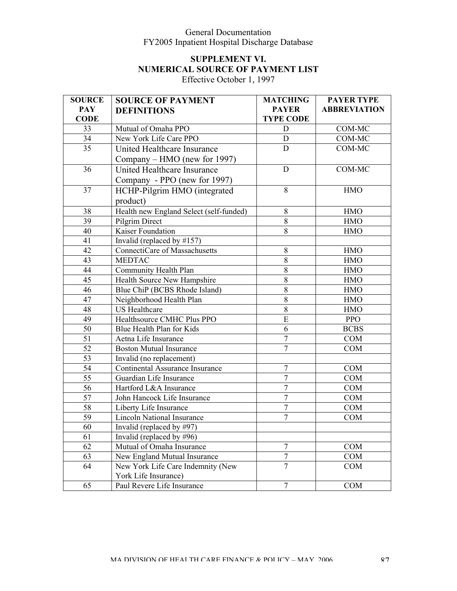# **SUPPLEMENT VI. NUMERICAL SOURCE OF PAYMENT LIST**

Effective October 1, 1997

| <b>SOURCE</b>   | <b>SOURCE OF PAYMENT</b>                | <b>MATCHING</b>  | <b>PAYER TYPE</b>   |
|-----------------|-----------------------------------------|------------------|---------------------|
| <b>PAY</b>      | <b>DEFINITIONS</b>                      | <b>PAYER</b>     | <b>ABBREVIATION</b> |
| <b>CODE</b>     |                                         | <b>TYPE CODE</b> |                     |
| 33              | Mutual of Omaha PPO                     | D                | COM-MC              |
| 34              | New York Life Care PPO                  | D                | COM-MC              |
| 35              | United Healthcare Insurance             | D                | COM-MC              |
|                 | Company – HMO (new for 1997)            |                  |                     |
| 36              | United Healthcare Insurance             | $\mathbf D$      | COM-MC              |
|                 | Company - PPO (new for 1997)            |                  |                     |
| 37              | HCHP-Pilgrim HMO (integrated            | 8                | <b>HMO</b>          |
|                 | product)                                |                  |                     |
| 38              | Health new England Select (self-funded) | 8                | <b>HMO</b>          |
| 39              | Pilgrim Direct                          | 8                | <b>HMO</b>          |
| 40              | Kaiser Foundation                       | 8                | <b>HMO</b>          |
| 41              | Invalid (replaced by $\#157$ )          |                  |                     |
| 42              | ConnectiCare of Massachusetts           | 8                | <b>HMO</b>          |
| 43              | <b>MEDTAC</b>                           | 8                | <b>HMO</b>          |
| 44              | Community Health Plan                   | 8                | <b>HMO</b>          |
| 45              | Health Source New Hampshire             | 8                | <b>HMO</b>          |
| 46              | Blue ChiP (BCBS Rhode Island)           | 8                | <b>HMO</b>          |
| 47              | Neighborhood Health Plan                | 8                | <b>HMO</b>          |
| 48              | <b>US</b> Healthcare                    | 8                | <b>HMO</b>          |
| 49              | Healthsource CMHC Plus PPO              | ${\bf E}$        | <b>PPO</b>          |
| $\overline{50}$ | Blue Health Plan for Kids               | 6                | <b>BCBS</b>         |
| 51              | Aetna Life Insurance                    | $\overline{7}$   | COM                 |
| 52              | <b>Boston Mutual Insurance</b>          | $\overline{7}$   | <b>COM</b>          |
| 53              | Invalid (no replacement)                |                  |                     |
| $\overline{54}$ | Continental Assurance Insurance         | $\overline{7}$   | COM                 |
| 55              | Guardian Life Insurance                 | $\boldsymbol{7}$ | <b>COM</b>          |
| 56              | Hartford L&A Insurance                  | $\overline{7}$   | COM                 |
| $\overline{57}$ | John Hancock Life Insurance             | $\overline{7}$   | COM                 |
| 58              | Liberty Life Insurance                  | $\overline{7}$   | <b>COM</b>          |
| $\overline{59}$ | <b>Lincoln National Insurance</b>       | $\overline{7}$   | <b>COM</b>          |
| 60              | Invalid (replaced by $\#97$ )           |                  |                     |
| 61              | Invalid (replaced by #96)               |                  |                     |
| 62              | Mutual of Omaha Insurance               | 7                | COM                 |
| 63              | New England Mutual Insurance            | $\overline{7}$   | COM                 |
| 64              | New York Life Care Indemnity (New       | $\overline{7}$   | COM                 |
|                 | York Life Insurance)                    |                  |                     |
| 65              | Paul Revere Life Insurance              | $\tau$           | <b>COM</b>          |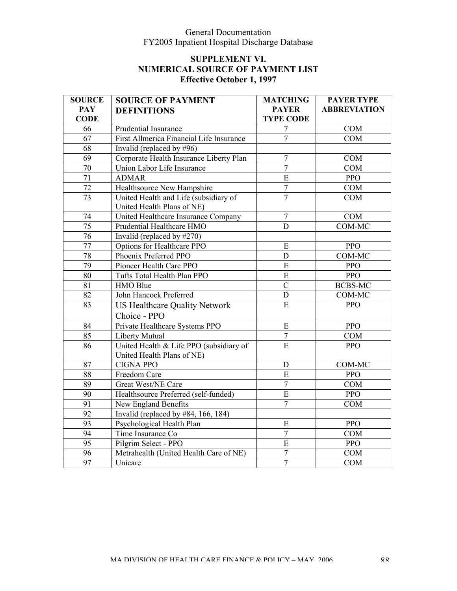| <b>SOURCE</b>   | <b>SOURCE OF PAYMENT</b>                                              | <b>MATCHING</b>  | <b>PAYER TYPE</b>   |
|-----------------|-----------------------------------------------------------------------|------------------|---------------------|
| <b>PAY</b>      | <b>DEFINITIONS</b>                                                    | <b>PAYER</b>     | <b>ABBREVIATION</b> |
| <b>CODE</b>     |                                                                       | <b>TYPE CODE</b> |                     |
| 66              | Prudential Insurance                                                  | $\overline{7}$   | <b>COM</b>          |
| 67              | First Allmerica Financial Life Insurance                              | $\overline{7}$   | COM                 |
| 68              | Invalid (replaced by $\#96$ )                                         |                  |                     |
| $\overline{69}$ | Corporate Health Insurance Liberty Plan                               | $\overline{7}$   | COM                 |
| 70              | Union Labor Life Insurance                                            | $\overline{7}$   | COM                 |
| 71              | <b>ADMAR</b>                                                          | $\overline{E}$   | <b>PPO</b>          |
| 72              | Healthsource New Hampshire                                            | $\boldsymbol{7}$ | COM                 |
| 73              | United Health and Life (subsidiary of<br>United Health Plans of NE)   | $\overline{7}$   | <b>COM</b>          |
| 74              | United Healthcare Insurance Company                                   | $\overline{7}$   | <b>COM</b>          |
| 75              | Prudential Healthcare HMO                                             | $\overline{D}$   | COM-MC              |
| 76              | Invalid (replaced by #270)                                            |                  |                     |
| $\overline{77}$ | Options for Healthcare PPO                                            | ${\bf E}$        | <b>PPO</b>          |
| 78              | Phoenix Preferred PPO                                                 | $\mathbf D$      | COM-MC              |
| 79              | Pioneer Health Care PPO                                               | E                | <b>PPO</b>          |
| 80              | Tufts Total Health Plan PPO                                           | $\mathbf E$      | <b>PPO</b>          |
| 81              | <b>HMO Blue</b>                                                       | $\overline{C}$   | <b>BCBS-MC</b>      |
| 82              | John Hancock Preferred                                                | ${\rm D}$        | COM-MC              |
| 83              | <b>US Healthcare Quality Network</b>                                  | $\mathbf E$      | <b>PPO</b>          |
|                 | Choice - PPO                                                          |                  |                     |
| 84              | Private Healthcare Systems PPO                                        | E                | PPO                 |
| 85              | Liberty Mutual                                                        | $\boldsymbol{7}$ | <b>COM</b>          |
| 86              | United Health & Life PPO (subsidiary of<br>United Health Plans of NE) | E                | <b>PPO</b>          |
| 87              | <b>CIGNA PPO</b>                                                      | D                | COM-MC              |
| 88              | Freedom Care                                                          | E                | <b>PPO</b>          |
| 89              | Great West/NE Care                                                    | $\boldsymbol{7}$ | <b>COM</b>          |
| 90              | Healthsource Preferred (self-funded)                                  | ${\bf E}$        | <b>PPO</b>          |
| 91              | New England Benefits                                                  | $\overline{7}$   | <b>COM</b>          |
| 92              | Invalid (replaced by #84, 166, 184)                                   |                  |                     |
| 93              | Psychological Health Plan                                             | ${\bf E}$        | PPO                 |
| 94              | Time Insurance Co                                                     | $\overline{7}$   | <b>COM</b>          |
| $\overline{95}$ | Pilgrim Select - PPO                                                  | $\overline{E}$   | PPO                 |
| 96              | Metrahealth (United Health Care of NE)                                | $\overline{7}$   | <b>COM</b>          |
| 97              | Unicare                                                               | $\overline{7}$   | <b>COM</b>          |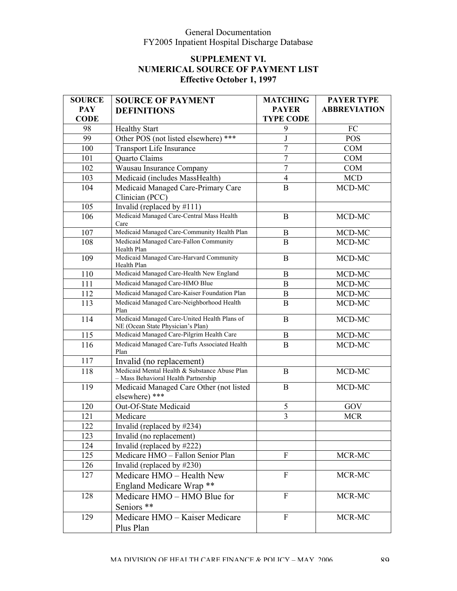| <b>SOURCE</b> | <b>SOURCE OF PAYMENT</b>                                                              | <b>MATCHING</b>  | <b>PAYER TYPE</b>   |
|---------------|---------------------------------------------------------------------------------------|------------------|---------------------|
| <b>PAY</b>    | <b>DEFINITIONS</b>                                                                    | <b>PAYER</b>     | <b>ABBREVIATION</b> |
| <b>CODE</b>   |                                                                                       | <b>TYPE CODE</b> |                     |
| 98            | <b>Healthy Start</b>                                                                  | 9                | FC                  |
| 99            | Other POS (not listed elsewhere) ***                                                  | J                | <b>POS</b>          |
| 100           | Transport Life Insurance                                                              | $\overline{7}$   | <b>COM</b>          |
| 101           | Quarto Claims                                                                         | $\overline{7}$   | <b>COM</b>          |
| 102           | Wausau Insurance Company                                                              | $\overline{7}$   | <b>COM</b>          |
| 103           | Medicaid (includes MassHealth)                                                        | $\overline{4}$   | <b>MCD</b>          |
| 104           | Medicaid Managed Care-Primary Care                                                    | $\overline{B}$   | MCD-MC              |
|               | Clinician (PCC)                                                                       |                  |                     |
| 105           | Invalid (replaced by $\#111$ )                                                        |                  |                     |
| 106           | Medicaid Managed Care-Central Mass Health<br>Care                                     | B                | MCD-MC              |
| 107           | Medicaid Managed Care-Community Health Plan                                           | $\bf{B}$         | MCD-MC              |
| 108           | Medicaid Managed Care-Fallon Community<br>Health Plan                                 | B                | MCD-MC              |
| 109           | Medicaid Managed Care-Harvard Community<br>Health Plan                                | $\mathbf{B}$     | MCD-MC              |
| 110           | Medicaid Managed Care-Health New England                                              | B                | MCD-MC              |
| 111           | Medicaid Managed Care-HMO Blue                                                        | B                | MCD-MC              |
| 112           | Medicaid Managed Care-Kaiser Foundation Plan                                          | $\bf{B}$         | MCD-MC              |
| 113           | Medicaid Managed Care-Neighborhood Health<br>Plan                                     | B                | MCD-MC              |
| 114           | Medicaid Managed Care-United Health Plans of<br>NE (Ocean State Physician's Plan)     | $\mathbf{B}$     | MCD-MC              |
| 115           | Medicaid Managed Care-Pilgrim Health Care                                             | B                | MCD-MC              |
| 116           | Medicaid Managed Care-Tufts Associated Health<br>Plan                                 | $\, {\bf B}$     | MCD-MC              |
| 117           | Invalid (no replacement)                                                              |                  |                     |
| 118           | Medicaid Mental Health & Substance Abuse Plan<br>- Mass Behavioral Health Partnership | B                | MCD-MC              |
| 119           | Medicaid Managed Care Other (not listed<br>elsewhere) ***                             | B                | MCD-MC              |
| 120           | Out-Of-State Medicaid                                                                 | 5                | GOV                 |
| 121           | Medicare                                                                              | $\overline{3}$   | <b>MCR</b>          |
| 122           | Invalid (replaced by #234)                                                            |                  |                     |
| 123           | Invalid (no replacement)                                                              |                  |                     |
| 124           | Invalid (replaced by #222)                                                            |                  |                     |
| 125           | Medicare HMO - Fallon Senior Plan                                                     | F                | MCR-MC              |
| 126           | Invalid (replaced by #230)                                                            |                  |                     |
| 127           | Medicare HMO - Health New                                                             | $\mathbf F$      | MCR-MC              |
|               | England Medicare Wrap **                                                              |                  |                     |
| 128           | Medicare HMO - HMO Blue for<br>Seniors **                                             | $\mathbf F$      | MCR-MC              |
| 129           | Medicare HMO - Kaiser Medicare<br>Plus Plan                                           | F                | MCR-MC              |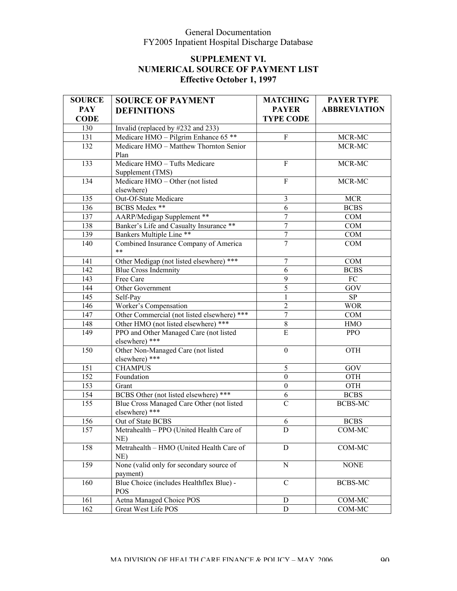| <b>SOURCE</b> | <b>SOURCE OF PAYMENT</b>                                    | <b>MATCHING</b>  | <b>PAYER TYPE</b>   |
|---------------|-------------------------------------------------------------|------------------|---------------------|
| <b>PAY</b>    | <b>DEFINITIONS</b>                                          | <b>PAYER</b>     | <b>ABBREVIATION</b> |
| <b>CODE</b>   |                                                             | <b>TYPE CODE</b> |                     |
| 130           | Invalid (replaced by #232 and 233)                          |                  |                     |
| 131           | Medicare HMO - Pilgrim Enhance 65 **                        | $\rm F$          | MCR-MC              |
| 132           | Medicare HMO - Matthew Thornton Senior                      |                  | MCR-MC              |
|               | Plan                                                        |                  |                     |
| 133           | Medicare HMO - Tufts Medicare                               | $\overline{F}$   | MCR-MC              |
|               | Supplement (TMS)                                            |                  |                     |
| 134           | Medicare HMO - Other (not listed                            | F                | MCR-MC              |
|               | elsewhere)                                                  |                  |                     |
| 135           | Out-Of-State Medicare                                       | $\mathfrak{Z}$   | <b>MCR</b>          |
| 136           | BCBS Medex **                                               | 6                | <b>BCBS</b>         |
| 137           | AARP/Medigap Supplement **                                  | $\tau$           | COM                 |
| 138           | Banker's Life and Casualty Insurance **                     | $\overline{7}$   | COM                 |
| 139           | Bankers Multiple Line <sup>**</sup>                         | $\tau$           | COM                 |
| 140           | Combined Insurance Company of America<br>$* *$              | $\overline{7}$   | COM                 |
| 141           | Other Medigap (not listed elsewhere) ***                    | 7                | COM                 |
| 142           | <b>Blue Cross Indemnity</b>                                 | 6                | <b>BCBS</b>         |
| 143           | Free Care                                                   | 9                | FC                  |
| 144           | Other Government                                            | 5                | GOV                 |
| 145           | Self-Pay                                                    | 1                | SP                  |
| 146           | Worker's Compensation                                       | $\overline{2}$   | <b>WOR</b>          |
| 147           | Other Commercial (not listed elsewhere) ***                 | $\tau$           | COM                 |
| 148           | Other HMO (not listed elsewhere) ***                        | $\,$ 8 $\,$      | <b>HMO</b>          |
| 149           | PPO and Other Managed Care (not listed                      | E                | <b>PPO</b>          |
|               | elsewhere) ***                                              |                  |                     |
| 150           | Other Non-Managed Care (not listed                          | $\boldsymbol{0}$ | <b>OTH</b>          |
|               | elsewhere) ***                                              |                  |                     |
| 151           | <b>CHAMPUS</b>                                              | $\sqrt{5}$       | GOV                 |
| 152           | Foundation                                                  | $\boldsymbol{0}$ | OTH                 |
| 153           | Grant                                                       | $\boldsymbol{0}$ | <b>OTH</b>          |
| 154           | BCBS Other (not listed elsewhere) ***                       | 6                | <b>BCBS</b>         |
| 155           | Blue Cross Managed Care Other (not listed<br>elsewhere) *** | $\mathcal{C}$    | <b>BCBS-MC</b>      |
| 156           | Out of State BCBS                                           | 6                | <b>BCBS</b>         |
| 157           | Metrahealth - PPO (United Health Care of<br>$NE$ )          | D                | COM-MC              |
| 158           | Metrahealth - HMO (United Health Care of<br>$NE$ )          | D                | $COM-MC$            |
| 159           | None (valid only for secondary source of<br>payment)        | N                | <b>NONE</b>         |
| 160           | Blue Choice (includes Healthflex Blue) -<br><b>POS</b>      | $\overline{C}$   | BCBS-MC             |
| 161           | <b>Aetna Managed Choice POS</b>                             | D                | $COM-MC$            |
| 162           | Great West Life POS                                         | D                | COM-MC              |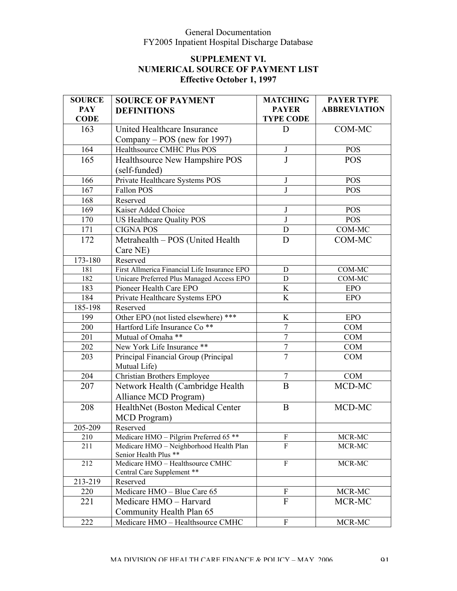| <b>SOURCE</b> | <b>SOURCE OF PAYMENT</b>                                       | <b>MATCHING</b>           | <b>PAYER TYPE</b>   |
|---------------|----------------------------------------------------------------|---------------------------|---------------------|
| <b>PAY</b>    | <b>DEFINITIONS</b>                                             | <b>PAYER</b>              | <b>ABBREVIATION</b> |
| <b>CODE</b>   |                                                                | <b>TYPE CODE</b>          |                     |
| 163           | United Healthcare Insurance                                    | D                         | COM-MC              |
|               | Company – POS (new for 1997)                                   |                           |                     |
| 164           | Healthsource CMHC Plus POS                                     | $\mathbf{J}$              | <b>POS</b>          |
| 165           | Healthsource New Hampshire POS                                 | J                         | <b>POS</b>          |
|               | (self-funded)                                                  |                           |                     |
| 166           | Private Healthcare Systems POS                                 | J                         | <b>POS</b>          |
| 167           | Fallon POS                                                     | J                         | <b>POS</b>          |
| 168           | Reserved                                                       |                           |                     |
| 169           | Kaiser Added Choice                                            | J                         | <b>POS</b>          |
| 170           | US Healthcare Quality POS                                      | $\mathbf{J}$              | <b>POS</b>          |
| 171           | <b>CIGNA POS</b>                                               | $\mathbf D$               | COM-MC              |
| 172           | Metrahealth - POS (United Health                               | D                         | COM-MC              |
|               | Care NE)                                                       |                           |                     |
| 173-180       | Reserved                                                       |                           |                     |
| 181           | First Allmerica Financial Life Insurance EPO                   | D                         | COM-MC              |
| 182           | Unicare Preferred Plus Managed Access EPO                      | D                         | COM-MC              |
| 183           | Pioneer Health Care EPO                                        | K                         | <b>EPO</b>          |
| 184           | Private Healthcare Systems EPO                                 | K                         | <b>EPO</b>          |
| $185 - 198$   | Reserved                                                       |                           |                     |
| 199           | Other EPO (not listed elsewhere) ***                           | K                         | <b>EPO</b>          |
| 200           | Hartford Life Insurance Co <sup>**</sup>                       | $\boldsymbol{7}$          | <b>COM</b>          |
| 201           | Mutual of Omaha **                                             | $\overline{7}$            | <b>COM</b>          |
| 202           | New York Life Insurance **                                     | $\sqrt{ }$                | <b>COM</b>          |
| 203           | Principal Financial Group (Principal                           | $\overline{7}$            | <b>COM</b>          |
|               | Mutual Life)                                                   |                           |                     |
| 204           | <b>Christian Brothers Employee</b>                             | $\boldsymbol{7}$          | <b>COM</b>          |
| 207           | Network Health (Cambridge Health                               | $\overline{B}$            | MCD-MC              |
|               | Alliance MCD Program)                                          |                           |                     |
| 208           | HealthNet (Boston Medical Center                               | $\bf{B}$                  | MCD-MC              |
|               | MCD Program)                                                   |                           |                     |
| 205-209       | Reserved                                                       |                           |                     |
| 210           | Medicare HMO - Pilgrim Preferred 65 **                         | $\boldsymbol{\mathrm{F}}$ | MCR-MC              |
| 211           | Medicare HMO - Neighborhood Health Plan                        | F                         | MCR-MC              |
|               | Senior Health Plus **                                          |                           |                     |
| 212           | Medicare HMO - Healthsource CMHC<br>Central Care Supplement ** | F                         | MCR-MC              |
| 213-219       | Reserved                                                       |                           |                     |
| 220           | Medicare HMO - Blue Care 65                                    | ${\bf F}$                 | MCR-MC              |
| 221           | Medicare HMO - Harvard                                         | $\mathbf{F}$              | MCR-MC              |
|               | Community Health Plan 65                                       |                           |                     |
|               |                                                                |                           |                     |
| 222           | Medicare HMO - Healthsource CMHC                               | ${\bf F}$                 | MCR-MC              |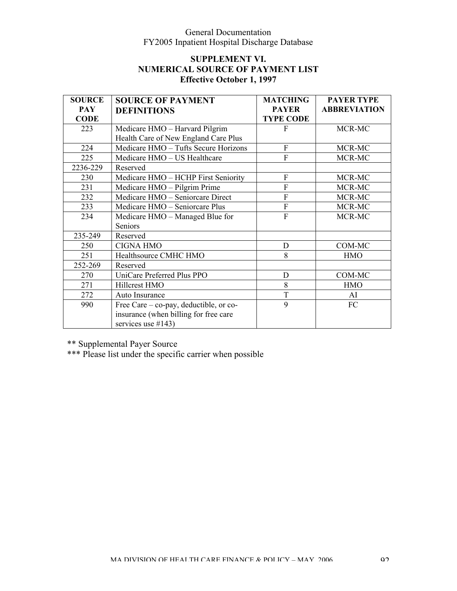# **SUPPLEMENT VI. NUMERICAL SOURCE OF PAYMENT LIST Effective October 1, 1997**

| <b>SOURCE</b> | <b>SOURCE OF PAYMENT</b>               | <b>MATCHING</b>  | <b>PAYER TYPE</b>   |
|---------------|----------------------------------------|------------------|---------------------|
| <b>PAY</b>    | <b>DEFINITIONS</b>                     | <b>PAYER</b>     | <b>ABBREVIATION</b> |
| <b>CODE</b>   |                                        | <b>TYPE CODE</b> |                     |
| 223           | Medicare HMO - Harvard Pilgrim         | F                | MCR-MC              |
|               | Health Care of New England Care Plus   |                  |                     |
| 224           | Medicare HMO - Tufts Secure Horizons   | F                | MCR-MC              |
| 225           | Medicare HMO - US Healthcare           | F                | MCR-MC              |
| 2236-229      | Reserved                               |                  |                     |
| 230           | Medicare HMO - HCHP First Seniority    | F                | MCR-MC              |
| 231           | Medicare HMO - Pilgrim Prime           | $\overline{F}$   | MCR-MC              |
| 232           | Medicare HMO - Seniorcare Direct       | $\overline{F}$   | MCR-MC              |
| 233           | Medicare HMO - Seniorcare Plus         | $\mathbf{F}$     | MCR-MC              |
| 234           | Medicare HMO - Managed Blue for        | $\overline{F}$   | MCR-MC              |
|               | Seniors                                |                  |                     |
| 235-249       | Reserved                               |                  |                     |
| 250           | <b>CIGNA HMO</b>                       | D                | COM-MC              |
| 251           | Healthsource CMHC HMO                  | 8                | <b>HMO</b>          |
| 252-269       | Reserved                               |                  |                     |
| 270           | UniCare Preferred Plus PPO             | $\mathbf D$      | COM-MC              |
| 271           | Hillcrest HMO                          | 8                | <b>HMO</b>          |
| 272           | Auto Insurance                         | T                | AI                  |
| 990           | Free Care – co-pay, deductible, or co- | 9                | FC                  |
|               | insurance (when billing for free care  |                  |                     |
|               | services use $#143$ )                  |                  |                     |

\*\* Supplemental Payer Source

\*\*\* Please list under the specific carrier when possible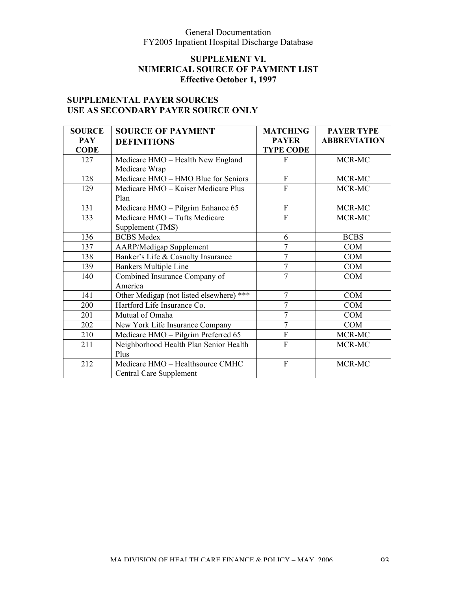# **SUPPLEMENT VI. NUMERICAL SOURCE OF PAYMENT LIST Effective October 1, 1997**

# **SUPPLEMENTAL PAYER SOURCES USE AS SECONDARY PAYER SOURCE ONLY**

| <b>SOURCE</b> | <b>SOURCE OF PAYMENT</b>                 | <b>MATCHING</b>  | <b>PAYER TYPE</b>   |
|---------------|------------------------------------------|------------------|---------------------|
| <b>PAY</b>    | <b>DEFINITIONS</b>                       | <b>PAYER</b>     | <b>ABBREVIATION</b> |
| <b>CODE</b>   |                                          | <b>TYPE CODE</b> |                     |
| 127           | Medicare HMO - Health New England        | F                | MCR-MC              |
|               | Medicare Wrap                            |                  |                     |
| 128           | Medicare HMO - HMO Blue for Seniors      | $\mathbf{F}$     | MCR-MC              |
| 129           | Medicare HMO - Kaiser Medicare Plus      | $\overline{F}$   | MCR-MC              |
|               | Plan                                     |                  |                     |
| 131           | Medicare HMO - Pilgrim Enhance 65        | $\mathbf F$      | MCR-MC              |
| 133           | Medicare HMO - Tufts Medicare            | F                | MCR-MC              |
|               | Supplement (TMS)                         |                  |                     |
| 136           | <b>BCBS</b> Medex                        | 6                | <b>BCBS</b>         |
| 137           | <b>AARP/Medigap Supplement</b>           |                  | <b>COM</b>          |
| 138           | Banker's Life & Casualty Insurance       | $\overline{7}$   | <b>COM</b>          |
| 139           | <b>Bankers Multiple Line</b>             | $\overline{7}$   | <b>COM</b>          |
| 140           | Combined Insurance Company of            | $\overline{7}$   | <b>COM</b>          |
|               | America                                  |                  |                     |
| 141           | Other Medigap (not listed elsewhere) *** | $\overline{7}$   | <b>COM</b>          |
| 200           | Hartford Life Insurance Co.              | 7                | <b>COM</b>          |
| 201           | Mutual of Omaha                          | 7                | <b>COM</b>          |
| 202           | New York Life Insurance Company          | $\overline{7}$   | <b>COM</b>          |
| 210           | Medicare HMO - Pilgrim Preferred 65      | $\overline{F}$   | MCR-MC              |
| 211           | Neighborhood Health Plan Senior Health   | F                | MCR-MC              |
|               | Plus                                     |                  |                     |
| 212           | Medicare HMO - Healthsource CMHC         | $\overline{F}$   | MCR-MC              |
|               | <b>Central Care Supplement</b>           |                  |                     |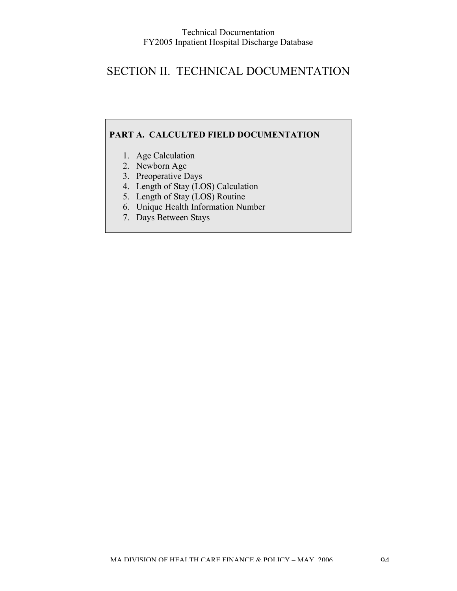# SECTION II. TECHNICAL DOCUMENTATION

### **PART A. CALCULTED FIELD DOCUMENTATION**

- 1. Age Calculation
- 2. Newborn Age
- 3. Preoperative Days
- 4. Length of Stay (LOS) Calculation
- 5. Length of Stay (LOS) Routine
- 6. Unique Health Information Number
- 7. Days Between Stays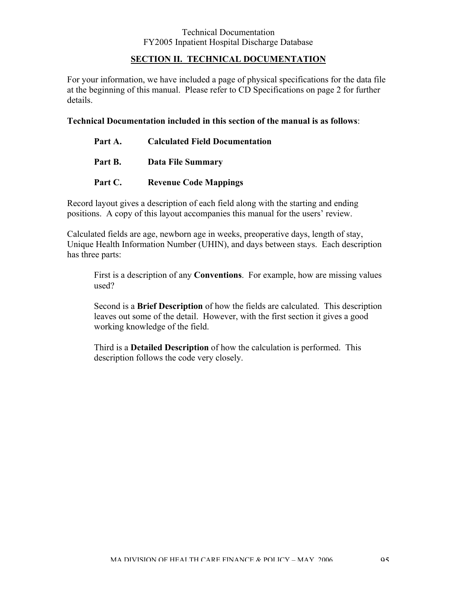#### **SECTION II. TECHNICAL DOCUMENTATION**

For your information, we have included a page of physical specifications for the data file at the beginning of this manual. Please refer to CD Specifications on page 2 for further details.

#### **Technical Documentation included in this section of the manual is as follows**:

| Part A. | <b>Calculated Field Documentation</b> |
|---------|---------------------------------------|
| Part B. | <b>Data File Summary</b>              |
| Part C. | <b>Revenue Code Mappings</b>          |

Record layout gives a description of each field along with the starting and ending positions. A copy of this layout accompanies this manual for the users' review.

Calculated fields are age, newborn age in weeks, preoperative days, length of stay, Unique Health Information Number (UHIN), and days between stays. Each description has three parts:

First is a description of any **Conventions**. For example, how are missing values used?

Second is a **Brief Description** of how the fields are calculated. This description leaves out some of the detail. However, with the first section it gives a good working knowledge of the field.

Third is a **Detailed Description** of how the calculation is performed. This description follows the code very closely.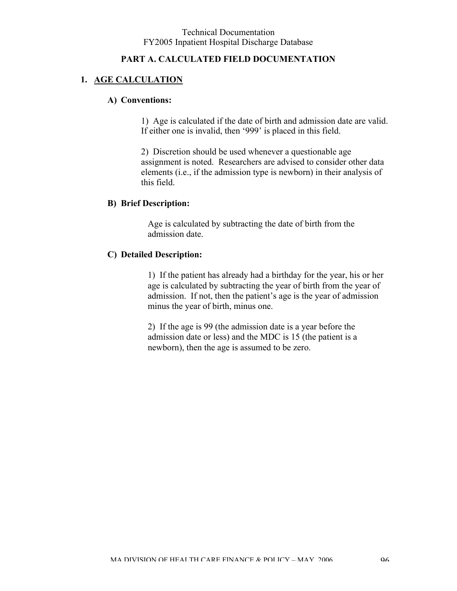#### **PART A. CALCULATED FIELD DOCUMENTATION**

# **1. AGE CALCULATION**

#### **A) Conventions:**

1) Age is calculated if the date of birth and admission date are valid. If either one is invalid, then '999' is placed in this field.

2) Discretion should be used whenever a questionable age assignment is noted. Researchers are advised to consider other data elements (i.e., if the admission type is newborn) in their analysis of this field.

#### **B) Brief Description:**

Age is calculated by subtracting the date of birth from the admission date.

#### **C) Detailed Description:**

1) If the patient has already had a birthday for the year, his or her age is calculated by subtracting the year of birth from the year of admission. If not, then the patient's age is the year of admission minus the year of birth, minus one.

2) If the age is 99 (the admission date is a year before the admission date or less) and the MDC is 15 (the patient is a newborn), then the age is assumed to be zero.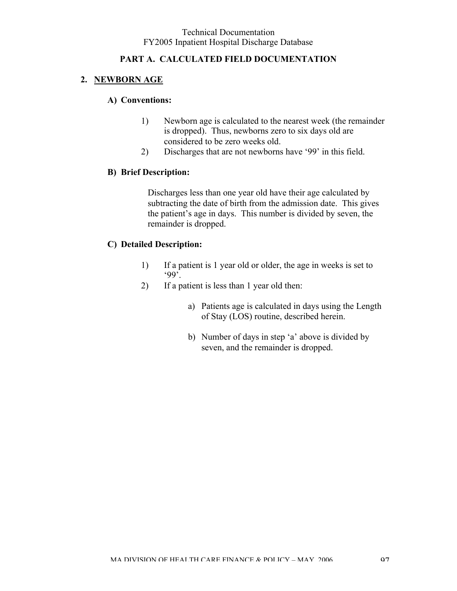# **PART A. CALCULATED FIELD DOCUMENTATION**

# **2. NEWBORN AGE**

#### **A) Conventions:**

- 1) Newborn age is calculated to the nearest week (the remainder is dropped). Thus, newborns zero to six days old are considered to be zero weeks old.
- 2) Discharges that are not newborns have '99' in this field.

### **B) Brief Description:**

Discharges less than one year old have their age calculated by subtracting the date of birth from the admission date. This gives the patient's age in days. This number is divided by seven, the remainder is dropped.

# **C) Detailed Description:**

- 1) If a patient is 1 year old or older, the age in weeks is set to '99'.
- 2) If a patient is less than 1 year old then:
	- a) Patients age is calculated in days using the Length of Stay (LOS) routine, described herein.
	- b) Number of days in step 'a' above is divided by seven, and the remainder is dropped.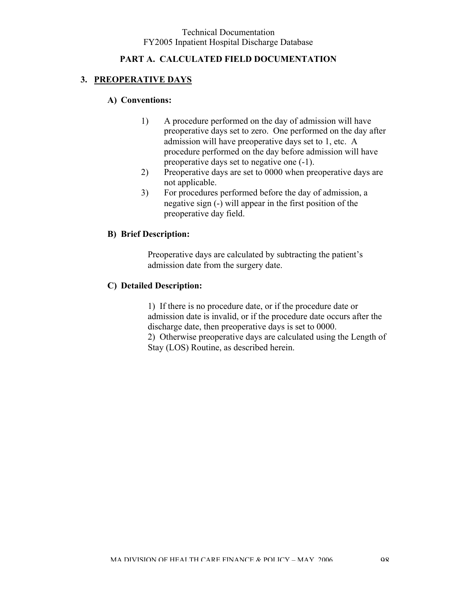# **PART A. CALCULATED FIELD DOCUMENTATION**

# **3. PREOPERATIVE DAYS**

### **A) Conventions:**

- 1) A procedure performed on the day of admission will have preoperative days set to zero. One performed on the day after admission will have preoperative days set to 1, etc. A procedure performed on the day before admission will have preoperative days set to negative one (-1).
- 2) Preoperative days are set to 0000 when preoperative days are not applicable.
- 3) For procedures performed before the day of admission, a negative sign (-) will appear in the first position of the preoperative day field.

### **B) Brief Description:**

Preoperative days are calculated by subtracting the patient's admission date from the surgery date.

#### **C) Detailed Description:**

1) If there is no procedure date, or if the procedure date or admission date is invalid, or if the procedure date occurs after the discharge date, then preoperative days is set to 0000. 2) Otherwise preoperative days are calculated using the Length of Stay (LOS) Routine, as described herein.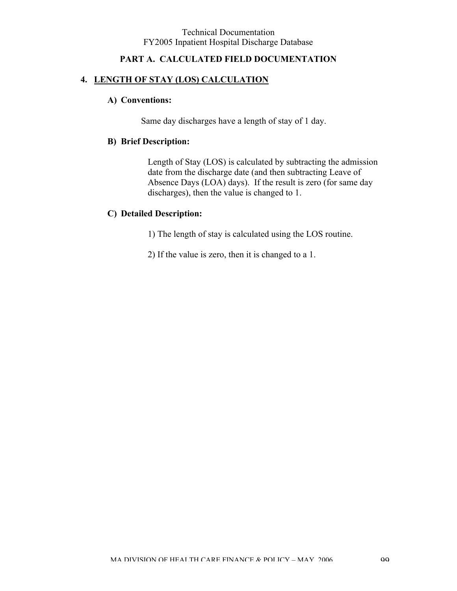# **PART A. CALCULATED FIELD DOCUMENTATION**

### **4. LENGTH OF STAY (LOS) CALCULATION**

#### **A) Conventions:**

Same day discharges have a length of stay of 1 day.

### **B) Brief Description:**

Length of Stay (LOS) is calculated by subtracting the admission date from the discharge date (and then subtracting Leave of Absence Days (LOA) days). If the result is zero (for same day discharges), then the value is changed to 1.

### **C) Detailed Description:**

1) The length of stay is calculated using the LOS routine.

2) If the value is zero, then it is changed to a 1.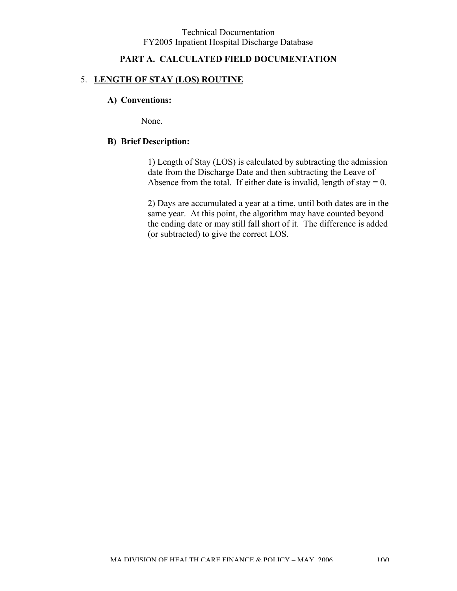### **PART A. CALCULATED FIELD DOCUMENTATION**

#### 5. **LENGTH OF STAY (LOS) ROUTINE**

#### **A) Conventions:**

None.

#### **B) Brief Description:**

1) Length of Stay (LOS) is calculated by subtracting the admission date from the Discharge Date and then subtracting the Leave of Absence from the total. If either date is invalid, length of stay  $= 0$ .

2) Days are accumulated a year at a time, until both dates are in the same year. At this point, the algorithm may have counted beyond the ending date or may still fall short of it. The difference is added (or subtracted) to give the correct LOS.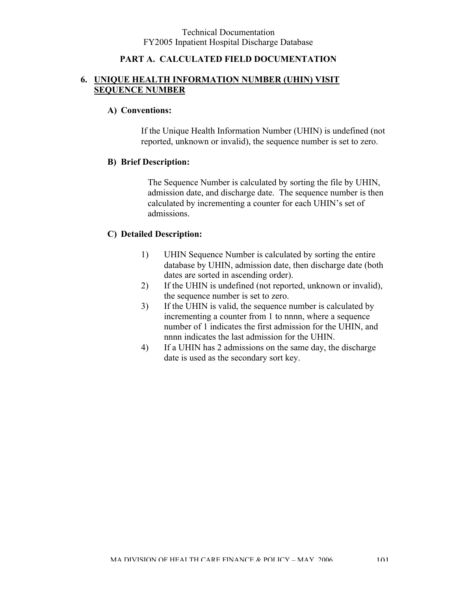### **PART A. CALCULATED FIELD DOCUMENTATION**

### **6. UNIQUE HEALTH INFORMATION NUMBER (UHIN) VISIT SEQUENCE NUMBER**

#### **A) Conventions:**

If the Unique Health Information Number (UHIN) is undefined (not reported, unknown or invalid), the sequence number is set to zero.

#### **B) Brief Description:**

The Sequence Number is calculated by sorting the file by UHIN, admission date, and discharge date. The sequence number is then calculated by incrementing a counter for each UHIN's set of admissions.

### **C) Detailed Description:**

- 1) UHIN Sequence Number is calculated by sorting the entire database by UHIN, admission date, then discharge date (both dates are sorted in ascending order).
- 2) If the UHIN is undefined (not reported, unknown or invalid), the sequence number is set to zero.
- 3) If the UHIN is valid, the sequence number is calculated by incrementing a counter from 1 to nnnn, where a sequence number of 1 indicates the first admission for the UHIN, and nnnn indicates the last admission for the UHIN.
- 4) If a UHIN has 2 admissions on the same day, the discharge date is used as the secondary sort key.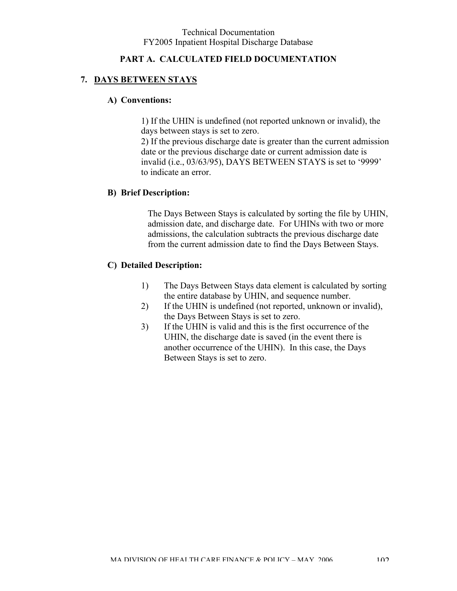### **PART A. CALCULATED FIELD DOCUMENTATION**

### **7. DAYS BETWEEN STAYS**

#### **A) Conventions:**

1) If the UHIN is undefined (not reported unknown or invalid), the days between stays is set to zero.

2) If the previous discharge date is greater than the current admission date or the previous discharge date or current admission date is invalid (i.e., 03/63/95), DAYS BETWEEN STAYS is set to '9999' to indicate an error.

#### **B) Brief Description:**

The Days Between Stays is calculated by sorting the file by UHIN, admission date, and discharge date. For UHINs with two or more admissions, the calculation subtracts the previous discharge date from the current admission date to find the Days Between Stays.

#### **C) Detailed Description:**

- 1) The Days Between Stays data element is calculated by sorting the entire database by UHIN, and sequence number.
- 2) If the UHIN is undefined (not reported, unknown or invalid), the Days Between Stays is set to zero.
- 3) If the UHIN is valid and this is the first occurrence of the UHIN, the discharge date is saved (in the event there is another occurrence of the UHIN). In this case, the Days Between Stays is set to zero.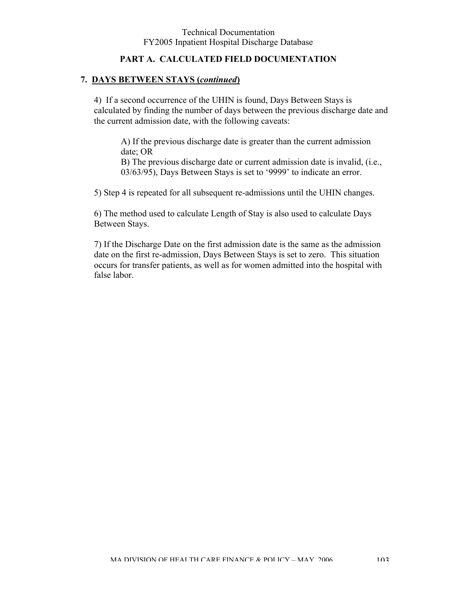### **PART A. CALCULATED FIELD DOCUMENTATION**

#### **7. DAYS BETWEEN STAYS (***continued***)**

4) If a second occurrence of the UHIN is found, Days Between Stays is calculated by finding the number of days between the previous discharge date and the current admission date, with the following caveats:

A) If the previous discharge date is greater than the current admission date; OR B) The previous discharge date or current admission date is invalid, (i.e., 03/63/95), Days Between Stays is set to '9999' to indicate an error.

5) Step 4 is repeated for all subsequent re-admissions until the UHIN changes.

6) The method used to calculate Length of Stay is also used to calculate Days Between Stays.

7) If the Discharge Date on the first admission date is the same as the admission date on the first re-admission, Days Between Stays is set to zero. This situation occurs for transfer patients, as well as for women admitted into the hospital with false labor.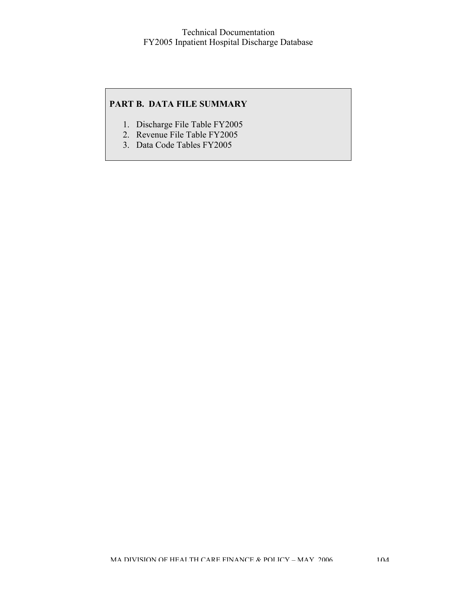#### **PART B. DATA FILE SUMMARY**

- 1. Discharge File Table FY2005
- 2. Revenue File Table FY2005
- 3. Data Code Tables FY2005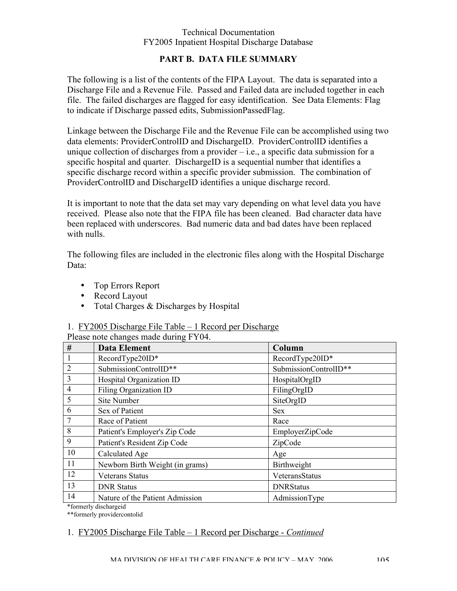### **PART B. DATA FILE SUMMARY**

The following is a list of the contents of the FIPA Layout. The data is separated into a Discharge File and a Revenue File. Passed and Failed data are included together in each file. The failed discharges are flagged for easy identification. See Data Elements: Flag to indicate if Discharge passed edits, SubmissionPassedFlag.

Linkage between the Discharge File and the Revenue File can be accomplished using two data elements: ProviderControlID and DischargeID. ProviderControlID identifies a unique collection of discharges from a provider  $-$  i.e., a specific data submission for a specific hospital and quarter. DischargeID is a sequential number that identifies a specific discharge record within a specific provider submission. The combination of ProviderControlID and DischargeID identifies a unique discharge record.

It is important to note that the data set may vary depending on what level data you have received. Please also note that the FIPA file has been cleaned. Bad character data have been replaced with underscores. Bad numeric data and bad dates have been replaced with nulls.

The following files are included in the electronic files along with the Hospital Discharge Data:

- Top Errors Report
- Record Layout
- Total Charges & Discharges by Hospital

### 1. FY2005 Discharge File Table – 1 Record per Discharge

| RecordType20ID*<br>SubmissionControlID** |
|------------------------------------------|
|                                          |
|                                          |
| HospitalOrgID                            |
| FilingOrgID                              |
| SiteOrgID                                |
| <b>Sex</b>                               |
| Race                                     |
| EmployerZipCode                          |
| ZipCode                                  |
| Age                                      |
| Birthweight                              |
| VeteransStatus                           |
| <b>DNRStatus</b>                         |
| AdmissionType                            |
|                                          |

Please note changes made during FY04.

\*\*formerly providercontolid

# 1. FY2005 Discharge File Table – 1 Record per Discharge - *Continued*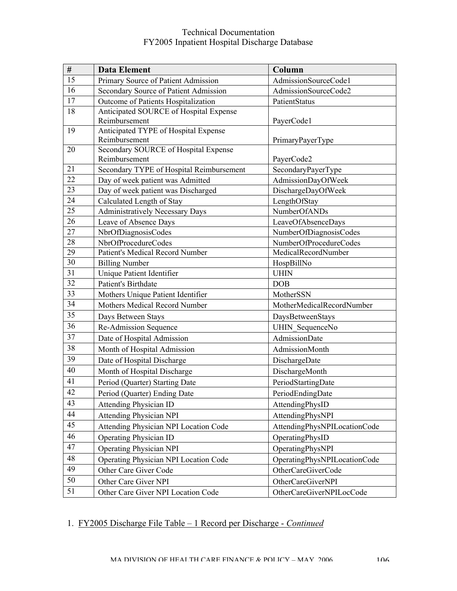| #               | <b>Data Element</b>                          | Column                       |
|-----------------|----------------------------------------------|------------------------------|
| 15              | Primary Source of Patient Admission          | AdmissionSourceCode1         |
| 16              | Secondary Source of Patient Admission        | AdmissionSourceCode2         |
| 17              | Outcome of Patients Hospitalization          | PatientStatus                |
| 18              | Anticipated SOURCE of Hospital Expense       |                              |
|                 | Reimbursement                                | PayerCode1                   |
| 19              | Anticipated TYPE of Hospital Expense         |                              |
|                 | Reimbursement                                | PrimaryPayerType             |
| 20              | Secondary SOURCE of Hospital Expense         |                              |
|                 | Reimbursement                                | PayerCode2                   |
| 21              | Secondary TYPE of Hospital Reimbursement     | SecondaryPayerType           |
| 22              | Day of week patient was Admitted             | AdmissionDayOfWeek           |
| 23              | Day of week patient was Discharged           | DischargeDayOfWeek           |
| 24              | Calculated Length of Stay                    | LengthOfStay                 |
| 25              | <b>Administratively Necessary Days</b>       | <b>NumberOfANDs</b>          |
| 26              | Leave of Absence Days                        | LeaveOfAbsenceDays           |
| 27              | NbrOfDiagnosisCodes                          | NumberOfDiagnosisCodes       |
| 28              | NbrOfProcedureCodes                          | NumberOfProcedureCodes       |
| 29              | <b>Patient's Medical Record Number</b>       | MedicalRecordNumber          |
| $\overline{30}$ | <b>Billing Number</b>                        | HospBillNo                   |
| 31              | Unique Patient Identifier                    | <b>UHIN</b>                  |
| 32              | Patient's Birthdate                          | <b>DOB</b>                   |
| 33              | Mothers Unique Patient Identifier            | MotherSSN                    |
| 34              | Mothers Medical Record Number                | MotherMedicalRecordNumber    |
| 35              | Days Between Stays                           | DaysBetweenStays             |
| 36              | Re-Admission Sequence                        | UHIN SequenceNo              |
| 37              | Date of Hospital Admission                   | <b>AdmissionDate</b>         |
| 38              | Month of Hospital Admission                  | AdmissionMonth               |
| 39              | Date of Hospital Discharge                   | DischargeDate                |
| $\overline{40}$ | Month of Hospital Discharge                  | DischargeMonth               |
| 41              | Period (Quarter) Starting Date               | PeriodStartingDate           |
| 42              | Period (Quarter) Ending Date                 | PeriodEndingDate             |
| 43              | <b>Attending Physician ID</b>                | AttendingPhysID              |
| 44              | <b>Attending Physician NPI</b>               | AttendingPhysNPI             |
| 45              | <b>Attending Physician NPI Location Code</b> | AttendingPhysNPILocationCode |
| 46              | <b>Operating Physician ID</b>                | OperatingPhysID              |
| 47              | <b>Operating Physician NPI</b>               | OperatingPhysNPI             |
| 48              |                                              |                              |
| 49              | Operating Physician NPI Location Code        | OperatingPhysNPILocationCode |
|                 | Other Care Giver Code                        | OtherCareGiverCode           |
| 50              | Other Care Giver NPI                         | OtherCareGiverNPI            |
| 51              | Other Care Giver NPI Location Code           | OtherCareGiverNPILocCode     |

# 1. FY2005 Discharge File Table – 1 Record per Discharge - *Continued*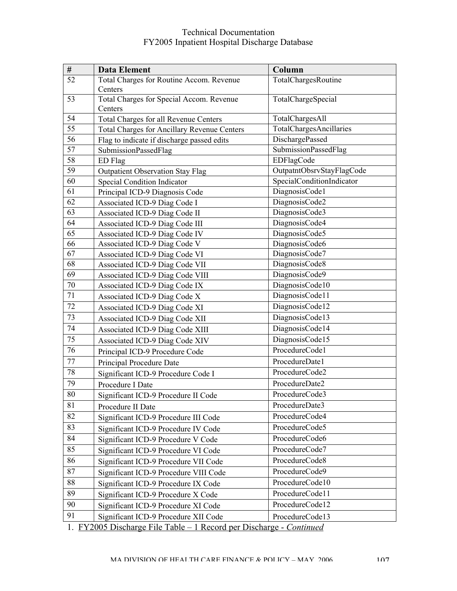| $\#$            | <b>Data Element</b>                                                 | Column                    |
|-----------------|---------------------------------------------------------------------|---------------------------|
| 52              | Total Charges for Routine Accom. Revenue                            | TotalChargesRoutine       |
|                 | Centers                                                             |                           |
| 53              | Total Charges for Special Accom. Revenue                            | TotalChargeSpecial        |
|                 | Centers                                                             |                           |
| 54              | Total Charges for all Revenue Centers                               | TotalChargesAll           |
| 55              | <b>Total Charges for Ancillary Revenue Centers</b>                  | TotalChargesAncillaries   |
| 56              | Flag to indicate if discharge passed edits                          | DischargePassed           |
| 57              | SubmissionPassedFlag                                                | SubmissionPassedFlag      |
| 58              | ED Flag                                                             | EDFlagCode                |
| 59              | <b>Outpatient Observation Stay Flag</b>                             | OutpatntObsrvStayFlagCode |
| 60              | Special Condition Indicator                                         | SpecialConditionIndicator |
| 61              | Principal ICD-9 Diagnosis Code                                      | DiagnosisCode1            |
| 62              | Associated ICD-9 Diag Code I                                        | DiagnosisCode2            |
| 63              | Associated ICD-9 Diag Code II                                       | DiagnosisCode3            |
| 64              | Associated ICD-9 Diag Code III                                      | DiagnosisCode4            |
| 65              | Associated ICD-9 Diag Code IV                                       | DiagnosisCode5            |
| 66              | Associated ICD-9 Diag Code V                                        | DiagnosisCode6            |
| 67              | Associated ICD-9 Diag Code VI                                       | DiagnosisCode7            |
| 68              | Associated ICD-9 Diag Code VII                                      | DiagnosisCode8            |
| 69              | Associated ICD-9 Diag Code VIII                                     | DiagnosisCode9            |
| $70\,$          | Associated ICD-9 Diag Code IX                                       | DiagnosisCode10           |
| 71              | Associated ICD-9 Diag Code X                                        | DiagnosisCode11           |
| 72              | Associated ICD-9 Diag Code XI                                       | DiagnosisCode12           |
| 73              | Associated ICD-9 Diag Code XII                                      | DiagnosisCode13           |
| 74              | Associated ICD-9 Diag Code XIII                                     | DiagnosisCode14           |
| $\overline{75}$ | <b>Associated ICD-9 Diag Code XIV</b>                               | DiagnosisCode15           |
| 76              | Principal ICD-9 Procedure Code                                      | ProcedureCode1            |
| 77              | Principal Procedure Date                                            | ProcedureDate1            |
| 78              | Significant ICD-9 Procedure Code I                                  | ProcedureCode2            |
| 79              | Procedure I Date                                                    | ProcedureDate2            |
| 80              | Significant ICD-9 Procedure II Code                                 | ProcedureCode3            |
| 81              | Procedure II Date                                                   | ProcedureDate3            |
| 82              | Significant ICD-9 Procedure III Code                                | ProcedureCode4            |
| 83              | Significant ICD-9 Procedure IV Code                                 | ProcedureCode5            |
| 84              | Significant ICD-9 Procedure V Code                                  | ProcedureCode6            |
| 85              | Significant ICD-9 Procedure VI Code                                 | ProcedureCode7            |
| 86              | Significant ICD-9 Procedure VII Code                                | ProcedureCode8            |
| 87              | Significant ICD-9 Procedure VIII Code                               | ProcedureCode9            |
| 88              | Significant ICD-9 Procedure IX Code                                 | ProcedureCode10           |
| 89              | Significant ICD-9 Procedure X Code                                  | ProcedureCode11           |
| 90              | Significant ICD-9 Procedure XI Code                                 | ProcedureCode12           |
| 91              | Significant ICD-9 Procedure XII Code                                | ProcedureCode13           |
|                 | 1. FY2005 Discharge File Table - 1 Record per Discharge - Continued |                           |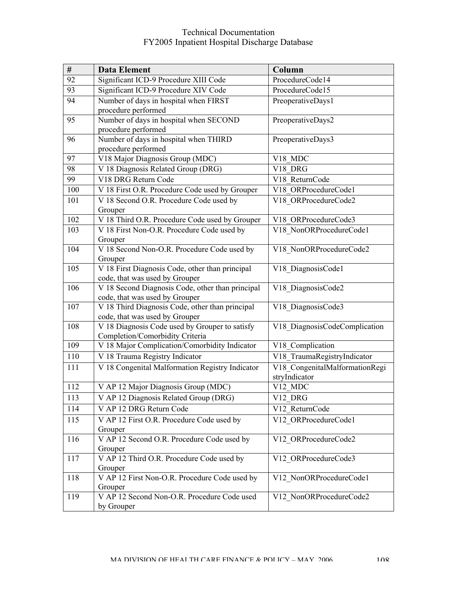| $\#$ | <b>Data Element</b>                                                              | Column                         |
|------|----------------------------------------------------------------------------------|--------------------------------|
| 92   | Significant ICD-9 Procedure XIII Code                                            | ProcedureCode14                |
| 93   | Significant ICD-9 Procedure XIV Code<br>ProcedureCode15                          |                                |
| 94   | Number of days in hospital when FIRST                                            | PreoperativeDays1              |
|      | procedure performed                                                              |                                |
| 95   | Number of days in hospital when SECOND                                           | PreoperativeDays2              |
|      | procedure performed                                                              |                                |
| 96   | Number of days in hospital when THIRD                                            | PreoperativeDays3              |
| 97   | procedure performed<br>V18 Major Diagnosis Group (MDC)                           | V18 MDC                        |
| 98   | V 18 Diagnosis Related Group (DRG)                                               | V18 DRG                        |
| 99   | V18 DRG Return Code                                                              | V18 ReturnCode                 |
| 100  | V 18 First O.R. Procedure Code used by Grouper                                   | V18 ORProcedureCode1           |
| 101  | V 18 Second O.R. Procedure Code used by                                          | V18 ORProcedureCode2           |
|      | Grouper                                                                          |                                |
| 102  | V 18 Third O.R. Procedure Code used by Grouper                                   | V18 ORProcedureCode3           |
| 103  | V 18 First Non-O.R. Procedure Code used by                                       | V18 NonORProcedureCode1        |
|      | Grouper                                                                          |                                |
| 104  | V 18 Second Non-O.R. Procedure Code used by                                      | V18 NonORProcedureCode2        |
|      | Grouper                                                                          |                                |
| 105  | V 18 First Diagnosis Code, other than principal                                  | V18 DiagnosisCode1             |
|      | code, that was used by Grouper                                                   |                                |
| 106  | V 18 Second Diagnosis Code, other than principal                                 | V18 DiagnosisCode2             |
|      | code, that was used by Grouper                                                   |                                |
| 107  | V 18 Third Diagnosis Code, other than principal                                  | V18 DiagnosisCode3             |
| 108  | code, that was used by Grouper<br>V 18 Diagnosis Code used by Grouper to satisfy | V18 DiagnosisCodeComplication  |
|      | Completion/Comorbidity Criteria                                                  |                                |
| 109  | V 18 Major Complication/Comorbidity Indicator                                    | V18 Complication               |
| 110  | V 18 Trauma Registry Indicator                                                   | V18_TraumaRegistryIndicator    |
| 111  | V 18 Congenital Malformation Registry Indicator                                  | V18 CongenitalMalformationRegi |
|      |                                                                                  | stryIndicator                  |
| 112  | V AP 12 Major Diagnosis Group (MDC)                                              | V12 MDC                        |
| 113  | V AP 12 Diagnosis Related Group (DRG)                                            | V12 DRG                        |
| 114  | V AP 12 DRG Return Code                                                          | V12 ReturnCode                 |
| 115  | V AP 12 First O.R. Procedure Code used by                                        | V12 ORProcedureCode1           |
|      | Grouper                                                                          |                                |
| 116  | V AP 12 Second O.R. Procedure Code used by                                       | V12 ORProcedureCode2           |
|      | Grouper                                                                          |                                |
| 117  | V AP 12 Third O.R. Procedure Code used by                                        | V12 ORProcedureCode3           |
|      | Grouper                                                                          |                                |
| 118  | V AP 12 First Non-O.R. Procedure Code used by                                    | V12 NonORProcedureCode1        |
|      | Grouper<br>V AP 12 Second Non-O.R. Procedure Code used                           |                                |
| 119  |                                                                                  | V12 NonORProcedureCode2        |
|      | by Grouper                                                                       |                                |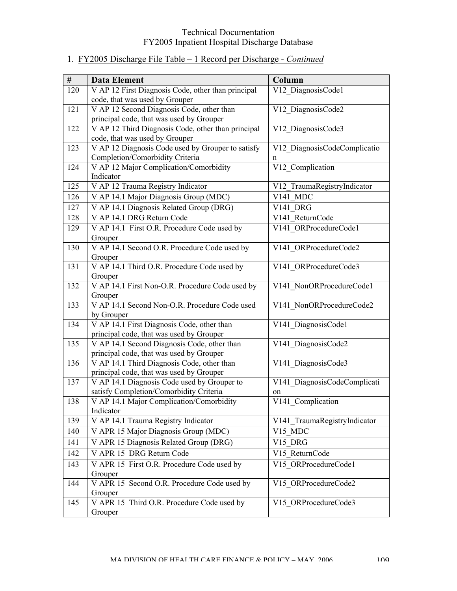| #   | <b>Data Element</b>                                      | Column                       |
|-----|----------------------------------------------------------|------------------------------|
| 120 | V AP 12 First Diagnosis Code, other than principal       | V12 DiagnosisCode1           |
|     | code, that was used by Grouper                           |                              |
| 121 | V AP 12 Second Diagnosis Code, other than                | V12 DiagnosisCode2           |
|     | principal code, that was used by Grouper                 |                              |
| 122 | V AP 12 Third Diagnosis Code, other than principal       | V12 DiagnosisCode3           |
|     | code, that was used by Grouper                           |                              |
| 123 | V AP 12 Diagnosis Code used by Grouper to satisfy        | V12 DiagnosisCodeComplicatio |
|     | Completion/Comorbidity Criteria                          | n                            |
| 124 | V AP 12 Major Complication/Comorbidity                   | V12 Complication             |
|     | Indicator                                                |                              |
| 125 | V AP 12 Trauma Registry Indicator                        | V12 TraumaRegistryIndicator  |
| 126 | V AP 14.1 Major Diagnosis Group (MDC)                    | V141 MDC                     |
| 127 | V AP 14.1 Diagnosis Related Group (DRG)                  | V141 DRG                     |
| 128 | V AP 14.1 DRG Return Code                                | V141 ReturnCode              |
| 129 | V AP 14.1 First O.R. Procedure Code used by              | V141 ORProcedureCode1        |
|     | Grouper                                                  |                              |
| 130 | V AP 14.1 Second O.R. Procedure Code used by             | V141 ORProcedureCode2        |
|     | Grouper                                                  |                              |
| 131 | V AP 14.1 Third O.R. Procedure Code used by              | V141 ORProcedureCode3        |
|     | Grouper                                                  |                              |
| 132 | V AP 14.1 First Non-O.R. Procedure Code used by          | V141 NonORProcedureCode1     |
| 133 | Grouper<br>V AP 14.1 Second Non-O.R. Procedure Code used | V141 NonORProcedureCode2     |
|     | by Grouper                                               |                              |
| 134 | V AP 14.1 First Diagnosis Code, other than               | V141 DiagnosisCode1          |
|     | principal code, that was used by Grouper                 |                              |
| 135 | V AP 14.1 Second Diagnosis Code, other than              | V141 DiagnosisCode2          |
|     | principal code, that was used by Grouper                 |                              |
| 136 | V AP 14.1 Third Diagnosis Code, other than               | V141 DiagnosisCode3          |
|     | principal code, that was used by Grouper                 |                              |
| 137 | V AP 14.1 Diagnosis Code used by Grouper to              | V141 DiagnosisCodeComplicati |
|     | satisfy Completion/Comorbidity Criteria                  | on                           |
| 138 | V AP 14.1 Major Complication/Comorbidity                 | V141 Complication            |
|     | Indicator                                                |                              |
| 139 | V AP 14.1 Trauma Registry Indicator                      | V141 TraumaRegistryIndicator |
| 140 | V APR 15 Major Diagnosis Group (MDC)                     | V15 MDC                      |
| 141 | V APR 15 Diagnosis Related Group (DRG)                   | V15 DRG                      |
| 142 | V APR 15 DRG Return Code                                 | V15 ReturnCode               |
| 143 | V APR 15 First O.R. Procedure Code used by               | V15 ORProcedureCode1         |
|     | Grouper                                                  |                              |
| 144 | V APR 15 Second O.R. Procedure Code used by              | V15 ORProcedureCode2         |
|     | Grouper                                                  |                              |
| 145 | V APR 15 Third O.R. Procedure Code used by               | V15 ORProcedureCode3         |
|     | Grouper                                                  |                              |

# 1. FY2005 Discharge File Table – 1 Record per Discharge - *Continued*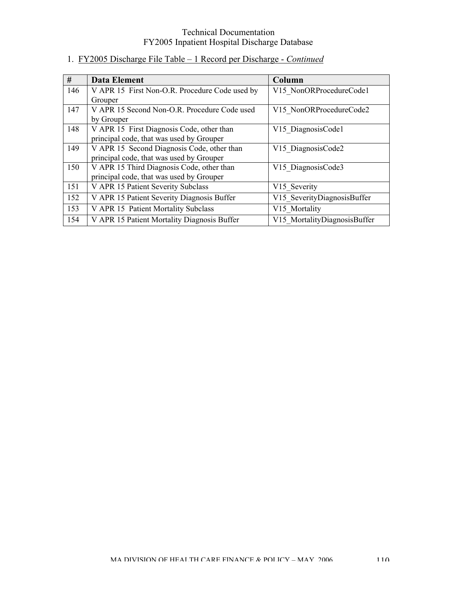| #   | Data Element                                   | Column                       |
|-----|------------------------------------------------|------------------------------|
| 146 | V APR 15 First Non-O.R. Procedure Code used by | V15 NonORProcedureCode1      |
|     | Grouper                                        |                              |
| 147 | V APR 15 Second Non-O.R. Procedure Code used   | V15 NonORProcedureCode2      |
|     | by Grouper                                     |                              |
| 148 | V APR 15 First Diagnosis Code, other than      | V15 DiagnosisCode1           |
|     | principal code, that was used by Grouper       |                              |
| 149 | V APR 15 Second Diagnosis Code, other than     | V15 DiagnosisCode2           |
|     | principal code, that was used by Grouper       |                              |
| 150 | V APR 15 Third Diagnosis Code, other than      | V15 DiagnosisCode3           |
|     | principal code, that was used by Grouper       |                              |
| 151 | V APR 15 Patient Severity Subclass             | V15 Severity                 |
| 152 | V APR 15 Patient Severity Diagnosis Buffer     | V15 SeverityDiagnosisBuffer  |
| 153 | V APR 15 Patient Mortality Subclass            | V15 Mortality                |
| 154 | V APR 15 Patient Mortality Diagnosis Buffer    | V15 MortalityDiagnosisBuffer |

# 1. FY2005 Discharge File Table – 1 Record per Discharge - *Continued*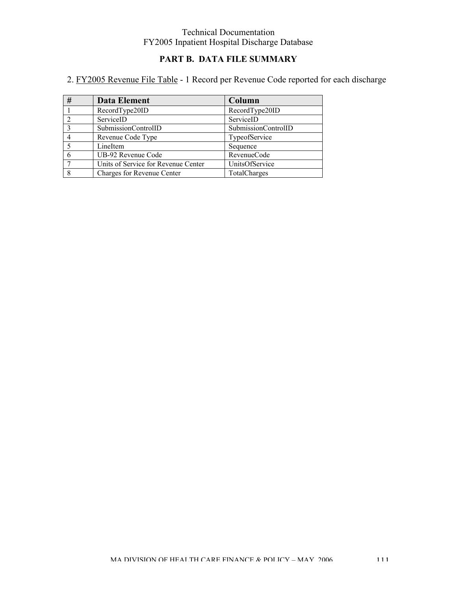# **PART B. DATA FILE SUMMARY**

# 2. FY2005 Revenue File Table - 1 Record per Revenue Code reported for each discharge

| # | <b>Data Element</b>                 | Column              |
|---|-------------------------------------|---------------------|
|   | RecordType20ID                      | RecordType20ID      |
|   | ServiceID                           | ServiceID           |
|   | SubmissionControlID                 | SubmissionControlID |
|   | Revenue Code Type                   | TypeofService       |
|   | LineItem                            | Sequence            |
|   | UB-92 Revenue Code                  | RevenueCode         |
|   | Units of Service for Revenue Center | UnitsOfService      |
|   | Charges for Revenue Center          | TotalCharges        |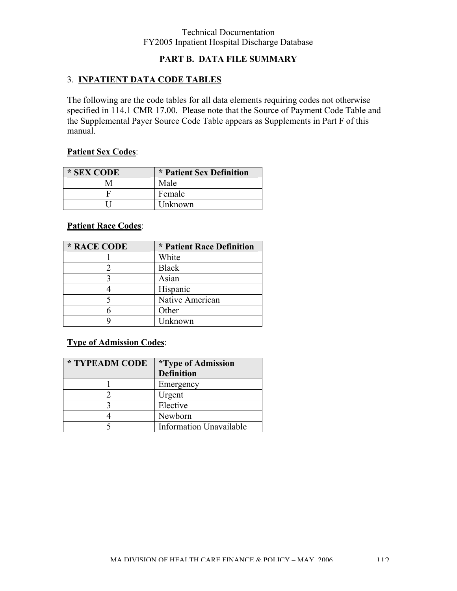## **PART B. DATA FILE SUMMARY**

## 3. **INPATIENT DATA CODE TABLES**

The following are the code tables for all data elements requiring codes not otherwise specified in 114.1 CMR 17.00. Please note that the Source of Payment Code Table and the Supplemental Payer Source Code Table appears as Supplements in Part F of this manual.

### **Patient Sex Codes**:

| * SEX CODE | * Patient Sex Definition |
|------------|--------------------------|
|            | Male                     |
|            | Female                   |
|            | Unknown                  |

## **Patient Race Codes**:

| * RACE CODE | * Patient Race Definition |
|-------------|---------------------------|
|             | White                     |
|             | <b>Black</b>              |
|             | Asian                     |
|             | Hispanic                  |
|             | Native American           |
|             | Other                     |
|             | Unknown                   |

## **Type of Admission Codes**:

| * TYPEADM CODE | <i>*Type of Admission</i>      |
|----------------|--------------------------------|
|                | <b>Definition</b>              |
|                | Emergency                      |
|                | Urgent                         |
|                | Elective                       |
|                | Newborn                        |
|                | <b>Information Unavailable</b> |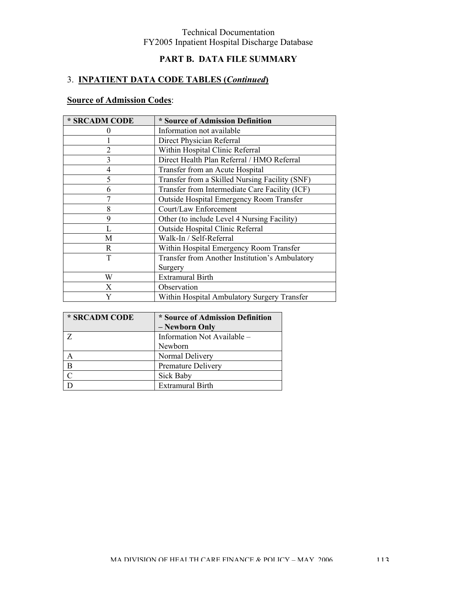# **PART B. DATA FILE SUMMARY**

## 3. **INPATIENT DATA CODE TABLES (***Continued***)**

# **Source of Admission Codes**:

| * SRCADM CODE  | * Source of Admission Definition               |
|----------------|------------------------------------------------|
| $\theta$       | Information not available                      |
|                | Direct Physician Referral                      |
| $\overline{2}$ | Within Hospital Clinic Referral                |
| 3              | Direct Health Plan Referral / HMO Referral     |
| 4              | Transfer from an Acute Hospital                |
| 5              | Transfer from a Skilled Nursing Facility (SNF) |
| 6              | Transfer from Intermediate Care Facility (ICF) |
|                | Outside Hospital Emergency Room Transfer       |
| 8              | Court/Law Enforcement                          |
| 9              | Other (to include Level 4 Nursing Facility)    |
|                | Outside Hospital Clinic Referral               |
| М              | Walk-In / Self-Referral                        |
| R.             | Within Hospital Emergency Room Transfer        |
| T              | Transfer from Another Institution's Ambulatory |
|                | Surgery                                        |
| W              | <b>Extramural Birth</b>                        |
| X              | Observation                                    |
| Y              | Within Hospital Ambulatory Surgery Transfer    |

| * SRCADM CODE | * Source of Admission Definition |
|---------------|----------------------------------|
|               | - Newborn Only                   |
|               | Information Not Available -      |
|               | Newborn                          |
|               | Normal Delivery                  |
| B             | Premature Delivery               |
|               | Sick Baby                        |
|               | <b>Extramural Birth</b>          |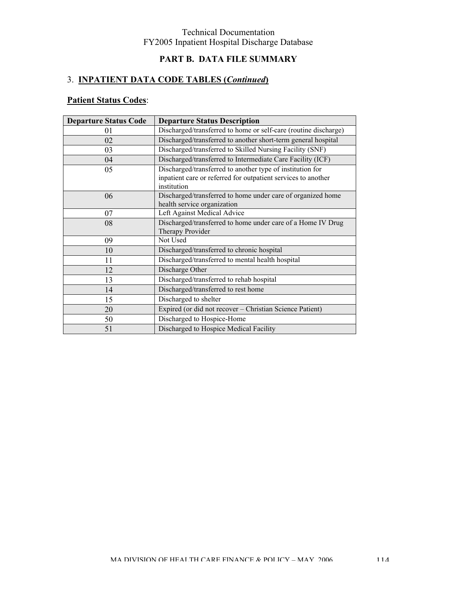# **PART B. DATA FILE SUMMARY**

# 3. **INPATIENT DATA CODE TABLES (***Continued***)**

# **Patient Status Codes**:

| <b>Departure Status Code</b> | <b>Departure Status Description</b>                                                                                                       |
|------------------------------|-------------------------------------------------------------------------------------------------------------------------------------------|
| 01                           | Discharged/transferred to home or self-care (routine discharge)                                                                           |
| 02                           | Discharged/transferred to another short-term general hospital                                                                             |
| 03                           | Discharged/transferred to Skilled Nursing Facility (SNF)                                                                                  |
| 04                           | Discharged/transferred to Intermediate Care Facility (ICF)                                                                                |
| 05                           | Discharged/transferred to another type of institution for<br>inpatient care or referred for outpatient services to another<br>institution |
| 06                           | Discharged/transferred to home under care of organized home<br>health service organization                                                |
| 07                           | Left Against Medical Advice                                                                                                               |
| 08                           | Discharged/transferred to home under care of a Home IV Drug<br>Therapy Provider                                                           |
| 09                           | Not Used                                                                                                                                  |
| 10                           | Discharged/transferred to chronic hospital                                                                                                |
| 11                           | Discharged/transferred to mental health hospital                                                                                          |
| 12                           | Discharge Other                                                                                                                           |
| 13                           | Discharged/transferred to rehab hospital                                                                                                  |
| 14                           | Discharged/transferred to rest home                                                                                                       |
| 15                           | Discharged to shelter                                                                                                                     |
| 20                           | Expired (or did not recover - Christian Science Patient)                                                                                  |
| 50                           | Discharged to Hospice-Home                                                                                                                |
| 51                           | Discharged to Hospice Medical Facility                                                                                                    |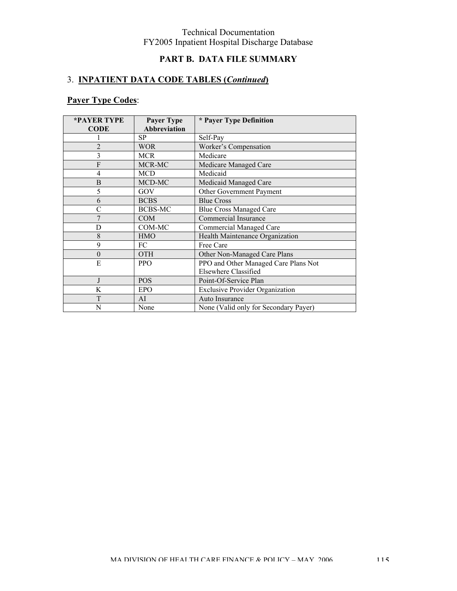# **PART B. DATA FILE SUMMARY**

## 3. **INPATIENT DATA CODE TABLES (***Continued***)**

# **Payer Type Codes**:

| *PAYER TYPE    | <b>Payer Type</b>   | * Payer Type Definition                |  |
|----------------|---------------------|----------------------------------------|--|
| <b>CODE</b>    | <b>Abbreviation</b> |                                        |  |
|                | SP                  | Self-Pay                               |  |
| $\overline{2}$ | <b>WOR</b>          | Worker's Compensation                  |  |
| 3              | <b>MCR</b>          | Medicare                               |  |
| F              | MCR-MC              | Medicare Managed Care                  |  |
| $\overline{4}$ | <b>MCD</b>          | Medicaid                               |  |
| B              | MCD-MC              | Medicaid Managed Care                  |  |
| 5              | GOV                 | Other Government Payment               |  |
| 6              | <b>BCBS</b>         | <b>Blue Cross</b>                      |  |
| C              | <b>BCBS-MC</b>      | <b>Blue Cross Managed Care</b>         |  |
| $\overline{7}$ | <b>COM</b>          | Commercial Insurance                   |  |
| D              | COM-MC              | <b>Commercial Managed Care</b>         |  |
| 8              | <b>HMO</b>          | Health Maintenance Organization        |  |
| 9              | FC                  | Free Care                              |  |
| $\theta$       | <b>OTH</b>          | Other Non-Managed Care Plans           |  |
| E              | <b>PPO</b>          | PPO and Other Managed Care Plans Not   |  |
|                |                     | Elsewhere Classified                   |  |
|                | <b>POS</b>          | Point-Of-Service Plan                  |  |
| K              | <b>EPO</b>          | <b>Exclusive Provider Organization</b> |  |
| T              | AI                  | Auto Insurance                         |  |
| N              | None                | None (Valid only for Secondary Payer)  |  |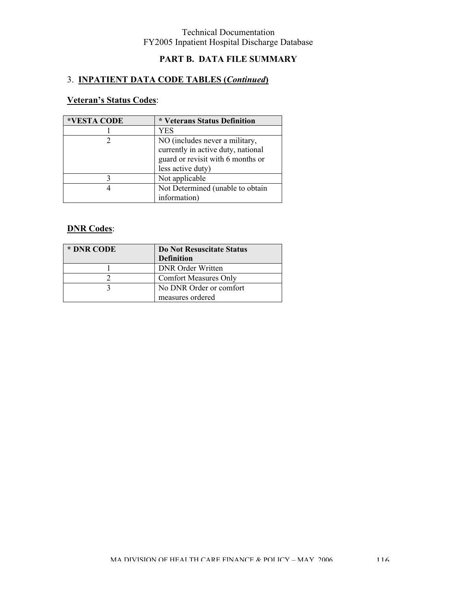# **PART B. DATA FILE SUMMARY**

## 3. **INPATIENT DATA CODE TABLES (***Continued***)**

## **Veteran's Status Codes**:

| *VESTA CODE | * Veterans Status Definition                                                                                                   |
|-------------|--------------------------------------------------------------------------------------------------------------------------------|
|             | YES                                                                                                                            |
|             | NO (includes never a military,<br>currently in active duty, national<br>guard or revisit with 6 months or<br>less active duty) |
|             | Not applicable                                                                                                                 |
|             | Not Determined (unable to obtain<br>information)                                                                               |

## **DNR Codes**:

| * DNR CODE | Do Not Resuscitate Status<br><b>Definition</b> |
|------------|------------------------------------------------|
|            | <b>DNR</b> Order Written                       |
|            | <b>Comfort Measures Only</b>                   |
|            | No DNR Order or comfort                        |
|            | measures ordered                               |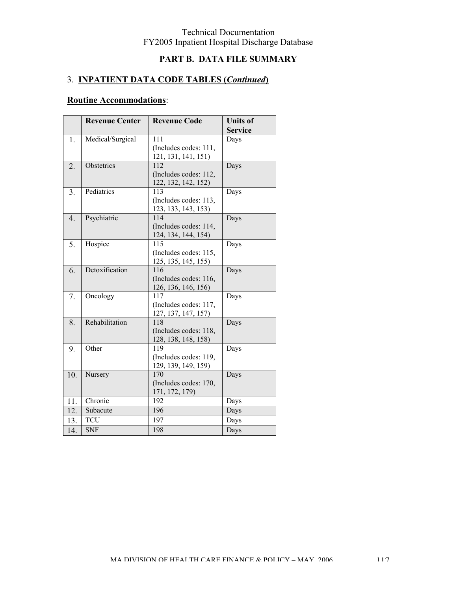# **PART B. DATA FILE SUMMARY**

# 3. **INPATIENT DATA CODE TABLES (***Continued***)**

# **Routine Accommodations**:

|     | <b>Revenue Center</b> | <b>Revenue Code</b>                                 | <b>Units of</b><br><b>Service</b> |
|-----|-----------------------|-----------------------------------------------------|-----------------------------------|
| 1.  | Medical/Surgical      | 111<br>(Includes codes: 111,<br>121, 131, 141, 151) | Days                              |
| 2.  | Obstetrics            | 112<br>(Includes codes: 112,<br>122, 132, 142, 152) | Days                              |
| 3.  | Pediatrics            | 113<br>(Includes codes: 113,<br>123, 133, 143, 153) | Days                              |
| 4.  | Psychiatric           | 114<br>(Includes codes: 114,<br>124, 134, 144, 154) | Days                              |
| 5.  | Hospice               | 115<br>(Includes codes: 115,<br>125, 135, 145, 155) | Days                              |
| 6.  | Detoxification        | 116<br>(Includes codes: 116,<br>126, 136, 146, 156) | Days                              |
| 7.  | Oncology              | 117<br>(Includes codes: 117,<br>127, 137, 147, 157) | Days                              |
| 8.  | Rehabilitation        | 118<br>(Includes codes: 118,<br>128, 138, 148, 158) | Days                              |
| 9.  | Other                 | 119<br>(Includes codes: 119,<br>129, 139, 149, 159) | Days                              |
| 10. | Nursery               | 170<br>(Includes codes: 170,<br>171, 172, 179)      | Days                              |
| 11. | Chronic               | 192                                                 | Days                              |
| 12. | Subacute              | 196                                                 | Days                              |
| 13. | <b>TCU</b>            | 197                                                 | Days                              |
| 14. | <b>SNF</b>            | 198                                                 | Days                              |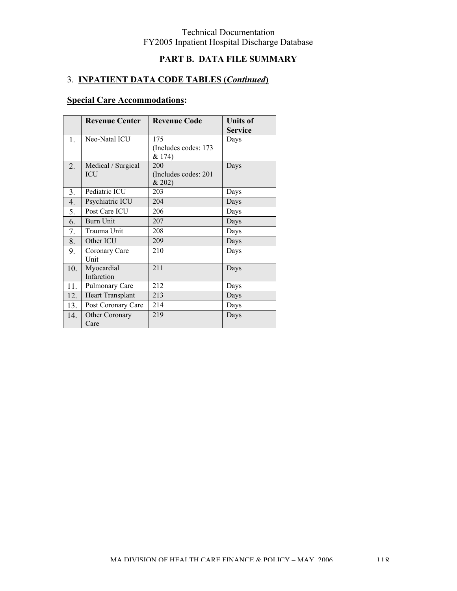# **PART B. DATA FILE SUMMARY**

## 3. **INPATIENT DATA CODE TABLES (***Continued***)**

# **Special Care Accommodations:**

|                  | <b>Revenue Center</b>            | <b>Revenue Code</b>                    | <b>Units of</b><br><b>Service</b> |
|------------------|----------------------------------|----------------------------------------|-----------------------------------|
| 1.               | Neo-Natal ICU                    | 175<br>(Includes codes: 173<br>& 174)  | Days                              |
| $\overline{2}$ . | Medical / Surgical<br><b>ICU</b> | 200<br>(Includes codes: 201)<br>& 202) | Days                              |
| 3.               | Pediatric ICU                    | 203                                    | Days                              |
| 4.               | Psychiatric ICU                  | 204                                    | Days                              |
| 5.               | Post Care ICU                    | 206                                    | Days                              |
| 6.               | Burn Unit                        | 207                                    | Days                              |
| 7.               | Trauma Unit                      | 208                                    | Days                              |
| 8.               | Other ICU                        | 209                                    | Days                              |
| 9.               | Coronary Care<br>Unit            | 210                                    | Days                              |
| 10.              | Myocardial<br>Infarction         | 211                                    | Days                              |
| 11.              | Pulmonary Care                   | 212                                    | Days                              |
| 12.              | <b>Heart Transplant</b>          | 213                                    | Days                              |
| 13.              | Post Coronary Care               | 214                                    | Days                              |
| 14.              | Other Coronary<br>Care           | 219                                    | Days                              |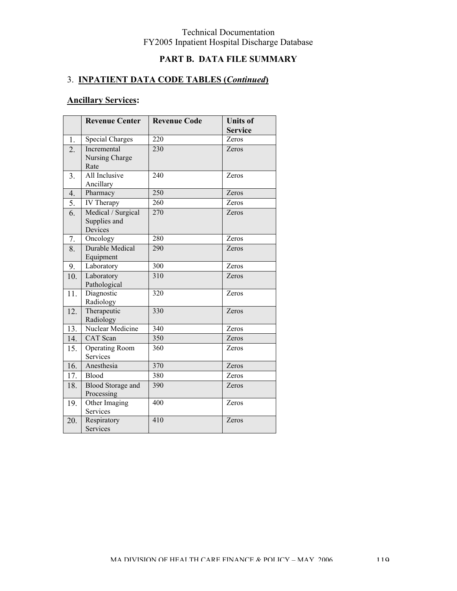# **PART B. DATA FILE SUMMARY**

## 3. **INPATIENT DATA CODE TABLES (***Continued***)**

|                  | <b>Revenue Center</b>                         | <b>Revenue Code</b> | <b>Units of</b> |
|------------------|-----------------------------------------------|---------------------|-----------------|
|                  |                                               |                     | <b>Service</b>  |
| $\overline{1}$ . | <b>Special Charges</b>                        | 220                 | Zeros           |
| 2.               | Incremental<br>Nursing Charge<br>Rate         | 230                 | Zeros           |
| 3.               | All Inclusive<br>Ancillary                    | 240                 | Zeros           |
| 4.               | Pharmacy                                      | 250                 | Zeros           |
| 5.               | IV Therapy                                    | 260                 | Zeros           |
| 6.               | Medical / Surgical<br>Supplies and<br>Devices | 270                 | Zeros           |
| 7.               | Oncology                                      | 280                 | Zeros           |
| 8.               | <b>Durable Medical</b><br>Equipment           | 290                 | Zeros           |
| 9.               | Laboratory                                    | 300                 | Zeros           |
| 10.              | Laboratory<br>Pathological                    | 310                 | Zeros           |
| 11.              | Diagnostic<br>Radiology                       | 320                 | Zeros           |
| 12.              | Therapeutic<br>Radiology                      | 330                 | Zeros           |
| 13.              | Nuclear Medicine                              | 340                 | Zeros           |
| 14.              | <b>CAT</b> Scan                               | 350                 | Zeros           |
| 15.              | <b>Operating Room</b><br>Services             | 360                 | Zeros           |
| 16.              | Anesthesia                                    | 370                 | Zeros           |
| 17.              | Blood                                         | 380                 | Zeros           |
| 18.              | <b>Blood Storage and</b><br>Processing        | 390                 | Zeros           |
| 19.              | Other Imaging<br>Services                     | 400                 | Zeros           |
| 20.              | Respiratory<br><b>Services</b>                | 410                 | Zeros           |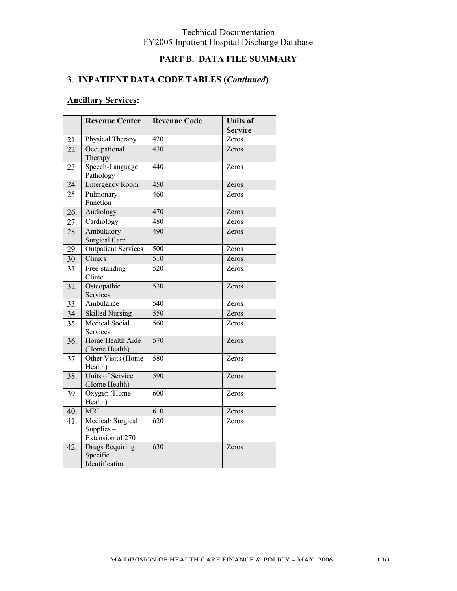# **PART B. DATA FILE SUMMARY**

## 3. **INPATIENT DATA CODE TABLES (***Continued***)**

|     | <b>Revenue Center</b>                                | <b>Revenue Code</b> | <b>Units of</b> |
|-----|------------------------------------------------------|---------------------|-----------------|
|     |                                                      |                     | <b>Service</b>  |
| 21. | Physical Therapy                                     | 420                 | Zeros           |
| 22. | Occupational<br>Therapy                              | 430                 | Zeros           |
| 23. | Speech-Language<br>Pathology                         | 440                 | Zeros           |
| 24. | <b>Emergency Room</b>                                | 450                 | Zeros           |
| 25. | Pulmonary<br>Function                                | 460                 | Zeros           |
| 26. | Audiology                                            | 470                 | Zeros           |
| 27. | Cardiology                                           | 480                 | Zeros           |
| 28. | Ambulatory<br><b>Surgical Care</b>                   | 490                 | Zeros           |
| 29. | <b>Outpatient Services</b>                           | 500                 | Zeros           |
| 30. | Clinics                                              | 510                 | Zeros           |
| 31. | Free-standing<br>Clinic                              | 520                 | Zeros           |
| 32. | Osteopathic<br>Services                              | 530                 | Zeros           |
| 33. | Ambulance                                            | 540                 | Zeros           |
| 34. | <b>Skilled Nursing</b>                               | 550                 | Zeros           |
| 35. | <b>Medical Social</b><br>Services                    | 560                 | Zeros           |
| 36. | Home Health Aide<br>(Home Health)                    | 570                 | Zeros           |
| 37. | Other Visits (Home<br>Health)                        | 580                 | Zeros           |
| 38. | Units of Service<br>(Home Health)                    | 590                 | Zeros           |
| 39. | Oxygen (Home<br>Health)                              | 600                 | Zeros           |
| 40. | <b>MRI</b>                                           | 610                 | Zeros           |
| 41. | Medical/Surgical<br>Supplies $-$<br>Extension of 270 | $\overline{620}$    | Zeros           |
| 42. | Drugs Requiring<br>Specific<br>Identification        | 630                 | Zeros           |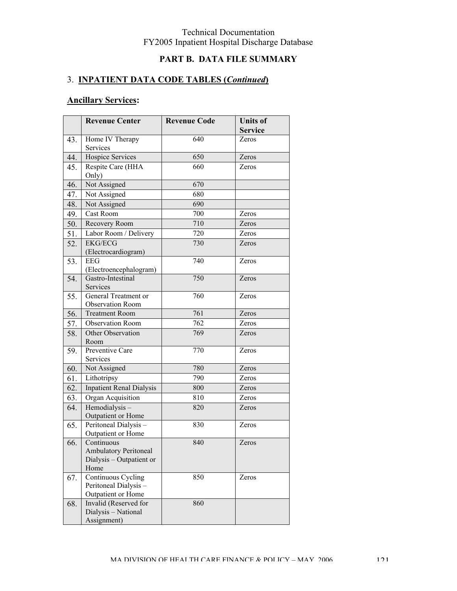# **PART B. DATA FILE SUMMARY**

## 3. **INPATIENT DATA CODE TABLES (***Continued***)**

|     | <b>Revenue Center</b>                                                          | <b>Revenue Code</b> | <b>Units of</b><br><b>Service</b> |
|-----|--------------------------------------------------------------------------------|---------------------|-----------------------------------|
| 43. | Home IV Therapy<br>Services                                                    | 640                 | Zeros                             |
| 44. | Hospice Services                                                               | 650                 | Zeros                             |
| 45. | Respite Care (HHA<br>Only)                                                     | 660                 | Zeros                             |
| 46. | Not Assigned                                                                   | 670                 |                                   |
| 47. | Not Assigned                                                                   | 680                 |                                   |
| 48. | Not Assigned                                                                   | 690                 |                                   |
| 49. | Cast Room                                                                      | 700                 | Zeros                             |
| 50. | Recovery Room                                                                  | 710                 | Zeros                             |
| 51. | Labor Room / Delivery                                                          | 720                 | Zeros                             |
| 52. | <b>EKG/ECG</b><br>(Electrocardiogram)                                          | 730                 | Zeros                             |
| 53. | <b>EEG</b><br>(Electroencephalogram)                                           | 740                 | Zeros                             |
| 54. | Gastro-Intestinal<br>Services                                                  | 750                 | Zeros                             |
| 55. | General Treatment or<br><b>Observation Room</b>                                | 760                 | Zeros                             |
| 56. | <b>Treatment Room</b>                                                          | 761                 | Zeros                             |
| 57. | <b>Observation Room</b>                                                        | 762                 | Zeros                             |
| 58. | Other Observation<br>Room                                                      | 769                 | Zeros                             |
| 59. | Preventive Care<br>Services                                                    | 770                 | Zeros                             |
| 60. | Not Assigned                                                                   | 780                 | Zeros                             |
| 61. | Lithotripsy                                                                    | 790                 | Zeros                             |
| 62. | <b>Inpatient Renal Dialysis</b>                                                | 800                 | Zeros                             |
| 63. | Organ Acquisition                                                              | 810                 | Zeros                             |
| 64. | Hemodialysis-<br>Outpatient or Home                                            | 820                 | Zeros                             |
| 65. | Peritoneal Dialysis-<br>Outpatient or Home                                     | 830                 | Zeros                             |
| 66. | Continuous<br><b>Ambulatory Peritoneal</b><br>Dialysis - Outpatient or<br>Home | 840                 | Zeros                             |
| 67. | Continuous Cycling<br>Peritoneal Dialysis-<br>Outpatient or Home               | 850                 | Zeros                             |
| 68. | Invalid (Reserved for<br>Dialysis - National<br>Assignment)                    | 860                 |                                   |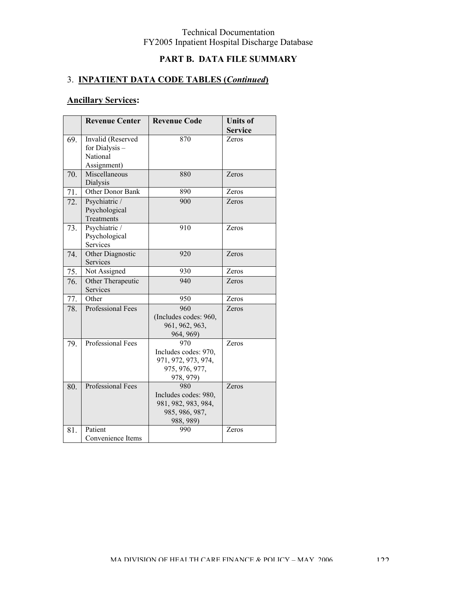# **PART B. DATA FILE SUMMARY**

## 3. **INPATIENT DATA CODE TABLES (***Continued***)**

|     | <b>Revenue Center</b>    | <b>Revenue Code</b>   | <b>Units of</b> |
|-----|--------------------------|-----------------------|-----------------|
|     |                          |                       | <b>Service</b>  |
| 69. | Invalid (Reserved        | 870                   | Zeros           |
|     | for Dialysis -           |                       |                 |
|     | National                 |                       |                 |
|     | Assignment)              |                       |                 |
| 70. | Miscellaneous            | 880                   | Zeros           |
|     | Dialysis                 |                       |                 |
| 71. | Other Donor Bank         | 890                   | Zeros           |
| 72. | Psychiatric /            | 900                   | Zeros           |
|     | Psychological            |                       |                 |
|     | Treatments               |                       |                 |
| 73. | Psychiatric /            | 910                   | Zeros           |
|     | Psychological            |                       |                 |
|     | Services                 |                       |                 |
| 74. | Other Diagnostic         | 920                   | Zeros           |
|     | Services                 |                       |                 |
| 75. | Not Assigned             | 930                   | Zeros           |
| 76. | Other Therapeutic        | 940                   | Zeros           |
|     | Services                 |                       |                 |
| 77. | Other                    | 950                   | Zeros           |
| 78. | Professional Fees        | 960                   | Zeros           |
|     |                          | (Includes codes: 960, |                 |
|     |                          | 961, 962, 963,        |                 |
|     |                          | 964, 969)             |                 |
| 79. | Professional Fees        | 970                   | Zeros           |
|     |                          | Includes codes: 970,  |                 |
|     |                          | 971, 972, 973, 974,   |                 |
|     |                          | 975, 976, 977,        |                 |
|     |                          | 978, 979)             |                 |
| 80. | <b>Professional Fees</b> | 980                   | Zeros           |
|     |                          | Includes codes: 980,  |                 |
|     |                          | 981, 982, 983, 984,   |                 |
|     |                          | 985, 986, 987,        |                 |
|     |                          | 988, 989)             |                 |
| 81. | Patient                  | 990                   | Zeros           |
|     | Convenience Items        |                       |                 |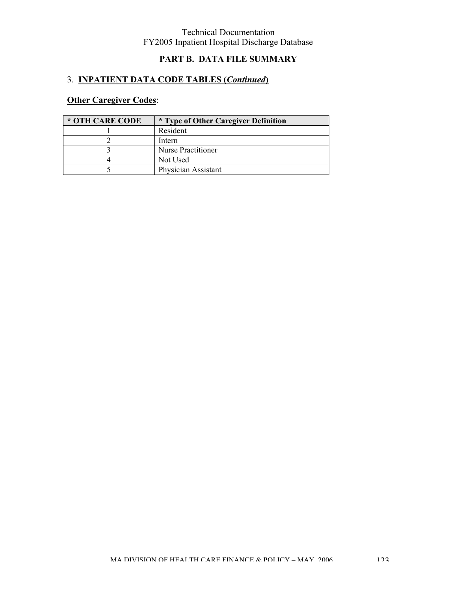# **PART B. DATA FILE SUMMARY**

# 3. **INPATIENT DATA CODE TABLES (***Continued***)**

# **Other Caregiver Codes**:

| * OTH CARE CODE | <i>*</i> Type of Other Caregiver Definition |
|-----------------|---------------------------------------------|
|                 | Resident                                    |
|                 | Intern                                      |
|                 | <b>Nurse Practitioner</b>                   |
|                 | Not Used                                    |
|                 | Physician Assistant                         |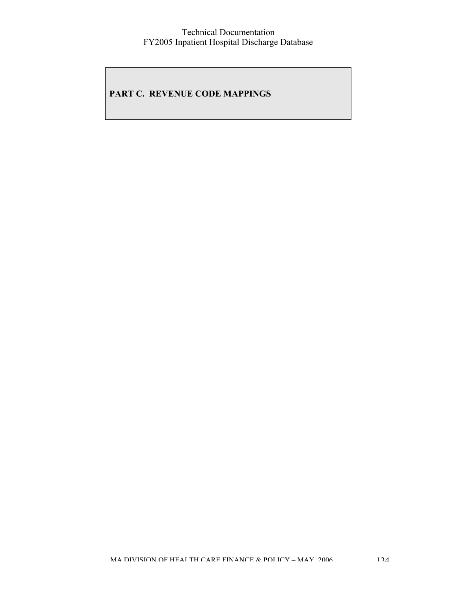## **PART C. REVENUE CODE MAPPINGS**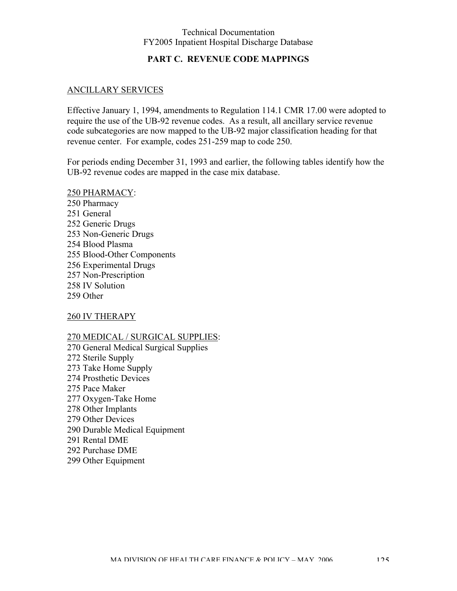## **PART C. REVENUE CODE MAPPINGS**

### ANCILLARY SERVICES

Effective January 1, 1994, amendments to Regulation 114.1 CMR 17.00 were adopted to require the use of the UB-92 revenue codes. As a result, all ancillary service revenue code subcategories are now mapped to the UB-92 major classification heading for that revenue center. For example, codes 251-259 map to code 250.

For periods ending December 31, 1993 and earlier, the following tables identify how the UB-92 revenue codes are mapped in the case mix database.

250 PHARMACY: 250 Pharmacy 251 General 252 Generic Drugs 253 Non-Generic Drugs 254 Blood Plasma 255 Blood-Other Components 256 Experimental Drugs 257 Non-Prescription 258 IV Solution 259 Other

260 IV THERAPY

270 MEDICAL / SURGICAL SUPPLIES:

270 General Medical Surgical Supplies 272 Sterile Supply 273 Take Home Supply 274 Prosthetic Devices 275 Pace Maker 277 Oxygen-Take Home 278 Other Implants 279 Other Devices 290 Durable Medical Equipment 291 Rental DME 292 Purchase DME 299 Other Equipment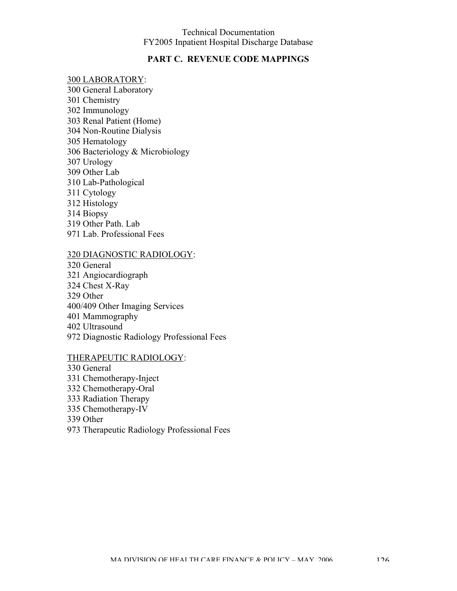### **PART C. REVENUE CODE MAPPINGS**

#### 300 LABORATORY:

300 General Laboratory 301 Chemistry 302 Immunology 303 Renal Patient (Home) 304 Non-Routine Dialysis 305 Hematology 306 Bacteriology & Microbiology 307 Urology 309 Other Lab 310 Lab-Pathological 311 Cytology 312 Histology 314 Biopsy 319 Other Path. Lab 971 Lab. Professional Fees

#### 320 DIAGNOSTIC RADIOLOGY:

320 General 321 Angiocardiograph 324 Chest X-Ray 329 Other 400/409 Other Imaging Services 401 Mammography 402 Ultrasound 972 Diagnostic Radiology Professional Fees

### THERAPEUTIC RADIOLOGY:

330 General 331 Chemotherapy-Inject 332 Chemotherapy-Oral 333 Radiation Therapy 335 Chemotherapy-IV 339 Other 973 Therapeutic Radiology Professional Fees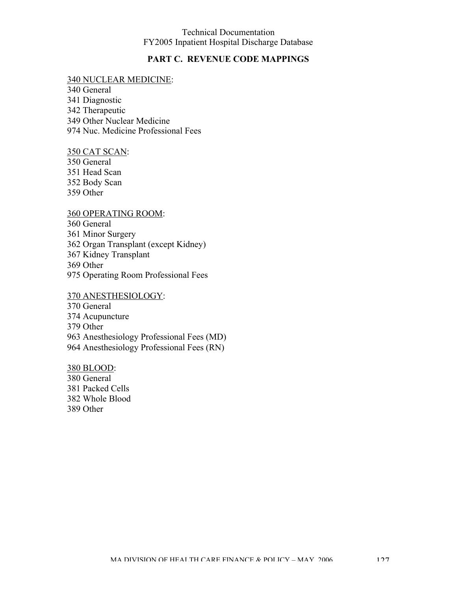## **PART C. REVENUE CODE MAPPINGS**

#### 340 NUCLEAR MEDICINE:

340 General 341 Diagnostic 342 Therapeutic 349 Other Nuclear Medicine 974 Nuc. Medicine Professional Fees

#### 350 CAT SCAN:

350 General 351 Head Scan 352 Body Scan 359 Other

### 360 OPERATING ROOM:

360 General

361 Minor Surgery

362 Organ Transplant (except Kidney)

367 Kidney Transplant

369 Other

975 Operating Room Professional Fees

#### 370 ANESTHESIOLOGY:

370 General

374 Acupuncture

379 Other

963 Anesthesiology Professional Fees (MD)

964 Anesthesiology Professional Fees (RN)

#### 380 BLOOD:

380 General 381 Packed Cells 382 Whole Blood 389 Other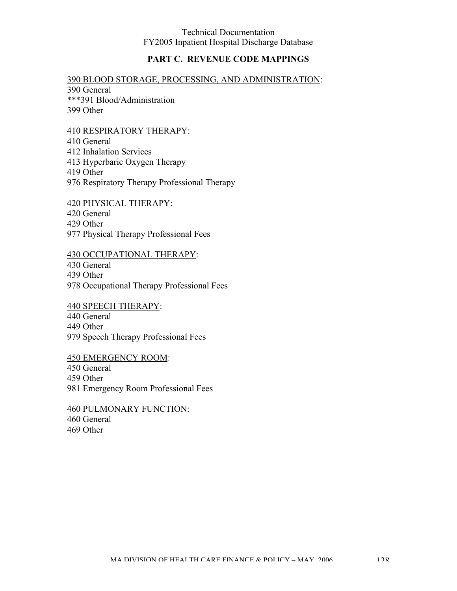## **PART C. REVENUE CODE MAPPINGS**

### 390 BLOOD STORAGE, PROCESSING, AND ADMINISTRATION:

390 General \*\*\*391 Blood/Administration 399 Other

### 410 RESPIRATORY THERAPY:

410 General 412 Inhalation Services 413 Hyperbaric Oxygen Therapy 419 Other 976 Respiratory Therapy Professional Therapy

420 PHYSICAL THERAPY:

420 General

429 Other

977 Physical Therapy Professional Fees

### 430 OCCUPATIONAL THERAPY:

430 General

439 Other

978 Occupational Therapy Professional Fees

440 SPEECH THERAPY:

440 General

449 Other

979 Speech Therapy Professional Fees

450 EMERGENCY ROOM:

450 General

459 Other

981 Emergency Room Professional Fees

460 PULMONARY FUNCTION: 460 General 469 Other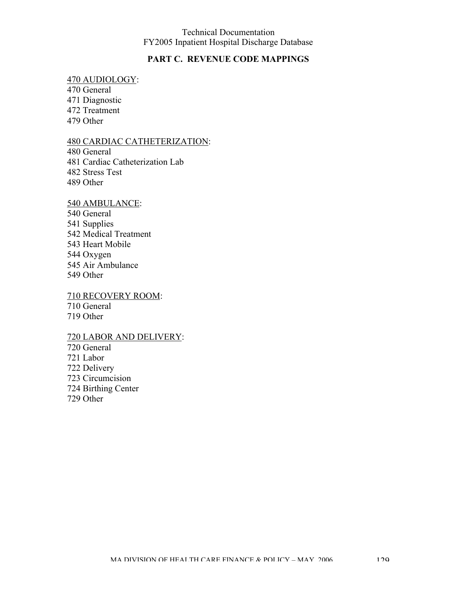### **PART C. REVENUE CODE MAPPINGS**

### 470 AUDIOLOGY:

470 General 471 Diagnostic 472 Treatment 479 Other

### 480 CARDIAC CATHETERIZATION:

480 General 481 Cardiac Catheterization Lab 482 Stress Test 489 Other

### 540 AMBULANCE:

540 General 541 Supplies 542 Medical Treatment 543 Heart Mobile 544 Oxygen 545 Air Ambulance 549 Other

#### 710 RECOVERY ROOM: 710 General

719 Other

## 720 LABOR AND DELIVERY:

720 General 721 Labor 722 Delivery 723 Circumcision 724 Birthing Center 729 Other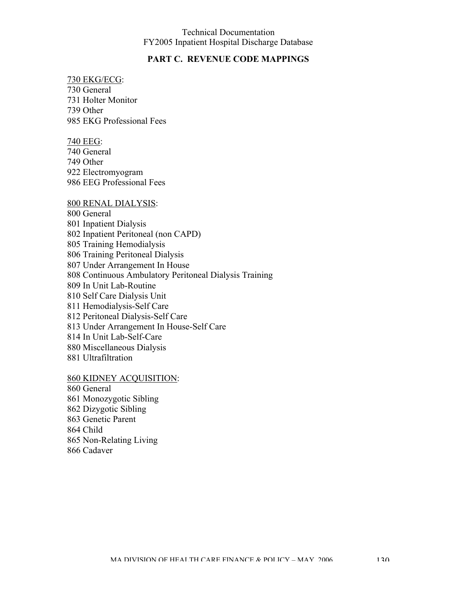### **PART C. REVENUE CODE MAPPINGS**

#### 730 EKG/ECG: 730 General

731 Holter Monitor 739 Other 985 EKG Professional Fees

#### 740 EEG:

740 General 749 Other 922 Electromyogram 986 EEG Professional Fees

#### 800 RENAL DIALYSIS:

800 General 801 Inpatient Dialysis 802 Inpatient Peritoneal (non CAPD) 805 Training Hemodialysis 806 Training Peritoneal Dialysis 807 Under Arrangement In House 808 Continuous Ambulatory Peritoneal Dialysis Training 809 In Unit Lab-Routine 810 Self Care Dialysis Unit 811 Hemodialysis-Self Care 812 Peritoneal Dialysis-Self Care 813 Under Arrangement In House-Self Care 814 In Unit Lab-Self-Care 880 Miscellaneous Dialysis 881 Ultrafiltration

### 860 KIDNEY ACQUISITION:

860 General 861 Monozygotic Sibling 862 Dizygotic Sibling 863 Genetic Parent 864 Child 865 Non-Relating Living 866 Cadaver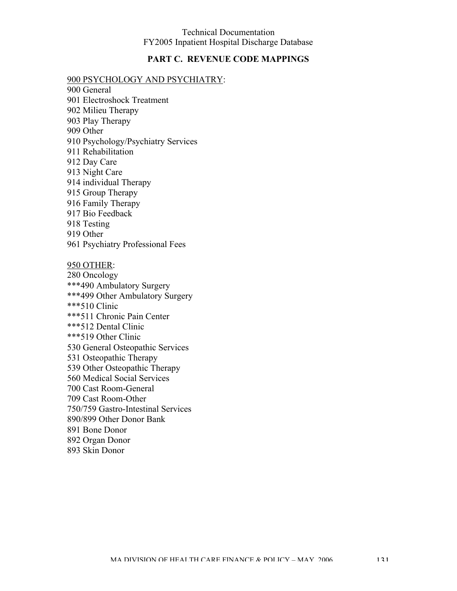## **PART C. REVENUE CODE MAPPINGS**

### 900 PSYCHOLOGY AND PSYCHIATRY:

- 900 General 901 Electroshock Treatment 902 Milieu Therapy 903 Play Therapy 909 Other 910 Psychology/Psychiatry Services 911 Rehabilitation 912 Day Care 913 Night Care 914 individual Therapy 915 Group Therapy 916 Family Therapy 917 Bio Feedback 918 Testing 919 Other 961 Psychiatry Professional Fees 950 OTHER: 280 Oncology \*\*\*490 Ambulatory Surgery \*\*\*499 Other Ambulatory Surgery \*\*\*510 Clinic
- \*\*\*511 Chronic Pain Center \*\*\*512 Dental Clinic \*\*\*519 Other Clinic 530 General Osteopathic Services 531 Osteopathic Therapy 539 Other Osteopathic Therapy 560 Medical Social Services 700 Cast Room-General 709 Cast Room-Other 750/759 Gastro-Intestinal Services 890/899 Other Donor Bank 891 Bone Donor 892 Organ Donor
- 893 Skin Donor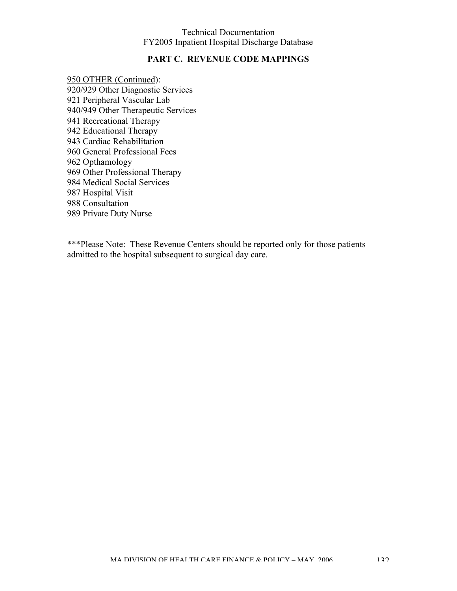### **PART C. REVENUE CODE MAPPINGS**

950 OTHER (Continued): 920/929 Other Diagnostic Services 921 Peripheral Vascular Lab 940/949 Other Therapeutic Services 941 Recreational Therapy 942 Educational Therapy 943 Cardiac Rehabilitation 960 General Professional Fees 962 Opthamology 969 Other Professional Therapy 984 Medical Social Services 987 Hospital Visit 988 Consultation 989 Private Duty Nurse

\*\*\*Please Note: These Revenue Centers should be reported only for those patients admitted to the hospital subsequent to surgical day care.